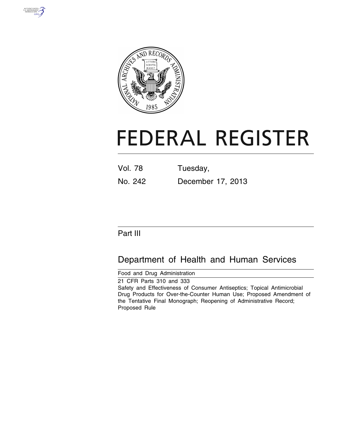



# **FEDERAL REGISTER**

| <b>Vol. 78</b> | Tuesday,          |
|----------------|-------------------|
| No. 242        | December 17, 2013 |

# Part III

# Department of Health and Human Services

Food and Drug Administration

21 CFR Parts 310 and 333 Safety and Effectiveness of Consumer Antiseptics; Topical Antimicrobial Drug Products for Over-the-Counter Human Use; Proposed Amendment of the Tentative Final Monograph; Reopening of Administrative Record; Proposed Rule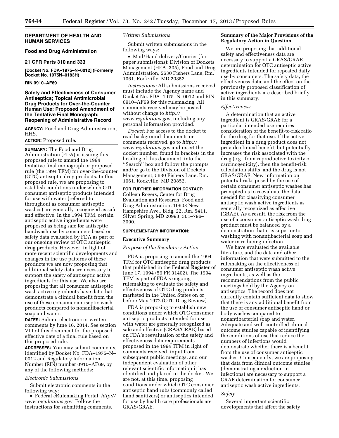## **DEPARTMENT OF HEALTH AND HUMAN SERVICES**

# **Food and Drug Administration**

#### **21 CFR Parts 310 and 333**

**[Docket No. FDA–1975–N–0012] (Formerly Docket No. 1975N–0183H)** 

# **RIN 0910–AF69**

# **Safety and Effectiveness of Consumer Antiseptics; Topical Antimicrobial Drug Products for Over-the-Counter Human Use; Proposed Amendment of the Tentative Final Monograph; Reopening of Administrative Record**

**AGENCY:** Food and Drug Administration, HHS.

# **ACTION:** Proposed rule.

**SUMMARY:** The Food and Drug Administration (FDA) is issuing this proposed rule to amend the 1994 tentative final monograph or proposed rule (the 1994 TFM) for over-the-counter (OTC) antiseptic drug products. In this proposed rule, we are proposing to establish conditions under which OTC consumer antiseptic products intended for use with water (referred to throughout as consumer antiseptic washes) are generally recognized as safe and effective. In the 1994 TFM, certain antiseptic active ingredients were proposed as being safe for antiseptic handwash use by consumers based on safety data evaluated by FDA as part of our ongoing review of OTC antiseptic drug products. However, in light of more recent scientific developments and changes in the use patterns of these products we are now proposing that additional safety data are necessary to support the safety of antiseptic active ingredients for this use. We also are proposing that all consumer antiseptic wash active ingredients have data that demonstrate a clinical benefit from the use of these consumer antiseptic wash products compared to nonantibacterial soap and water.

**DATES:** Submit electronic or written comments by June 16, 2014. See section VIII of this document for the proposed effective date of a final rule based on this proposed rule.

**ADDRESSES:** You may submit comments, identified by Docket No. FDA–1975–N– 0012 and Regulatory Information Number (RIN) number 0910–AF69, by any of the following methods:

#### *Electronic Submissions*

Submit electronic comments in the following way:

• Federal eRulemaking Portal: *[http://](http://www.regulations.gov) [www.regulations.gov](http://www.regulations.gov)*. Follow the instructions for submitting comments.

#### *Written Submissions*

Submit written submissions in the following ways:

• Mail/Hand delivery/Courier (for paper submissions): Division of Dockets Management (HFA–305), Food and Drug Administration, 5630 Fishers Lane, Rm. 1061, Rockville, MD 20852.

*Instructions:* All submissions received must include the Agency name and Docket No. FDA–1975–N–0012 and RIN 0910–AF69 for this rulemaking. All comments received may be posted without change to *[http://](http://www.regulations.gov) [www.regulations.gov,](http://www.regulations.gov)* including any personal information provided.

*Docket:* For access to the docket to read background documents or comments received, go to *[http://](http://www.regulations.gov) [www.regulations.gov](http://www.regulations.gov)* and insert the docket number, found in brackets in the heading of this document, into the ''Search'' box and follow the prompts and/or go to the Division of Dockets Management, 5630 Fishers Lane, Rm. 1061, Rockville, MD 20852.

# **FOR FURTHER INFORMATION CONTACT:**

Colleen Rogers, Center for Drug Evaluation and Research, Food and Drug Administration, 10903 New Hampshire Ave., Bldg. 22, Rm. 5411, Silver Spring, MD 20993, 301–796– 2090.

# **SUPPLEMENTARY INFORMATION:**

#### **Executive Summary**

#### *Purpose of the Regulatory Action*

FDA is proposing to amend the 1994 TFM for OTC antiseptic drug products that published in the **Federal Register** of June 17, 1994 (59 FR 31402). The 1994 TFM is part of FDA's ongoing rulemaking to evaluate the safety and effectiveness of OTC drug products marketed in the United States on or before May 1972 (OTC Drug Review).

FDA is proposing to establish new conditions under which OTC consumer antiseptic products intended for use with water are generally recognized as safe and effective (GRAS/GRAE) based on FDA's reevaluation of the safety and effectiveness data requirements proposed in the 1994 TFM in light of comments received, input from subsequent public meetings, and our independent evaluation of other relevant scientific information it has identified and placed in the docket. We are not, at this time, proposing conditions under which OTC consumer antiseptic hand rubs (commonly called hand sanitizers) or antiseptics intended for use by health care professionals are GRAS/GRAE.

# **Summary of the Major Provisions of the Regulatory Action in Question**

We are proposing that additional safety and effectiveness data are necessary to support a GRAS/GRAE determination for OTC antiseptic active ingredients intended for repeated daily use by consumers. The safety data, the effectiveness data, and the effect on the previously proposed classification of active ingredients are described briefly in this summary.

#### *Effectiveness*

A determination that an active ingredient is GRAS/GRAE for a particular intended use requires consideration of the benefit-to-risk ratio for the drug for that use. If the active ingredient in a drug product does not provide clinical benefit, but potentially increases the risk associated with the drug (e.g., from reproductive toxicity or carcinogenicity), then the benefit-risk calculation shifts, and the drug is not GRAS/GRAE. New information on potential risks posed by the use of certain consumer antiseptic washes has prompted us to reevaluate the data needed for classifying consumer antiseptic wash active ingredients as generally recognized as effective (GRAE). As a result, the risk from the use of a consumer antiseptic wash drug product must be balanced by a demonstration that it is superior to washing with nonantibacterial soap and water in reducing infection.

We have evaluated the available literature, and the data and other information that were submitted to the rulemaking on the effectiveness of consumer antiseptic wash active ingredients, as well as the recommendations from the public meetings held by the Agency on antiseptics. The record does not currently contain sufficient data to show that there is any additional benefit from the use of consumer antiseptic hand or body washes compared to nonantibacterial soap and water. Adequate and well-controlled clinical outcome studies capable of identifying the conditions of use that reduce the numbers of infections would demonstrate whether there is a benefit from the use of consumer antiseptic washes. Consequently, we are proposing that data from clinical outcome studies (demonstrating a reduction in infections) are necessary to support a GRAE determination for consumer antiseptic wash active ingredients.

#### *Safety*

Several important scientific developments that affect the safety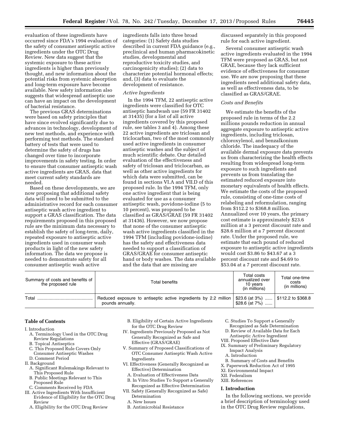evaluation of these ingredients have occurred since FDA's 1994 evaluation of the safety of consumer antiseptic active ingredients under the OTC Drug Review. New data suggest that the systemic exposure to these active ingredients is higher than previously thought, and new information about the potential risks from systemic absorption and long-term exposure have become available. New safety information also suggests that widespread antiseptic use can have an impact on the development of bacterial resistance.

The previous GRAS determinations were based on safety principles that have since evolved significantly due to advances in technology, development of new test methods, and experience with performing test methods. The standard battery of tests that were used to determine the safety of drugs has changed over time to incorporate improvements in safety testing. In order to ensure that consumer antiseptic wash active ingredients are GRAS, data that meet current safety standards are needed.

Based on these developments, we are now proposing that additional safety data will need to be submitted to the administrative record for each consumer antiseptic wash active ingredient to support a GRAS classification. The data requirements proposed in this proposed rule are the minimum data necessary to establish the safety of long-term, daily, repeated exposure to antiseptic active ingredients used in consumer wash products in light of the new safety information. The data we propose is needed to demonstrate safety for all consumer antiseptic wash active

ingredients falls into three broad categories: (1) Safety data studies described in current FDA guidance (e.g., preclinical and human pharmacokinetic studies, developmental and reproductive toxicity studies, and carcinogenicity studies); (2) data to characterize potential hormonal effects; and, (3) data to evaluate the development of resistance.

### *Active Ingredients*

In the 1994 TFM, 22 antiseptic active ingredients were classified for OTC antiseptic handwash use (59 FR 31402 at 31435) (for a list of all active ingredients covered by this proposed rule, see tables 3 and 4). Among these 22 active ingredients are triclosan and triclocarban, two of the most commonly used active ingredients in consumer antiseptic washes and the subject of much scientific debate. Our detailed evaluation of the effectiveness and safety of triclosan and triclocarban, as well as other active ingredients for which data were submitted, can be found in sections VI.A and VII.D of this proposed rule. In the 1994 TFM, only one active ingredient that is being evaluated for use as a consumer antiseptic wash, povidone-iodine (5 to 10 percent), was proposed to be classified as GRAS/GRAE (59 FR 31402 at 31436). However, we now propose that none of the consumer antiseptic wash active ingredients classified in the 1994 TFM (including povidone-iodine) has the safety and effectiveness data needed to support a classification of GRAS/GRAE for consumer antiseptic hand or body washes. The data available and the data that are missing are

discussed separately in this proposed rule for each active ingredient.

Several consumer antiseptic wash active ingredients evaluated in the 1994 TFM were proposed as GRAS, but not GRAE, because they lack sufficient evidence of effectiveness for consumer use. We are now proposing that these ingredients need additional safety data, as well as effectiveness data, to be classified as GRAS/GRAE.

#### *Costs and Benefits*

We estimate the benefits of the proposed rule in terms of the 2.2 millions pounds reduction in annual aggregate exposure to antiseptic active ingredients, including triclosan, chloroxylenol, and benzalkonium chloride. The inadequacy of the available dermal exposure data prevents us from characterizing the health effects resulting from widespread long-term exposure to such ingredients and prevents us from translating the estimated reduced exposure into monetary equivalents of health effects. We estimate the costs of the proposed rule, consisting of one-time costs of relabeling and reformulation, ranging from \$112.2 to \$368.8 million. Annualized over 10 years, the primary cost estimate is approximately \$23.6 million at a 3 percent discount rate and \$28.6 million at a 7 percent discount rate. Under the proposed rule, we estimate that each pound of reduced exposure to antiseptic active ingredients would cost \$3.86 to \$43.67 at a 3 percent discount rate and \$4.69 to \$53.04 at a 7 percent discount rate.

| Summary of costs and benefits of<br>the proposed rule | Total benefits                                                                       | Total costs<br>annualized over<br>10 years<br>(in millions)                     | Total one-time<br>costs<br>(in millions) |
|-------------------------------------------------------|--------------------------------------------------------------------------------------|---------------------------------------------------------------------------------|------------------------------------------|
| Total                                                 | Reduced exposure to antiseptic active ingredients by 2.2 million<br>pounds annually. | $\frac{1}{2}$ \$23.6 (at 3%) $\frac{1}{2}$ \$112.2 to \$368.8<br>\$28.6 (at 7%) |                                          |

#### **Table of Contents**

- I. Introduction
	- A. Terminology Used in the OTC Drug Review Regulations
- B. Topical Antiseptics
- C. This Proposed Rule Covers Only Consumer Antiseptic Washes
- D. Comment Period
- II. Background
	- A. Significant Rulemakings Relevant to This Proposed Rule
	- B. Public Meetings Relevant to This Proposed Rule
	- C. Comments Received by FDA
- III. Active Ingredients With Insufficient Evidence of Eligibility for the OTC Drug Review
	- A. Eligibility for the OTC Drug Review
- B. Eligibility of Certain Active Ingredients for the OTC Drug Review
- IV. Ingredients Previously Proposed as Not Generally Recognized as Safe and Effective (GRAS/GRAE)
- V. Summary of Proposed Classifications of OTC Consumer Antiseptic Wash Active Ingredients
- VI. Effectiveness (Generally Recognized as Effective) Determination
	- A. Evaluation of Effectiveness Data
- B. In Vitro Studies To Support a Generally Recognized as Effective Determination
- VII. Safety (Generally Recognized as Safe) Determination
	- A. New Issues
	- B. Antimicrobial Resistance
- C. Studies To Support a Generally
- Recognized as Safe Determination D. Review of Available Data for Each
- Antiseptic Active Ingredient VIII. Proposed Effective Date
- IX. Summary of Preliminary Regulatory Impact Analysis
	- A. Introduction
- B. Summary of Costs and Benefits
- X. Paperwork Reduction Act of 1995
- XI. Environmental Impact
- XII. Federalism

# XIII. References

# **I. Introduction**

In the following sections, we provide a brief description of terminology used in the OTC Drug Review regulations,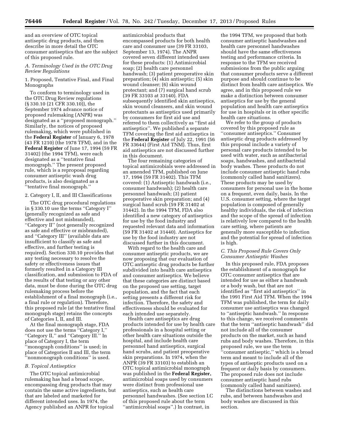and an overview of OTC topical antiseptic drug products, and then describe in more detail the OTC consumer antiseptics that are the subject of this proposed rule.

# *A. Terminology Used in the OTC Drug Review Regulations*

1. Proposed, Tentative Final, and Final Monographs

To conform to terminology used in the OTC Drug Review regulations (§ 330.10 (21 CFR 330.10)), the September 1974 advance notice of proposed rulemaking (ANPR) was designated as a ''proposed monograph.'' Similarly, the notices of proposed rulemaking, which were published in the **Federal Register** of January 6, 1978 (43 FR 1210) (the 1978 TFM), and in the **Federal Register** of June 17, 1994 (59 FR 31402) (the 1994 TFM), were each designated as a ''tentative final monograph.'' The present proposed rule, which is a reproposal regarding consumer antiseptic wash drug products, is also designated as a ''tentative final monograph.''

#### 2. Category I, II, and III Classifications

The OTC drug procedural regulations in § 330.10 use the terms ''Category I'' (generally recognized as safe and effective and not misbranded), ''Category II'' (not generally recognized as safe and effective or misbranded), and ''Category III'' (available data are insufficient to classify as safe and effective, and further testing is required). Section 330.10 provides that any testing necessary to resolve the safety or effectiveness issues that formerly resulted in a Category III classification, and submission to FDA of the results of that testing or any other data, must be done during the OTC drug rulemaking process before the establishment of a final monograph (i.e., a final rule or regulation). Therefore, this proposed rule (at the tentative final monograph stage) retains the concepts of Categories I, II, and III.

At the final monograph stage, FDA does not use the terms ''Category I,'' ''Category II,'' and ''Category III.'' In place of Category I, the term ''monograph conditions'' is used; in place of Categories II and III, the term ''nonmonograph conditions'' is used.

# *B. Topical Antiseptics*

The OTC topical antimicrobial rulemaking has had a broad scope, encompassing drug products that may contain the same active ingredients, but that are labeled and marketed for different intended uses. In 1974, the Agency published an ANPR for topical

antimicrobial products that encompassed products for both health care and consumer use (39 FR 33103, September 13, 1974). The ANPR covered seven different intended uses for these products: (1) Antimicrobial soap; (2) health care personnel handwash; (3) patient preoperative skin preparation; (4) skin antiseptic; (5) skin wound cleanser; (6) skin wound protectant; and (7) surgical hand scrub (39 FR 33103 at 33140). FDA subsequently identified skin antiseptics, skin wound cleansers, and skin wound protectants as antiseptics used primarily by consumers for first aid use and referred to them collectively as ''first aid antiseptics''. We published a separate TFM covering the first aid antiseptics in the **Federal Register** of July 22, 1991 (56 FR 33644) (First Aid TNM). Thus, first aid antiseptics are not discussed further in this document.

The four remaining categories of topical antimicrobials were addressed in an amended TFM, published on June 17, 1994 (59 FR 31402). This TFM covered: (1) Antiseptic handwash (i.e., consumer handwash); (2) health care personnel handwash; (3) patient preoperative skin preparation; and (4) surgical hand scrub (59 FR 31402 at 31442). In the 1994 TFM, FDA also identified a new category of antiseptics for use by the food industry and requested relevant data and information (59 FR 31402 at 31440). Antiseptics for use by the food industry are not discussed further in this document.

With regard to the health care and consumer antiseptic products, we are now proposing that our evaluation of OTC antiseptic drug products be further subdivided into health care antiseptics and consumer antiseptics. We believe that these categories are distinct based on the proposed use setting, target population, and the fact that each setting presents a different risk for infection. Therefore, the safety and effectiveness should be evaluated for each intended use separately.

Health care antiseptics are drug products intended for use by health care professionals in a hospital setting or other health care situations outside the hospital, and include health care personnel hand antiseptics, surgical hand scrubs, and patient preoperative skin preparations. In 1974, when the ANPR (39 FR 33103) to establish an OTC topical antimicrobial monograph was published in the **Federal Register,**  antimicrobial soaps used by consumers were distinct from professional use antiseptics, such as health care personnel handwashes. (See section I.C of this proposed rule about the term ''antimicrobial soaps''.) In contrast, in

the 1994 TFM, we proposed that both consumer antiseptic handwashes and health care personnel handwashes should have the same effectiveness testing and performance criteria. In response to the TFM we received submissions from the public arguing that consumer products serve a different purpose and should continue to be distinct from health care antiseptics. We agree, and in this proposed rule we make a distinction between consumer antiseptics for use by the general population and health care antiseptics for use in hospitals or in other specific health care situations.

We refer to the group of products covered by this proposed rule as ''consumer antiseptics.'' Consumer antiseptic drug products addressed by this proposal include a variety of personal care products intended to be used with water, such as antibacterial soaps, handwashes, and antibacterial body washes. These products do not include consumer antiseptic hand rubs (commonly called hand sanitizers). These products may be used by consumers for personal use in the home on a frequent, even daily, basis. In the U.S. consumer setting, where the target population is composed of generally healthy individuals, the risk of infection and the scope of the spread of infection is relatively low compared to the health care setting, where patients are generally more susceptible to infection and the potential for spread of infection is high.

# *C. This Proposed Rule Covers Only Consumer Antiseptic Washes*

In this proposed rule, FDA proposes the establishment of a monograph for OTC consumer antiseptics that are intended for use as either a handwash or a body wash, but that are not identified as ''first aid antiseptics'' in the 1991 First Aid TFM. When the 1994 TFM was published, the term for daily consumer use antiseptics was changed to ''antiseptic handwash.'' In response to this change, we received comments that the term ''antiseptic handwash'' did not include all of the consumer products on the market, such as hand rubs and body washes. Therefore, in this proposed rule, we use the term ''consumer antiseptic,'' which is a broad term and meant to include all of the types of antiseptic products used on a frequent or daily basis by consumers. The proposed rule does not include consumer antiseptic hand rubs (commonly called hand sanitizers).

The distinctions between washes and rubs, and between handwashes and body washes are discussed in this section.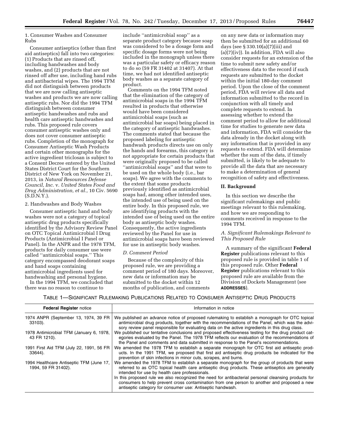1. Consumer Washes and Consumer Rubs

Consumer antiseptics (other than first aid antiseptics) fall into two categories: (1) Products that are rinsed off, including handwashes and body washes, and (2) products that are not rinsed off after use, including hand rubs and antibacterial wipes. The 1994 TFM did not distinguish between products that we are now calling antiseptic washes and products we are now calling antiseptic rubs. Nor did the 1994 TFM distinguish between consumer antiseptic handwashes and rubs and health care antiseptic handwashes and rubs. This proposed rule covers consumer antiseptic washes only and does not cover consumer antiseptic rubs. Completion of the monograph for Consumer Antiseptic Wash Products and certain other monographs for the active ingredient triclosan is subject to a Consent Decree entered by the United States District Court for the Southern District of New York on November 21, 2013, in *Natural Resources Defense Council, Inc.* v. *United States Food and Drug Administration, et al.,* 10 Civ. 5690 (S.D.N.Y.).

2. Handwashes and Body Washes

Consumer antiseptic hand and body washes were not a category of topical antiseptic drug products specifically identified by the Advisory Review Panel on OTC Topical Antimicrobial I Drug Products (Antimicrobial I Panel or Panel). In the ANPR and the 1978 TFM, products for daily consumer use were called ''antimicrobial soaps.'' This category encompassed deodorant soaps and hand soaps containing antimicrobial ingredients used for handwashing and personal hygiene.

In the 1994 TFM, we concluded that there was no reason to continue to

include ''antimicrobial soap'' as a separate product category because soap was considered to be a dosage form and specific dosage forms were not being included in the monograph unless there was a particular safety or efficacy reason to do so (59 FR 31402 at 31407). At that time, we had not identified antiseptic body washes as a separate category of product.

Comments on the 1994 TFM noted that the elimination of the category of antimicrobial soaps in the 1994 TFM resulted in products that otherwise would have been considered antimicrobial soaps (such as antimicrobial bar soaps) being placed in the category of antiseptic handwashes. The comments stated that because the proposed labeling for antiseptic handwash products directs use on only the hands and forearms, this category is not appropriate for certain products that were originally proposed to be called ''antimicrobial soaps'' and that were to be used on the whole body (i.e., bar soaps). We agree with the comments to the extent that some products previously identified as antimicrobial soaps had, among other intended uses, the intended use of being used on the entire body. In this proposed rule, we are identifying products with the intended use of being used on the entire body as antiseptic body washes. Consequently, the active ingredients reviewed by the Panel for use in antimicrobial soaps have been reviewed for use in antiseptic body washes.

#### *D. Comment Period*

Because of the complexity of this proposed rule, we are providing a comment period of 180 days. Moreover, new data or information may be submitted to the docket within 12 months of publication, and comments

on any new data or information may then be submitted for an additional 60 days (see § 330.10(a)(7)(iii) and  $(a)(7)(iv)$ ). In addition, FDA will also consider requests for an extension of the time to submit new safety and/or effectiveness data to the record if such requests are submitted to the docket within the initial 180-day comment period. Upon the close of the comment period, FDA will review all data and information submitted to the record in conjunction with all timely and complete requests to extend. In assessing whether to extend the comment period to allow for additional time for studies to generate new data and information, FDA will consider the data already in the docket along with any information that is provided in any requests to extend. FDA will determine whether the sum of the data, if timely submitted, is likely to be adequate to provide all the data that are necessary to make a determination of general recognition of safety and effectiveness.

#### **II. Background**

In this section we describe the significant rulemakings and public meetings relevant to this rulemaking, and how we are responding to comments received in response to the 1994 TFM.

*A. Significant Rulemakings Relevant to This Proposed Rule* 

A summary of the significant **Federal Register** publications relevant to this proposed rule is provided in table 1 of this proposed rule. Other **Federal Register** publications relevant to this proposed rule are available from the Division of Dockets Management (see **ADDRESSES**).

TABLE 1—SIGNIFICANT RULEMAKING PUBLICATIONS RELATED TO CONSUMER ANTISEPTIC DRUG PRODUCTS

| <b>Federal Register notice</b>                                  | Information in notice                                                                                                                                                                                                                                                                                 |
|-----------------------------------------------------------------|-------------------------------------------------------------------------------------------------------------------------------------------------------------------------------------------------------------------------------------------------------------------------------------------------------|
| 1974 ANPR (September 13, 1974, 39 FR<br>33103).                 | We published an advance notice of proposed rulemaking to establish a monograph for OTC topical<br>antimicrobial drug products, together with the recommendations of the Panel, which was the advi-<br>sory review panel responsible for evaluating data on the active ingredients in this drug class. |
| 1978 Antimicrobial TFM (January 6, 1978,<br>43 FR 1210).        | We published our tentative conclusions and proposed effectiveness testing for the drug product cat-<br>egories evaluated by the Panel. The 1978 TFM reflects our evaluation of the recommendations of<br>the Panel and comments and data submitted in response to the Panel's recommendations.        |
| 1991 First Aid TFM (July 22, 1991, 56 FR<br>33644).             | We amended the 1978 TFM to establish a separate monograph for OTC first aid antiseptic prod-<br>ucts. In the 1991 TFM, we proposed that first aid antiseptic drug products be indicated for the<br>prevention of skin infections in minor cuts, scrapes, and burns.                                   |
| 1994 Healthcare Antiseptic TFM (June 17,<br>1994, 59 FR 31402). | We amended the 1978 TFM to establish a separate monograph for the group of products that were<br>referred to as OTC topical health care antiseptic drug products. These antiseptics are generally<br>intended for use by health care professionals.                                                   |
|                                                                 | In this proposed rule we also recognized the need for antibacterial personal cleansing products for<br>consumers to help prevent cross contamination from one person to another and proposed a new<br>antiseptic category for consumer use: Antiseptic handwash.                                      |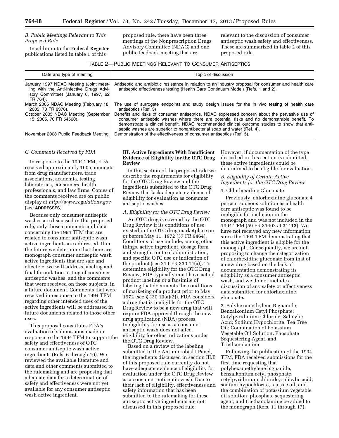# *B. Public Meetings Relevant to This Proposed Rule*

In addition to the **Federal Register**  publications listed in table 1 of this

proposed rule, there have been three meetings of the Nonprescription Drugs Advisory Committee (NDAC) and one public feedback meeting that are

relevant to the discussion of consumer antiseptic wash safety and effectiveness. These are summarized in table 2 of this proposed rule.

# TABLE 2—PUBLIC MEETINGS RELEVANT TO CONSUMER ANTISEPTICS

| Date and type of meeting                                                                                                              | Topic of discussion                                                                                                                                                                                                                                                                                                                                                    |
|---------------------------------------------------------------------------------------------------------------------------------------|------------------------------------------------------------------------------------------------------------------------------------------------------------------------------------------------------------------------------------------------------------------------------------------------------------------------------------------------------------------------|
| January 1997 NDAC Meeting (Joint meet-<br>ing with the Anti-Infective Drugs Advi-<br>sory Committee) (January 6, 1997, 62<br>FR 764). | Antiseptic and antibiotic resistance in relation to an industry proposal for consumer and health care<br>antiseptic effectiveness testing (Health Care Continuum Model) (Refs. 1 and 2).                                                                                                                                                                               |
| March 2005 NDAC Meeting (February 18,<br>2005, 70 FR 8376).                                                                           | The use of surrogate endpoints and study design issues for the in vivo testing of health care<br>antiseptics (Ref. 3)                                                                                                                                                                                                                                                  |
| October 2005 NDAC Meeting (September<br>15, 2005, 70 FR 54560).                                                                       | Benefits and risks of consumer antiseptics. NDAC expressed concern about the pervasive use of<br>consumer antiseptic washes where there are potential risks and no demonstrable benefit. To<br>demonstrate a clinical benefit, NDAC recommended clinical outcome studies to show that anti-<br>septic washes are superior to nonantibacterial soap and water (Ref. 4). |
| November 2008 Public Feedback Meeting                                                                                                 | Demonstration of the effectiveness of consumer antiseptics (Ref. 5).                                                                                                                                                                                                                                                                                                   |

#### *C. Comments Received by FDA*

In response to the 1994 TFM, FDA received approximately 160 comments from drug manufacturers, trade associations, academia, testing laboratories, consumers, health professionals, and law firms. Copies of the comments received are on public display at *<http://www.regulations.gov>*  (see **ADDRESSES**).

Because only consumer antiseptic washes are discussed in this proposed rule, only those comments and data concerning the 1994 TFM that are related to consumer antiseptic wash active ingredients are addressed. If in the future we determine that there are monograph consumer antiseptic wash active ingredients that are safe and effective, we will address labeling and final formulation testing of consumer antiseptic washes, and the comments that were received on those subjects, in a future document. Comments that were received in response to the 1994 TFM regarding other intended uses of the active ingredients will be addressed in future documents related to those other uses.

This proposal constitutes FDA's evaluation of submissions made in response to the 1994 TFM to support the safety and effectiveness of OTC consumer antiseptic wash active ingredients (Refs. 6 through 10). We reviewed the available literature and data and other comments submitted to the rulemaking and are proposing that adequate data for a determination of safety and effectiveness were not yet available for any consumer antiseptic wash active ingredient.

# **III. Active Ingredients With Insufficient Evidence of Eligibility for the OTC Drug Review**

In this section of the proposed rule we describe the requirements for eligibility for the OTC Drug Review and the ingredients submitted to the OTC Drug Review that lack adequate evidence of eligibility for evaluation as consumer antiseptic washes.

# *A. Eligibility for the OTC Drug Review*

An OTC drug is covered by the OTC Drug Review if its conditions of use existed in the OTC drug marketplace on or before May 11, 1972 (37 FR 9464). Conditions of use include, among other things, active ingredient, dosage form and strength, route of administration, and specific OTC use or indication of the product (see 21 CFR 330.14(a)). To determine eligibility for the OTC Drug Review, FDA typically must have actual product labeling or a facsimile of labeling that documents the conditions of marketing of a product prior to May 1972 (see § 330.10(a)(2)). FDA considers a drug that is ineligible for the OTC Drug Review to be a new drug that will require FDA approval through the new drug application (NDA) process. Ineligibility for use as a consumer antiseptic wash does not affect eligibility for other indications under the OTC Drug Review.

Based on a review of the labeling submitted to the Antimicrobial I Panel, the ingredients discussed in section III.B of this proposed rule currently do not have adequate evidence of eligibility for evaluation under the OTC Drug Review as a consumer antiseptic wash. Due to their lack of eligibility, effectiveness and safety information that has been submitted to the rulemaking for these antiseptic active ingredients are not discussed in this proposed rule.

However, if documentation of the type described in this section is submitted, these active ingredients could be determined to be eligible for evaluation.

#### *B. Eligibility of Certain Active Ingredients for the OTC Drug Review*

### 1. Chlorhexidine Gluconate

Previously, chlorhexidine gluconate 4 percent aqueous solution as a health care antiseptic was found to be ineligible for inclusion in the monograph and was not included in the 1994 TFM (59 FR 31402 at 31413). We have not received any new information since the 1994 TFM demonstrating that this active ingredient is eligible for the monograph. Consequently, we are not proposing to change the categorization of chlorhexidine gluconate from that of a new drug based on the lack of documentation demonstrating its eligibility as a consumer antiseptic wash, and we do not include a discussion of any safety or effectiveness data submitted for chlorhexidine gluconate.

2. Polyhexamethylene Biguanide; Benzalkonium Cetyl Phosphate; Cetylpyridinium Chloride; Salicylic Acid; Sodium Hypochlorite; Tea Tree Oil; Combination of Potassium Vegetable Oil Solution, Phosphate Sequestering Agent, and Triethanolamine

Following the publication of the 1994 TFM, FDA received submissions for the first time requesting that polyhexamethylene biguanide, benzalkonium cetyl phosphate, cetylpyridinium chloride, salicylic acid, sodium hypochlorite, tea tree oil, and the combination of potassium vegetable oil solution, phosphate sequestering agent, and triethanolamine be added to the monograph (Refs. 11 through 17).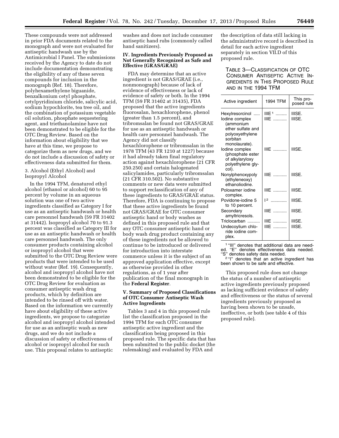These compounds were not addressed in prior FDA documents related to the monograph and were not evaluated for antiseptic handwash use by the Antimicrobial I Panel. The submissions received by the Agency to date do not include documentation demonstrating the eligibility of any of these seven compounds for inclusion in the monograph (Ref. 18). Therefore, polyhexamethylene biguanide, benzalkonium cetyl phosphate, cetylpyridinium chloride, salicylic acid, sodium hypochlorite, tea tree oil, and the combination of potassium vegetable oil solution, phosphate sequestering agent, and triethanolamine have not been demonstrated to be eligible for the OTC Drug Review. Based on the information about eligibility that we have at this time, we propose to categorize them as new drugs, and we do not include a discussion of safety or effectiveness data submitted for them.

#### 3. Alcohol (Ethyl Alcohol) and Isopropyl Alcohol

In the 1994 TFM, denatured ethyl alcohol (ethanol or alcohol) 60 to 95 percent by volume in an aqueous solution was one of two active ingredients classified as Category I for use as an antiseptic handwash or health care personnel handwash (59 FR 31402 at 31442). Isopropyl alcohol 70 to 91.3 percent was classified as Category III for use as an antiseptic handwash or health care personnel handwash. The only consumer products containing alcohol or isopropyl alcohol that were submitted to the OTC Drug Review were products that were intended to be used without water (Ref. 19). Consequently, alcohol and isopropyl alcohol have not been demonstrated to be eligible for the OTC Drug Review for evaluation as consumer antiseptic wash drug products, which by definition are intended to be rinsed off with water. Based on the information we currently have about eligibility of these active ingredients, we propose to categorize alcohol and isopropyl alcohol intended for use as an antiseptic wash as new drugs, and we do not include a discussion of safety or effectiveness of alcohol or isopropyl alcohol for such use. This proposal relates to antiseptic

washes and does not include consumer antiseptic hand rubs (commonly called hand sanitizers).

#### **IV. Ingredients Previously Proposed as Not Generally Recognized as Safe and Effective (GRAS/GRAE)**

FDA may determine that an active ingredient is not GRAS/GRAE (i.e., nonmonograph) because of lack of evidence of effectiveness or lack of evidence of safety or both. In the 1994 TFM (59 FR 31402 at 31435), FDA proposed that the active ingredients fluorosalan, hexachlorophene, phenol (greater than 1.5 percent), and tribromsalan be found not GRAS/GRAE for use as an antiseptic handwash or health care personnel handwash. The Agency did not classify hexachlorophene or tribromsalan in the 1978 TFM (43 FR 1210 at 1227) because it had already taken final regulatory action against hexachlorophene (21 CFR 250.250) and certain halogenated salicylamides, particularly tribromsalan (21 CFR 310.502). No substantive comments or new data were submitted to support reclassification of any of these ingredients to GRAS/GRAE status. Therefore, FDA is continuing to propose that these active ingredients be found not GRAS/GRAE for OTC consumer antiseptic hand or body washes as defined in this proposed rule and that any OTC consumer antiseptic hand or body wash drug product containing any of these ingredients not be allowed to continue to be introduced or delivered for introduction into interstate commerce unless it is the subject of an approved application effective, except as otherwise provided in other regulations, as of 1 year after publication of the final monograph in the **Federal Register**.

# **V. Summary of Proposed Classifications of OTC Consumer Antiseptic Wash Active Ingredients**

Tables 3 and 4 in this proposed rule list the classification proposed in the 1994 TFM for each OTC consumer antiseptic active ingredient and the classification being proposed in this proposed rule. The specific data that has been submitted to the public docket (the rulemaking) and evaluated by FDA and

the description of data still lacking in the administrative record is described in detail for each active ingredient separately in section VII.D of this proposed rule.

# TABLE 3—CLASSIFICATION OF OTC CONSUMER ANTISEPTIC ACTIVE IN-GREDIENTS IN THIS PROPOSED RULE AND IN THE 1994 TFM

| Active ingredient                                                                                              | 1994 TFM        | This pro-<br>posed rule |
|----------------------------------------------------------------------------------------------------------------|-----------------|-------------------------|
| Hexylresorcinol<br>$\cdots$<br>lodine complex<br>(ammonium<br>ether sulfate and<br>polyoxyethylene<br>sorbitan | $IIIF1$<br>IIIE | IIISE.<br>IIISE.        |
| monolaurate).<br>lodine complex<br>(phosphate ester<br>of alkylaryloxy<br>polyethylene gly-<br>col).           | I IIF           | IIISE.                  |
| Nonylphenoxypoly<br>(ethyleneoxy)<br>ethanoliodine.                                                            | I IIF           | IIISE.                  |
| Poloxamer iodine<br>complex.                                                                                   | I IIF           | IIISE.                  |
| Povidone-jodine 5<br>to 10 percent.                                                                            | $12$            | IIISE.                  |
| Secondary<br>amyltricresols.                                                                                   | I IIF           | IIISE.                  |
| Triclocarban<br>Undecoylium chlo-<br>ride jodine com-<br>plex.                                                 | $I IIF$<br>IIIE | IIISE.<br>IIISE.        |

1 ''III'' denotes that additional data are needed. "E" denotes effectiveness data needed.<br>"S" denotes safety data needed.

<sup>2</sup>"I" denotes that an active ingredient has been shown to be safe and effective.

This proposed rule does not change the status of a number of antiseptic active ingredients previously proposed as lacking sufficient evidence of safety and effectiveness or the status of several ingredients previously proposed as having been shown to be unsafe, ineffective, or both (see table 4 of this proposed rule).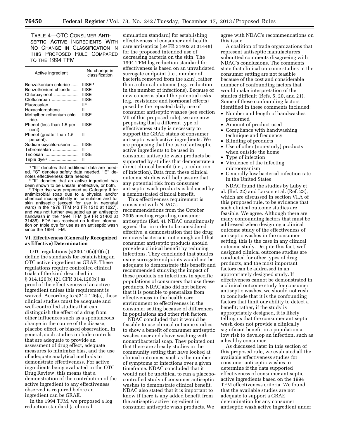TABLE 4—OTC CONSUMER ANTI-SEPTIC ACTIVE INGREDIENTS WITH NO CHANGE IN CLASSIFICATION IN THIS PROPOSED RULE COMPARED TO THE 1994 TFM

| Active ingredient                                                                                                                                      | No change in<br>classification                                             |
|--------------------------------------------------------------------------------------------------------------------------------------------------------|----------------------------------------------------------------------------|
| Benzalkonium chloride<br>Benzethonium chloride<br>Chloroxylenol<br>Cloflucarban<br>Fluorosalan<br>Hexachlorophene<br>Methylbenzethonium chlo-<br>ride. | IIISE <sup>1</sup><br><b>IIISE</b><br>IIISE<br>IIISE<br>II 2<br>н<br>IIISE |
| Phenol (less than 1.5 per-<br>cent).                                                                                                                   | <b>IIISE</b>                                                               |
| Phenol (greater than 1.5<br>percent).                                                                                                                  | н                                                                          |
| Sodium oxychlorosene<br>Tribromsalan<br>Triclosan<br>Triple dye <sup>3</sup>                                                                           | <b>IIISE</b><br>н<br>IIISE<br>Ш                                            |

1 ''III'' denotes that additional data are needed. "S" denotes safety data needed. "E" de-<br>notes effectiveness data needed.

<sup>2 "II"</sup> denotes that an active ingredient has been shown to be unsafe, ineffective, or both.

<sup>3</sup> Triple dye was proposed as Category II for antimicrobial soap due to a physical and/or chemical incompatibility in formulation and for skin antiseptic (except for use in neonatal ward) in the 1978 TFM (43 FR 1210 at 1227), and was not further evaluated as an antiseptic handwash in the 1994 TFM (59 FR 31402 at 31436). FDA has received no further information on triple dye for use as an antiseptic wash since the 1994 TFM.

# **VI. Effectiveness (Generally Recognized as Effective) Determination**

OTC regulations (§ 330.10(a)(4)(ii)) define the standards for establishing an OTC active ingredient as GRAE. These regulations require controlled clinical trials of the kind described in § 314.126(b) (21 CFR 314.126(b)) as proof of the effectiveness of an active ingredient unless this requirement is waived. According to § 314.126(a), these clinical studies must be adequate and well-controlled studies that can distinguish the effect of a drug from other influences such as a spontaneous change in the course of the disease, placebo effect, or biased observation. In general, such studies include controls that are adequate to provide an assessment of drug effect, adequate measures to minimize bias, and the use of adequate analytical methods to demonstrate effectiveness. For active ingredients being evaluated in the OTC Drug Review, this means that a demonstration of the contribution of the active ingredient to any effectiveness observed is required before an ingredient can be GRAE.

In the 1994 TFM, we proposed a log reduction standard (a clinical

simulation standard) for establishing effectiveness of consumer and health care antiseptics (59 FR 31402 at 31448) for the proposed intended use of decreasing bacteria on the skin. The 1994 TFM log reduction standard for effectiveness is based on an unvalidated surrogate endpoint (i.e., number of bacteria removed from the skin), rather than a clinical outcome (e.g., reduction in the number of infections). Because of new concerns about the potential risks (e.g., resistance and hormonal effects) posed by the repeated daily use of consumer antiseptic washes (see section VII of this proposed rule), we are now proposing that a different type of effectiveness study is necessary to support the GRAE status of consumer antiseptic wash active ingredients. We are proposing that the use of antiseptic active ingredients to be used in consumer antiseptic wash products be supported by studies that demonstrate a direct clinical benefit (i.e., a reduction of infection). Data from these clinical outcome studies will help assure that any potential risk from consumer antiseptic wash products is balanced by a demonstrated clinical benefit.

This effectiveness requirement is consistent with NDAC's recommendations from the October 2005 meeting regarding consumer antiseptics (Ref. 4). NDAC unanimously agreed that in order to be considered effective, a demonstration that the drug removes bacteria is not enough and that consumer antiseptic products should provide a clinical benefit by reducing infections. They concluded that studies using surrogate endpoints would not be adequate to demonstrate this benefit and recommended studying the impact of these products on infections in specific populations of consumers that use these products. NDAC also did not believe that it is possible to generalize from effectiveness in the health care environment to effectiveness in the consumer setting because of differences in populations and other risk factors.

NDAC concluded that it would be feasible to use clinical outcome studies to show a benefit of consumer antiseptic washes over and above washing with nonantibacterial soap. They pointed out that there are already studies in the community setting that have looked at clinical outcomes, such as the number of symptoms or infections over a given timeframe. NDAC concluded that it would not be unethical to run a placebocontrolled study of consumer antiseptic washes to demonstrate clinical benefit. NDAC also stated that it is important to know if there is any added benefit from the antiseptic active ingredient in consumer antiseptic wash products. We

agree with NDAC's recommendations on this issue.

A coalition of trade organizations that represent antiseptic manufacturers submitted comments disagreeing with NDAC's conclusions. The comments state that clinical outcome studies in the consumer setting are not feasible because of the cost and considerable number of confounding factors that would make interpretation of the studies difficult (Refs. 5, 20, and 21). Some of these confounding factors identified in these comments included:

- Number and length of handwashes performed
- Amount of product used
- Compliance with handwashing technique and frequency
- Blinding of products
- Use of other (non-study) products when outside the home
- Type of infection
- Virulence of the infecting microorganism
- Generally low bacterial infection rate in the United States

NDAC found the studies by Luby et al. (Ref. 22) and Larson et al. (Ref. 23), which are discussed in section VI.A of this proposed rule, to be evidence that such clinical outcome studies are feasible. We agree. Although there are many confounding factors that must be addressed when designing a clinical outcome study of the effectiveness of antiseptic washes in the consumer setting, this is the case in any clinical outcome study. Despite this fact, welldesigned clinical outcome studies are conducted for other types of drug products, and the most important factors can be addressed in an appropriately designed study. If effectiveness cannot be demonstrated in a clinical outcome study for consumer antiseptic washes, we should not rush to conclude that it is the confounding factors that limit our ability to detect a benefit; rather, if the study is appropriately designed, it is likely telling us that the consumer antiseptic wash does not provide a clinically significant benefit in a population at low risk to develop an infection, such as a healthy consumer.

As discussed later in this section of this proposed rule, we evaluated all the available effectiveness studies for consumer antiseptic washes to determine if the data supported effectiveness of consumer antiseptic active ingredients based on the 1994 TFM effectiveness criteria. We found that the available studies are not adequate to support a GRAE determination for any consumer antiseptic wash active ingredient under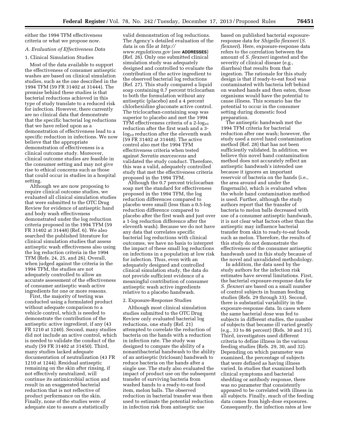either the 1994 TFM effectiveness criteria or what we propose now.

#### *A. Evaluation of Effectiveness Data*

#### 1. Clinical Simulation Studies

Most of the data available to support the effectiveness of consumer antiseptic washes are based on clinical simulation studies, such as the one described in the 1994 TFM (59 FR 31402 at 31444). The premise behind these studies is that bacterial reductions achieved in this type of study translate to a reduced risk for infection. However, there currently are no clinical data that demonstrate that the specific bacterial log reductions that we have relied upon as a demonstration of effectiveness lead to a specific reduction in infections. We now believe that the appropriate demonstration of effectiveness is a clinical outcome study. Moreover, clinical outcome studies are feasible in the consumer setting and may not give rise to ethical concerns such as those that could occur in studies in a hospital setting.

Although we are now proposing to require clinical outcome studies, we evaluated all clinical simulation studies that were submitted to the OTC Drug Review for evidence of antiseptic hand and body wash effectiveness demonstrated under the log reduction criteria proposed in the 1994 TFM (59 FR 31402 at 31448) (Ref. 6). We also searched the published literature for clinical simulation studies that assess antiseptic wash effectiveness also using the log reduction criteria in the 1994 TFM (Refs. 24, 25, and 26). Overall, when judged against the criteria in the 1994 TFM, the studies are not adequately controlled to allow an accurate assessment of the effectiveness of consumer antiseptic wash active ingredients for one or more reasons.

First, the majority of testing was conducted using a formulated product without adequate comparison to a vehicle control, which is needed to demonstrate the contribution of the antiseptic active ingredient, if any (43 FR 1210 at 1240). Second, many studies did not include an active control, which is needed to validate the conduct of the study (59 FR 31402 at 31450). Third, many studies lacked adequate documentation of neutralization (43 FR 1210 at 1244). Residual antiseptic remaining on the skin after rinsing, if not effectively neutralized, will continue its antimicrobial action and result in an exaggerated bacterial reduction that is not reflective of product performance on the skin. Finally, none of the studies were of adequate size to assure a statistically

valid demonstration of log reductions. The Agency's detailed evaluation of the data is on file at *[http://](http://www.regulations.gov) [www.regulations.gov](http://www.regulations.gov)* (see **ADDRESSES**) (Ref. 26). Only one submitted clinical simulation study was adequately designed and controlled to evaluate the contribution of the active ingredient to the observed bacterial log reductions (Ref. 27). This study compared a liquid soap containing 0.7 percent triclocarban to both the formulation without any antiseptic (placebo) and a 4 percent chlorhexidine gluconate active control. The triclocarban-containing soap was superior to placebo and met the 1994 TFM effectiveness criteria of a  $2$ -log<sub>10</sub> reduction after the first wash and a 3  $log_{10}$  reduction after the eleventh wash (59 FR 31402 at 31448). The active control also met the 1994 TFM effectiveness criteria when tested against *Serratia marcescens* and validated the study conduct. Therefore, this was a valid, adequately controlled study that met the effectiveness criteria proposed in the 1994 TFM.

Although the 0.7 percent triclocarban soap met the standard for effectiveness proposed in the 1994 TFM, the log reduction differences compared to placebo were small (less than a 0.5-log reduction difference compared to placebo after the first wash and just over a 1-log reduction difference after the eleventh wash). Because we do not have any data that correlates specific bacterial log reductions with clinical outcomes, we have no basis to interpret the impact of these small log reductions on infections in a population at low risk for infection. Thus, even with an adequately designed and controlled clinical simulation study, the data do not provide sufficient evidence of a meaningful contribution of consumer antiseptic wash active ingredients relative to a placebo handwash.

# 2. Exposure-Response Studies

Although most clinical simulation studies submitted to the OTC Drug Review only evaluated bacterial log reductions, one study (Ref. 21) attempted to correlate the reduction of bacteria on the hands with a reduction in infection rate. The study was designed to compare the ability of a nonantibacterial handwash to the ability of an antiseptic (triclosan) handwash to reduce bacteria on the hands after a single use. The study also evaluated the impact of product use on the subsequent transfer of surviving bacteria from washed hands to a ready-to-eat food item, melon balls. The observed reduction in bacterial transfer was then used to estimate the potential reduction in infection risk from antiseptic use

based on published bacterial exposureresponse data for *Shigella flexneri* (*S. flexneri*). Here, exposure-response data refers to the correlation between the amount of *S. flexneri* ingested and the severity of clinical disease (e.g., diarrhea) that results from that ingestion. The rationale for this study design is that if ready-to-eat food was contaminated with bacteria left behind on washed hands and then eaten, those organisms would have the potential to cause illness. This scenario has the potential to occur in the consumer setting during domestic food preparation.

The antiseptic handwash met the 1994 TFM criteria for bacterial reduction after one wash; however, the study used a novel hand contamination method (Ref. 28) that has not been sufficiently validated. In addition, we believe this novel hand contamination method does not accurately reflect an antiseptic handwash's intended use because it ignores an important reservoir of bacteria on the hands (i.e., the area around and under the fingernails), which is evaluated when the whole hand contamination method is used. Further, although the study authors report that the transfer of bacteria to melon balls decreased with use of a consumer antiseptic handwash, it is not clear what factors other than the antiseptic may influence bacterial transfer from skin to ready-to-eat foods such as melon. Therefore, the results of this study do not demonstrate the effectiveness of the consumer antiseptic handwash used in this study because of the novel and unvalidated methodology.

In addition, the data used by the study authors for the infection risk estimates have several limitations. First, the bacterial exposure-response data for *S. flexneri* are based on a small number of control subjects in human feeding studies (Refs. 29 through 33). Second, there is substantial variability in the exposure-response data. In cases where the same bacterial dose was fed to subjects in different studies, the number of subjects that became ill varied greatly (e.g., 33 to 86 percent) (Refs. 30 and 31). Third, investigators used different criteria to define illness in the various feeding studies (Refs. 29, 30, and 32). Depending on which parameter was examined, the percentage of subjects that were defined as having illness varied. In studies that examined both clinical symptoms and bacterial shedding or antibody response, there was no parameter that consistently appeared to be correlated with illness in all subjects. Finally, much of the feeding data comes from high-dose exposures. Consequently, the infection rates at low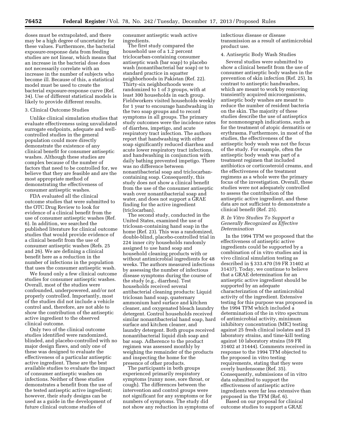doses must be extrapolated, and there may be a high degree of uncertainty for these values. Furthermore, the bacterial exposure-response data from feeding studies are not linear, which means that an increase in the bacterial dose does not necessarily correlate with an increase in the number of subjects who become ill. Because of this, a statistical model must be used to create the bacterial exposure-response curve (Ref. 34). Use of different statistical models is likely to provide different results.

# 3. Clinical Outcome Studies

Unlike clinical simulation studies that evaluate effectiveness using unvalidated surrogate endpoints, adequate and wellcontrolled studies in the general population could more directly demonstrate the existence of any clinical benefit for consumer antiseptic washes. Although these studies are complex because of the number of factors that need to be controlled for, we believe that they are feasible and are the most appropriate method of demonstrating the effectiveness of consumer antiseptic washes.

FDA evaluated all the clinical outcome studies that were submitted to the OTC Drug Review to look for evidence of a clinical benefit from the use of consumer antiseptic washes (Ref. 6). In addition, we searched the published literature for clinical outcome studies that would provide evidence of a clinical benefit from the use of consumer antiseptic washes (Refs. 25 and 26). We are defining a clinical benefit here as a reduction in the number of infections in the population that uses the consumer antiseptic wash.

We found only a few clinical outcome studies for consumer antiseptic washes. Overall, most of the studies were confounded, underpowered, and/or not properly controlled. Importantly, most of the studies did not include a vehicle control and, therefore, are not able to show the contribution of the antiseptic active ingredient to the observed clinical outcome.

Only two of the clinical outcome studies identified were randomized, blinded, and placebo-controlled with no major design flaws, and only one of these was designed to evaluate the effectiveness of a particular antiseptic active ingredient. These are the best available studies to evaluate the impact of consumer antiseptic washes on infections. Neither of these studies demonstrates a benefit from the use of the tested antiseptic active ingredient; however, their study designs can be used as a guide in the development of future clinical outcome studies of

consumer antiseptic wash active ingredients.

The first study compared the household use of a 1.2 percent triclocarban-containing consumer antiseptic wash (bar soap) to placebo wash (nonantibacterial bar soap) or to standard practice in squatter neighborhoods in Pakistan (Ref. 22). Thirty-six neighborhoods were randomized to 1 of 3 groups, with at least 300 households in each group. Fieldworkers visited households weekly for 1 year to encourage handwashing in the two soap groups and to record symptoms in all groups. The primary study outcomes were the incidence rates of diarrhea, impetigo, and acute respiratory tract infection. The authors report that handwashing with either soap significantly reduced diarrhea and acute lower respiratory tract infections, and handwashing in conjunction with daily bathing prevented impetigo. There was no difference between nonantibacterial soap and triclocarbancontaining soap. Consequently, this study does not show a clinical benefit from the use of the consumer antiseptic wash over nonantibacterial soap and water, and does not support a GRAE finding for the active ingredient (triclocarban).

The second study, conducted in the United States, examined the use of triclosan-containing hand soap in the home (Ref. 23). This was a randomized, double-blind, placebo-controlled trial in 224 inner city households randomly assigned to use hand soap and household cleaning products with or without antimicrobial ingredients for 48 weeks. The authors measured infections by assessing the number of infectious disease symptoms during the course of the study (e.g., diarrhea). Test households received several antibacterial cleaning products: Liquid triclosan hand soap, quaternary ammonium hard surface and kitchen cleaner, and oxygenated bleach laundry detergent. Control households received similar nonantibacterial hand soap, hard surface and kitchen cleaner, and laundry detergent. Both groups received nonantibacterial liquid dish soap and bar soap. Adherence to the product regimen was assessed monthly by weighing the remainder of the products and inspecting the home for the presence of other products.

The participants in both groups experienced primarily respiratory symptoms (runny nose, sore throat, or cough). The differences between the intervention and control groups were not significant for any symptoms or for numbers of symptoms. The study did not show any reduction in symptoms of infectious disease or disease transmission as a result of antimicrobial product use.

# 4. Antiseptic Body Wash Studies

Several studies were submitted to show a clinical benefit from the use of consumer antiseptic body washes in the prevention of skin infection (Ref. 25). In contrast to antiseptic handwashes, which are meant to work by removing transiently acquired microorganisms, antiseptic body washes are meant to reduce the number of resident bacteria on the skin. The majority of these studies describe the use of antiseptics for nonmonograph indications, such as for the treatment of atopic dermatitis or erythrasma. Furthermore, in most of the studies, the effectiveness of the antiseptic body wash was not the focus of the study. For example, often the antiseptic body wash was part of a treatment regimen that included antibiotics or corticosteroid creams, and the effectiveness of the treatment regimens as a whole were the primary focus of the investigation. Overall, these studies were not adequately controlled to assess the contribution of the antiseptic active ingredient, and these data are not sufficient to demonstrate a clinical benefit (Ref. 25).

# *B. In Vitro Studies To Support a Generally Recognized as Effective Determination*

In the 1994 TFM we proposed that the effectiveness of antiseptic active ingredients could be supported by a combination of in vitro studies and in vivo clinical simulation testing as described in § 333.470 (59 FR 31402 at 31437). Today, we continue to believe that a GRAE determination for an antiseptic active ingredient should be supported by an adequate characterization of the antimicrobial activity of the ingredient. Extensive testing for this purpose was proposed in the 1994 TFM which included a determination of the in vitro spectrum of antimicrobial activity, minimum inhibitory concentration (MIC) testing against 25 fresh clinical isolates and 25 laboratory strains, and time-kill testing against 10 laboratory strains (59 FR 31402 at 31444). Comments received in response to the 1994 TFM objected to the proposed in vitro testing requirements, stating that they were overly burdensome (Ref. 35). Consequently, submissions of in vitro data submitted to support the effectiveness of antiseptic active ingredients were far less extensive than proposed in the TFM (Ref. 6).

Based on our proposal for clinical outcome studies to support a GRAE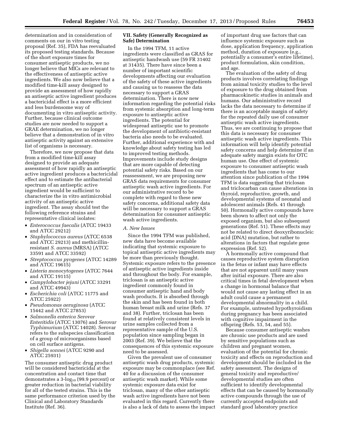determination and in consideration of comments on our in vitro testing proposal (Ref. 35), FDA has reevaluated its proposed testing standards. Because of the short exposure times for consumer antiseptic products, we no longer believe that MICs are relevant to the effectiveness of antiseptic active ingredients. We also now believe that a modified time-kill assay designed to provide an assessment of how rapidly an antiseptic active ingredient produces a bactericidal effect is a more efficient and less burdensome way of documenting in vitro antiseptic activity. Further, because clinical outcome studies are now needed to support a GRAE determination, we no longer believe that a demonstration of in vitro antiseptic activity against an extensive list of organisms is necessary.

Therefore, we now propose that data from a modified time-kill assay designed to provide an adequate assessment of how rapidly an antiseptic active ingredient produces a bactericidal effect and to estimate the antibacterial spectrum of an antiseptic active ingredient would be sufficient to characterize the in vitro antimicrobial activity of an antiseptic active ingredient. The assay should test the following reference strains and representative clinical isolates:

- *Enterococcus faecalis* (ATCC 19433 and ATCC 29212)
- *Staphylococcus aureus* (ATCC 6538 and ATCC 29213) and methicillinresistant *S. aureus* (MRSA) (ATCC 33591 and ATCC 33592)
- *Streptococcus pyogenes* (ATCC 14289 and ATCC 19615)
- *Listeria monocytogenes* (ATCC 7644 and ATCC 19115)
- *Campylobacter jejuni* (ATCC 33291 and ATCC 49943)
- *Escherichia coli* (ATCC 11775 and ATCC 25922)
- *Pseudomonas aeruginosa* (ATCC 15442 and ATCC 27853)
- *Salmonella enterica Serovar Enteritidis* (ATCC 13076) and *Serovar Typhimurium* (ATCC 14028). Serovar refers to the subspecies classification of a group of microorganisms based on cell surface antigens.
- *Shigella sonnei* (ATCC 9290 and ATCC 25931)

The consumer antiseptic drug product will be considered bactericidal at the concentration and contact time that demonstrates a  $3$ -log<sub>10</sub> (99.9 percent) or greater reduction in bacterial viability for all of the tested strains. This is the same performance criterion used by the Clinical and Laboratory Standards Institute (Ref. 36).

# **VII. Safety (Generally Recognized as Safe) Determination**

In the 1994 TFM, 11 active ingredients were classified as GRAS for antiseptic handwash use (59 FR 31402 at 31435). There have since been a number of important scientific developments affecting our evaluation of the safety of these active ingredients and causing us to reassess the data necessary to support a GRAS determination. There is now new information regarding the potential risks from systemic absorption and long-term exposure to antiseptic active ingredients. The potential for widespread antiseptic use to promote the development of antibiotic-resistant bacteria also needs to be evaluated. Further, additional experience with and knowledge about safety testing has led to improved testing methods. Improvements include study designs that are more capable of detecting potential safety risks. Based on our reassessment, we are proposing new GRAS data requirements for consumer antiseptic wash active ingredients. For our administrative record to be complete with regard to these new safety concerns, additional safety data will be necessary to support a GRAS determination for consumer antiseptic wash active ingredients.

#### *A. New Issues*

Since the 1994 TFM was published, new data have become available indicating that systemic exposure to topical antiseptic active ingredients may be more than previously thought. Systemic exposure refers to the presence of antiseptic active ingredients inside and throughout the body. For example, triclosan is an antiseptic active ingredient commonly found in consumer antiseptic hand and body wash products. It is absorbed through the skin and has been found in both human breast milk and urine (Refs. 37 and 38). Further, triclosan has been found at relatively consistent levels in urine samples collected from a representative sample of the U.S. population since sampling began in 2003 (Ref. 39). We believe that the consequences of this systemic exposure need to be assessed.

Given the prevalent use of consumer antiseptic wash drug products, systemic exposure may be commonplace (see Ref. 40 for a discussion of the consumer antiseptic wash market). While some systemic exposure data exist for triclosan, many of the other antiseptic wash active ingredients have not been evaluated in this regard. Currently there is also a lack of data to assess the impact

of important drug use factors that can influence systemic exposure such as dose, application frequency, application method, duration of exposure (e.g., potentially a consumer's entire lifetime), product formulation, skin condition, and age.

The evaluation of the safety of drug products involves correlating findings from animal toxicity studies to the level of exposure to the drug obtained from pharmacokinetic studies in animals and humans. Our administrative record lacks the data necessary to determine if there is an acceptable margin of safety for the repeated daily use of consumer antiseptic wash active ingredients. Thus, we are continuing to propose that this data is necessary for consumer antiseptic wash active ingredients. This information will help identify potential safety concerns and help determine if an adequate safety margin exists for OTC human use. One effect of systemic exposure to consumer antiseptic wash ingredients that has come to our attention since publication of the 1994 TFM is data suggesting that triclosan and triclocarban can cause alterations in thyroid, reproductive, growth, and developmental systems of neonatal and adolescent animals (Refs. 41 through 50). Hormonally active compounds have been shown to affect not only the exposed organism, but also subsequent generations (Ref. 51). These effects may not be related to direct deoxyribonucleic acid (DNA) mutation, but rather to alterations in factors that regulate gene expression (Ref. 52).

A hormonally active compound that causes reproductive system disruption in the fetus or infant may have effects that are not apparent until many years after initial exposure. There are also critical times in fetal development when a change in hormonal balance that would not cause any lasting effect in an adult could cause a permanent developmental abnormality in a child. For example, untreated hypothyroidism during pregnancy has been associated with cognitive impairment in the offspring (Refs. 53, 54, and 55).

Because consumer antiseptic washes are chronic use products and are used by sensitive populations such as children and pregnant women, evaluation of the potential for chronic toxicity and effects on reproduction and development should be included in the safety assessment. The designs of general toxicity and reproductive/ developmental studies are often sufficient to identify developmental effects that can be caused by hormonally active compounds through the use of currently accepted endpoints and standard good laboratory practice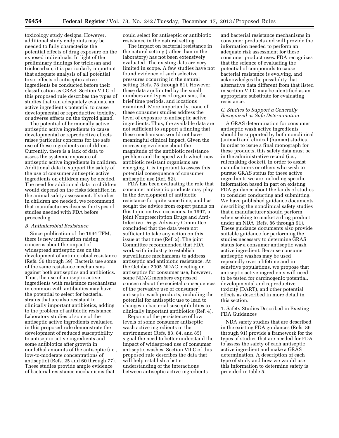toxicology study designs. However, additional study endpoints may be needed to fully characterize the potential effects of drug exposure on the exposed individuals. In light of the preliminary findings for triclosan and triclocarban, it is particularly important that adequate analysis of all potential toxic effects of antiseptic active ingredients be conducted before their classification as GRAS. Section VII.C of this proposed rule describes the types of studies that can adequately evaluate an active ingredient's potential to cause developmental or reproductive toxicity, or adverse effects on the thyroid gland.

The potential of hormonally active antiseptic active ingredients to cause developmental or reproductive effects raises particular concerns for the safe use of these ingredients on children. Currently, there is a lack of data to assess the systemic exposure of antiseptic active ingredients in children. Additional data to support the safety of the use of consumer antiseptic active ingredients on children may be needed. The need for additional data in children would depend on the risks identified in the animal safety assessment. If studies in children are needed, we recommend that manufacturers discuss the types of studies needed with FDA before proceeding.

#### *B. Antimicrobial Resistance*

Since publication of the 1994 TFM, there is new information raising concerns about the impact of widespread antiseptic use on the development of antimicrobial resistance (Refs. 56 through 59). Bacteria use some of the same resistance mechanisms against both antiseptics and antibiotics. Thus, the use of antiseptic active ingredients with resistance mechanisms in common with antibiotics may have the potential to select for bacterial strains that are also resistant to clinically important antibiotics, adding to the problem of antibiotic resistance. Laboratory studies of some of the antiseptic active ingredients evaluated in this proposed rule demonstrate the development of reduced susceptibility to antiseptic active ingredients and some antibiotics after growth in nonlethal amounts of the antiseptic (i.e., low-to-moderate concentrations of antiseptic) (Refs. 25 and 60 through 77). These studies provide ample evidence of bacterial resistance mechanisms that

could select for antiseptic or antibiotic resistance in the natural setting.

The impact on bacterial resistance in the natural setting (rather than in the laboratory) has not been extensively evaluated. The existing data are very limited in scope. A few studies have not found evidence of such selective pressures occurring in the natural setting (Refs. 78 through 81). However, these data are limited by the small numbers and types of organisms, the brief time periods, and locations examined. More importantly, none of these consumer studies address the level of exposure to antiseptic active ingredients. Thus, the available data are not sufficient to support a finding that these mechanisms would not have meaningful clinical impact. Given the increasing evidence about the magnitude of the antibiotic resistance problem and the speed with which new antibiotic resistant organisms are emerging, it is important to assess this potential consequence of consumer antiseptic use (Ref. 82).

FDA has been evaluating the role that consumer antiseptic products may play in the development of antibiotic resistance for quite some time, and has sought the advice from expert panels on this topic on two occasions. In 1997, a joint Nonprescription Drugs and Anti-Infective Drugs Advisory Committee concluded that the data were not sufficient to take any action on this issue at that time (Ref. 2). The joint Committee recommended that FDA work with industry to establish surveillance mechanisms to address antiseptic and antibiotic resistance. At the October 2005 NDAC meeting on antiseptics for consumer use, however, some NDAC members expressed concern about the societal consequences of the pervasive use of consumer antiseptic wash products, including the potential for antiseptic use to lead to changes in bacterial susceptibilities to clinically important antibiotics (Ref. 4).

Reports of the persistence of low levels of some consumer antiseptic wash active ingredients in the environment (Refs. 83, 84, and 85) signal the need to better understand the impact of widespread use of consumer antiseptic washes. Section VII.C of this proposed rule describes the data that will help establish a better understanding of the interactions between antiseptic active ingredients

and bacterial resistance mechanisms in consumer products and will provide the information needed to perform an adequate risk assessment for these consumer product uses. FDA recognizes that the science of evaluating the potential of compounds to cause bacterial resistance is evolving, and acknowledges the possibility that alternative data different from that listed in section VII.C may be identified as an appropriate substitute for evaluating resistance.

# *C. Studies to Support a Generally Recognized as Safe Determination*

A GRAS determination for consumer antiseptic wash active ingredients should be supported by both nonclinical (animal) and clinical (human) studies. In order to issue a final monograph for these products, this safety data must be in the administrative record (i.e., rulemaking docket). In order to assist manufacturers or others who wish to pursue GRAS status for these active ingredients we are including specific information based in part on existing FDA guidance about the kinds of studies to consider conducting and submitting. We have published guidance documents describing the nonclinical safety studies that a manufacturer should perform when seeking to market a drug product under an NDA (Refs. 86 through 91). These guidance documents also provide suitable guidance for performing the studies necessary to determine GRAS status for a consumer antiseptic wash active ingredient. Because consumer antiseptic washes may be used repeatedly over a lifetime and in sensitive populations, we propose that antiseptic active ingredients will need to be tested for carcinogenic potential, developmental and reproductive toxicity (DART), and other potential effects as described in more detail in this section.

1. Safety Studies Described in Existing FDA Guidances

NDA safety studies that are described in the existing FDA guidances (Refs. 86 through 91) provide a framework for the types of studies that are needed for FDA to assess the safety of each antiseptic active ingredient and make a GRAS determination. A description of each type of study and how we would use this information to determine safety is provided in table 5.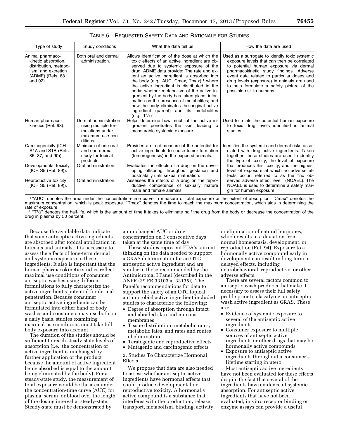| Type of study                                                                                                           | Study conditions                                                                                | What the data tell us                                                                                                                                                                                                                                                                                                                                                                                                                                                                                                                                                                                                       | How the data are used                                                                                                                                                                                                                                                                                                                                   |  |  |
|-------------------------------------------------------------------------------------------------------------------------|-------------------------------------------------------------------------------------------------|-----------------------------------------------------------------------------------------------------------------------------------------------------------------------------------------------------------------------------------------------------------------------------------------------------------------------------------------------------------------------------------------------------------------------------------------------------------------------------------------------------------------------------------------------------------------------------------------------------------------------------|---------------------------------------------------------------------------------------------------------------------------------------------------------------------------------------------------------------------------------------------------------------------------------------------------------------------------------------------------------|--|--|
| Animal pharmaco-<br>kinetic absorption,<br>distribution, metabo-<br>lism, and excretion<br>(ADME) (Refs. 88<br>and 92). | Both oral and dermal<br>administration.                                                         | Allows identification of the dose at which the<br>toxic effects of an active ingredient are ob-<br>served due to systemic exposure of the<br>drug. ADME data provide: The rate and ex-<br>tent an active ingredient is absorbed into<br>the body (e.g., AUC, Cmax, Tmax); <sup>1</sup> where<br>the active ingredient is distributed in the<br>body; whether metabolism of the active in-<br>gredient by the body has taken place; infor-<br>mation on the presence of metabolites; and<br>how the body eliminates the original active<br>ingredient (parent) and its metabolites<br>(e.g., $T\frac{1}{2}$ ) <sup>2</sup> . | Used as a surrogate to identify toxic systemic<br>exposure levels that can then be correlated<br>to potential human exposure via dermal<br>pharmacokinetic study findings. Adverse<br>event data related to particular doses and<br>drug levels (exposure) in animals are used<br>to help formulate a safety picture of the<br>possible risk to humans. |  |  |
| Human pharmaco-<br>kinetics (Ref. 93).                                                                                  | Dermal administration<br>using multiple for-<br>mulations under<br>maximum use con-<br>ditions. | Helps determine how much of the active in-<br>gredient penetrates the skin, leading to<br>measurable systemic exposure.                                                                                                                                                                                                                                                                                                                                                                                                                                                                                                     | Used to relate the potential human exposure<br>to toxic drug levels identified in animal<br>studies.                                                                                                                                                                                                                                                    |  |  |
| Carcinogenicity (ICH<br>S1A and S1B (Refs.<br>86, 87, and 90)).                                                         | Minimum of one oral<br>and one dermal<br>study for topical<br>products.                         | Provides a direct measure of the potential for<br>active ingredients to cause tumor formation<br>(tumorogenesis) in the exposed animals.                                                                                                                                                                                                                                                                                                                                                                                                                                                                                    | Identifies the systemic and dermal risks asso-<br>ciated with drug active ingredients. Taken<br>together, these studies are used to identify<br>the type of toxicity, the level of exposure                                                                                                                                                             |  |  |
| Developmental toxicity<br>(ICH S5 (Ref. 89)).                                                                           | Oral administration.                                                                            | Evaluates the effects of a drug on the devel-<br>oping offspring throughout gestation and<br>postnatally until sexual maturation.                                                                                                                                                                                                                                                                                                                                                                                                                                                                                           | that produces this toxicity, and the highest<br>level of exposure at which no adverse ef-<br>fects occur, referred to as the "no ob-                                                                                                                                                                                                                    |  |  |
| Reproductive toxicity<br>(ICH S5 (Ref. 89)).                                                                            | Oral administration.                                                                            | Assesses the effects of a drug on the repro-<br>ductive competence of sexually mature<br>male and female animals.                                                                                                                                                                                                                                                                                                                                                                                                                                                                                                           | served adverse effect level" (NOAEL). The<br>NOAEL is used to determine a safety mar-<br>gin for human exposure.                                                                                                                                                                                                                                        |  |  |

# TABLE 5—REQUESTED SAFETY DATA AND RATIONALE FOR STUDIES

1 ''AUC'' denotes the area under the concentration-time curve, a measure of total exposure or the extent of absorption. ''Cmax'' denotes the maximum concentration, which is peak exposure. "Tmax" denotes the time to reach the maximum concentration, which aids in determining the<br>rate of exposure.

 $2$  "T $1/2$ " denotes the half-life, which is the amount of time it takes to eliminate half the drug from the body or decrease the concentration of the drug in plasma by 50 percent.

Because the available data indicate that some antiseptic active ingredients are absorbed after topical application in humans and animals, it is necessary to assess the effects of long-term dermal and systemic exposure to these ingredients. It also is important that the human pharmacokinetic studies reflect maximal use conditions of consumer antiseptic washes using different formulations to fully characterize the active ingredient's potential for dermal penetration. Because consumer antiseptic active ingredients can be formulated into either hand or body washes and consumers may use both on a daily basis, studies examining maximal use conditions must take full body exposure into account.

The duration of the studies should be sufficient to reach steady-state levels of absorption (i.e., the concentration of active ingredient is unchanged by further application of the product because the amount of active ingredient being absorbed is equal to the amount being eliminated by the body). For a steady-state study, the measurement of total exposure would be the area under the concentration-time curve (AUC) for plasma, serum, or blood over the length of the dosing interval at steady-state. Steady-state must be demonstrated by

an unchanged AUC or drug concentration on 3 consecutive days taken at the same time of day.

These studies represent FDA's current thinking on the data needed to support a GRAS determination for an OTC antiseptic active ingredient and are similar to those recommended by the Antimicrobial I Panel (described in the ANPR (39 FR 33103 at 33135)). The Panel's recommendations for data to support the safety of an OTC topical antimicrobial active ingredient included studies to characterize the following:

- Degree of absorption through intact and abraded skin and mucous membranes
- Tissue distribution, metabolic rates, metabolic fates, and rates and routes of elimination
- Teratogenic and reproductive effects
- Mutagenic and carcinogenic effects

2. Studies To Characterize Hormonal Effects

We propose that data are also needed to assess whether antiseptic active ingredients have hormonal effects that could produce developmental or reproductive toxicity. A hormonally active compound is a substance that interferes with the production, release, transport, metabolism, binding, activity,

or elimination of natural hormones, which results in a deviation from normal homeostasis, development, or reproduction (Ref. 94). Exposure to a hormonally active compound early in development can result in long-term or delayed effects, including neurobehavioral, reproductive, or other adverse effects.

There are several factors common to antiseptic wash products that make it necessary to assess their full safety profile prior to classifying an antiseptic wash active ingredient as GRAS. These are:

- Evidence of systemic exposure to several of the antiseptic active ingredients
- Consumer exposure to multiple sources of antiseptic active ingredients or other drugs that may be hormonally active compounds
- Exposure to antiseptic active ingredients throughout a consumer's lifetime starting in utero

Most antiseptic active ingredients have not been evaluated for these effects despite the fact that several of the ingredients have evidence of systemic absorption. For antiseptic active ingredients that have not been evaluated, in vitro receptor binding or enzyme assays can provide a useful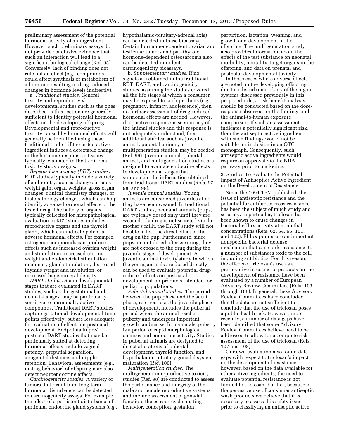preliminary assessment of the potential hormonal activity of an ingredient. However, such preliminary assays do not provide conclusive evidence that such an interaction will lead to a significant biological change (Ref. 95). Conversely, lack of binding does not rule out an effect (e.g., compounds could affect synthesis or metabolism of a hormone resulting in drug-induced changes in hormone levels indirectly).

a. *Traditional studies.* General toxicity and reproductive/ developmental studies such as the ones described in this section are generally sufficient to identify potential hormonal effects on the developing offspring. Developmental and reproductive toxicity caused by hormonal effects will generally be identified using these traditional studies if the tested active ingredient induces a detectable change in the hormone-responsive tissues typically evaluated in the traditional toxicity study designs.

*Repeat-dose toxicity (RDT) studies.*  RDT studies typically include a variety of endpoints, such as changes in body weight gain, organ weights, gross organ changes, clinical chemistry changes, or histopathology changes, which can help identify adverse hormonal effects of the tested drug. The battery of organs typically collected for histopathological evaluation in RDT studies includes reproductive organs and the thyroid gland, which can indicate potential adverse hormonal effects. For example, estrogenic compounds can produce effects such as increased ovarian weight and stimulation, increased uterine weight and endometrial stimulation, mammary gland stimulation, decreased thymus weight and involution, or increased bone mineral density.

*DART studies.* Some developmental stages that are evaluated in DART studies, such as the gestational and neonatal stages, may be particularly sensitive to hormonally active compounds. Traditional DART studies capture gestational developmental time points effectively, but are less adequate for evaluation of effects on postnatal development. Endpoints in pre/ postnatal DART studies that may be particularly suited at detecting hormonal effects include vaginal patency, preputial separation, anogenital distance, and nipple retention. Behavioral assessments (e.g., mating behavior) of offspring may also detect neuroendocrine effects.

*Carcinogenicity studies.* A variety of tumors that result from long-term hormonal disturbance can be detected in carcinogenicity assays. For example, the effect of a persistent disturbance of particular endocrine gland systems (e.g., hypothalamic-pituitary-adrenal axis) can be detected in these bioassays. Certain hormone-dependent ovarian and testicular tumors and parathyroid hormone-dependent osteosarcoma also can be detected in rodent carcinogenicity bioassays.

b. *Supplementary studies.* If no signals are obtained in the traditional RDT, DART, and carcinogenicity studies, assuming the studies covered all the life stages at which a consumer may be exposed to such products (e.g., pregnancy, infancy, adolescence), then no further assessment of drug-induced hormonal effects are needed. However, if a positive response is seen in any of the animal studies and this response is not adequately understood, then additional studies, such as juvenile animal, pubertal animal, or multigeneration studies, may be needed (Ref. 96). Juvenile animal, pubertal animal, and multigeneration studies are designed to evaluate endocrine effects in developmental stages that supplement the information obtained from traditional DART studies (Refs. 97, 98, and 99).

*Juvenile animal studies.* Young animals are considered juveniles after they have been weaned. In traditional DART studies, neonatal animals (pups) are typically dosed only until they are weaned. If a drug is not secreted via the mother's milk, the DART study will not be able to test the direct effect of the drug on the pup. Furthermore, since pups are not dosed after weaning, they are not exposed to the drug during the juvenile stage of development. A juvenile animal toxicity study in which the young animals are dosed directly can be used to evaluate potential druginduced effects on postnatal development for products intended for pediatric populations.

*Pubertal animal studies.* The period between the pup phase and the adult phase, referred to as the juvenile phase of development, includes the pubertal period where the animal reaches puberty and undergoes important growth landmarks. In mammals, puberty is a period of rapid morphological changes and endocrine activity. Studies in pubertal animals are designed to detect alterations of pubertal development, thyroid function, and hypothalamic-pituitary-gonadal system maturation (Ref. 100).

*Multigeneration studies.* The multigeneration reproductive toxicity studies (Ref. 98) are conducted to assess the performance and integrity of the male and female reproductive systems and include assessment of gonadal function, the estrous cycle, mating behavior, conception, gestation,

parturition, lactation, weaning, and growth and development of the offspring. The multigeneration study also provides information about the effects of the test substance on neonatal morbidity, mortality, target organs in the offspring, and data on prenatal and postnatal developmental toxicity.

In those cases where adverse effects are noted on the developing offspring due to a disturbance of any of the organ systems discussed previously in this proposed rule, a risk-benefit analysis should be conducted based on the doseresponse observed for the findings and the animal-to-human exposure comparison. If such an assessment indicates a potentially significant risk, then the antiseptic active ingredient with such findings would not be suitable for inclusion in an OTC monograph. Consequently, such antiseptic active ingredients would require an approval via the NDA pathway prior to marketing.

3. Studies To Evaluate the Potential Impact of Antiseptics Active Ingredient on the Development of Resistance

Since the 1994 TFM published, the issue of antiseptic resistance and the potential for antibiotic cross-resistance has been the subject of much study and scrutiny. In particular, triclosan has been shown to cause changes in bacterial efflux activity at nonlethal concentrations (Refs. 62, 64, 66, 101, and 102). Efflux pumps are an important nonspecific bacterial defense mechanism that can confer resistance to a number of substances toxic to the cell, including antibiotics. For this reason, the effects of triclosan's use as a preservative in cosmetic products on the development of resistance have been evaluated by a number of European Advisory Review Committees (Refs. 103 through 108). In general, these Advisory Review Committees have concluded that the data are not sufficient to conclude that the use of triclosan poses a public health risk. However, more recently, a number of data gaps have been identified that some Advisory Review Committees believe need to be addressed to allow for a complete risk assessment of the use of triclosan (Refs. 107 and 108).

Our own evaluation also found data gaps with respect to triclosan's impact on the development of resistance; however, based on the data available for other active ingredients, the need to evaluate potential resistance is not limited to triclosan. Further, because of the pervasive use of consumer antiseptic wash products we believe that it is necessary to assess this safety issue prior to classifying an antiseptic active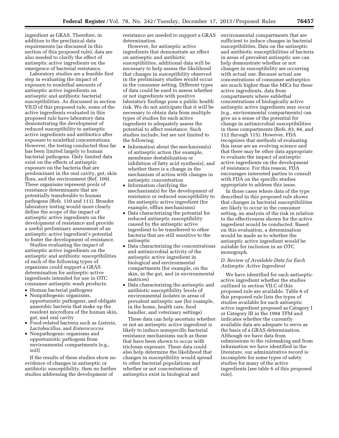ingredient as GRAS. Therefore, in addition to the preclinical data requirements (as discussed in this section of this proposed rule), data are also needed to clarify the effect of antiseptic active ingredients on the emergence of bacterial resistance.

Laboratory studies are a feasible first step in evaluating the impact of exposure to nonlethal amounts of antiseptic active ingredients on antiseptic and antibiotic bacterial susceptibilities. As discussed in section VII.D of this proposed rule, some of the active ingredients evaluated in this proposed rule have laboratory data demonstrating the development of reduced susceptibility to antiseptic active ingredients and antibiotics after exposure to nonlethal concentrations. However, the testing conducted thus far has been limited largely to human bacterial pathogens. Only limited data exist on the effects of antiseptic exposure on the bacteria that are predominant in the oral cavity, gut, skin flora, and the environment (Ref. 109). These organisms represent pools of resistance determinants that are potentially transferable to human pathogens (Refs. 110 and 111). Broader laboratory testing would more clearly define the scope of the impact of antiseptic active ingredients on the development of resistance and provide a useful preliminary assessment of an antiseptic active ingredient's potential to foster the development of resistance.

Studies evaluating the impact of antiseptic active ingredients on the antiseptic and antibiotic susceptibilities of each of the following types of organisms could support a GRAS determination for antiseptic active ingredients intended for use in OTC consumer antiseptic wash products:

- Human bacterial pathogens
- Nonpathogenic organisms, opportunistic pathogens, and obligate anaerobic bacteria that make up the resident microflora of the human skin, gut, and oral cavity
- Food-related bacteria such as *Listeria, Lactobacillus,* and *Enterococcus*
- Nonpathogenic organisms and opportunistic pathogens from environmental compartments (e.g., soil)

If the results of these studies show no evidence of changes in antiseptic or antibiotic susceptibility, then no further studies addressing the development of

resistance are needed to support a GRAS determination.

However, for antiseptic active ingredients that demonstrate an effect on antiseptic and antibiotic susceptibilites, additional data will be necessary to help assess the likelihood that changes in susceptibility observed in the preliminary studies would occur in the consumer setting. Different types of data could be used to assess whether or not ingredients with positive laboratory findings pose a public health risk. We do not anticipate that it will be necessary to obtain data from multiple types of studies for each active ingredient to adequately assess the potential to affect resistance. Such studies include, but are not limited to the following:

- Information about the mechanism(s) of antiseptic action (for example, membrane destabilization or inhibition of fatty acid synthesis), and whether there is a change in the mechanism of action with changes in antiseptic concentration
- Information clarifying the mechanism(s) for the development of resistance or reduced susceptibility to the antiseptic active ingredient (for example, efflux mechanisms)
- Data characterizing the potential for reduced antiseptic susceptibility caused by the antiseptic active ingredient to be transferred to other bacteria that are still sensitive to the antiseptic
- Data characterizing the concentrations and antimicrobial activity of the antiseptic active ingredient in biological and environmental compartments (for example, on the skin, in the gut, and in environmental matrices)
- Data characterizing the antiseptic and antibiotic susceptibility levels of environmental isolates in areas of prevalent antiseptic use (for example, in the home, health care, food handler, and veterinary settings)

These data can help ascertain whether or not an antiseptic active ingredient is likely to induce nonspecific bacterial resistance mechanisms such as those that have been shown to occur with triclosan exposure. These data could also help determine the likelihood that changes in susceptibility would spread to other bacterial populations and whether or not concentrations of antiseptics exist in biological and

environmental compartments that are sufficient to induce changes in bacterial susceptibilities. Data on the antiseptic and antibiotic susceptibilities of bacteria in areas of prevalent antiseptic use can help demonstrate whether or not changes in susceptibility are occurring with actual use. Because actual use concentrations of consumer antiseptics are much higher than the MICs for these active ingredients, data from compartments where sublethal concentrations of biologically active antiseptic active ingredients may occur (e.g., environmental compartments) can give us a sense of the potential for change in antimicrobial susceptibilities in these compartments (Refs. 83, 84, and 112 through 115). However, FDA recognizes that methods of evaluating this issue are an evolving science and that there may be other data appropriate to evaluate the impact of antiseptic active ingredients on the development of resistance. For this reason, FDA encourages interested parties to consult with FDA on the specific studies appropriate to address this issue.

In those cases where data of the type described in this proposed rule shows that changes in bacterial susceptibilities are likely to occur in the consumer setting, an analysis of the risk in relation to the effectiveness shown for the active ingredient would be conducted. Based on this evaluation, a determination would be made as to whether the antiseptic active ingredient would be suitable for inclusion in an OTC monograph.

# *D. Review of Available Data for Each Antiseptic Active Ingredient*

We have identified for each antiseptic active ingredient whether the studies outlined in section VII.C of this proposed rule are available. Table 6 of this proposed rule lists the types of studies available for each antiseptic active ingredient proposed as Category I or Category III in the 1994 TFM and indicates whether the currently available data are adequate to serve as the basis of a GRAS determination. Although we have data from submissions to the rulemaking and from information we have identified in the literature, our administrative record is incomplete for some types of safety studies for many of the active ingredients (see table 6 of this proposed rule).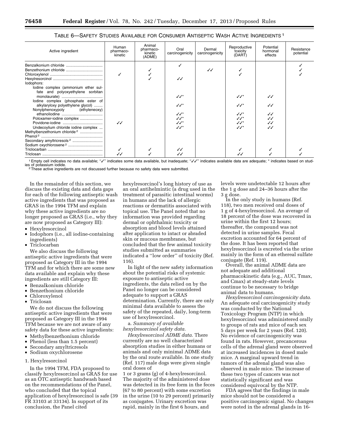| Active ingredient                                                                                                                                                          | Human<br>pharmaco-<br>kinetic | Animal<br>pharmaco-<br>kinetic<br>(ADME) | Oral<br>carcinogenicity              | Dermal<br>carcinogenicity | Reproductive<br>toxicity<br>(DART) | Potential<br>hormonal<br>effects         | Resistance<br>potential |
|----------------------------------------------------------------------------------------------------------------------------------------------------------------------------|-------------------------------|------------------------------------------|--------------------------------------|---------------------------|------------------------------------|------------------------------------------|-------------------------|
| lodophors:<br>lodine complex (ammonium ether sul-                                                                                                                          |                               |                                          | $\checkmark$                         | ノノ                        |                                    |                                          |                         |
| fate and polyoxyethylene sorbitan<br>lodine complex (phosphate ester of<br>alkylaryloxy polyethylene glycol)<br>Nonylphenoxypoly (ethyleneoxy)<br>Poloxamer-iodine complex |                               |                                          | $\checkmark$<br>ノノ゛<br>ノノ゛<br>$JJ^*$ |                           | ノノ*<br>ノノ゛<br>ノノ゛<br>ノノ゛           | $\checkmark$<br>ノノ<br>✓✓<br>$\checkmark$ |                         |
| Undecoylium chloride iodine complex<br>Methylbenzethonium chloride <sup>2</sup><br>Secondary amyltricresols <sup>2</sup><br>Sodium oxychlorosene <sup>2</sup>              | $\checkmark$                  |                                          | ノノ゛<br>ノノ゛<br>✓✓                     |                           | ノノ゛<br>ノノ*                         | $\checkmark$<br>JJ                       |                         |
|                                                                                                                                                                            |                               |                                          |                                      |                           |                                    |                                          |                         |

# TABLE 6—SAFETY STUDIES AVAILABLE FOR CONSUMER ANTISEPTIC WASH ACTIVE INGREDIENTS 1

1 Empty cell indicates no data available; "v" indicates some data available, but inadequate; "vv" indicates available data are adequate; \* indicates based on stud-<br>ies of potassium iodide.

<sup>2</sup>These active ingredients are not discussed further because no safety data were submitted.

In the remainder of this section, we discuss the existing data and data gaps for each of the following antiseptic wash active ingredients that was proposed as GRAS in the 1994 TFM and explain why these active ingredients are no longer proposed as GRAS (i.e., why they are now proposed as Category III):

- Hexylresorcinol
- Iodophors (i.e., all iodine-containing ingredients)
- Triclocarban

We also discuss the following antiseptic active ingredients that were proposed as Category III in the 1994 TFM and for which there are some new data available and explain why these ingredients are still Category III:

- Benzalkonium chloride
- Benzethonium chloride
- Chloroxylenol
- Triclosan

We do not discuss the following antiseptic active ingredients that were proposed as Category III in the 1994 TFM because we are not aware of any safety data for these active ingredients:

- Methylbenzethonium chloride
- Phenol (less than 1.5 percent)
- Secondary amyltricresols
- Sodium oxychlorosene

# 1. Hexylresorcinol

In the 1994 TFM, FDA proposed to classify hexylresorcinol as GRAS for use as an OTC antiseptic handwash based on the recommendations of the Panel, who concluded that the topical application of hexylresorcinol is safe (39 FR 33103 at 33134). In support of its conclusion, the Panel cited

hexylresorcinol's long history of use as an oral antihelmintic (a drug used in the treatment of parasitic intestinal worms) in humans and the lack of allergic reactions or dermatitis associated with topical use. The Panel noted that no information was provided regarding dermal or ophthalmic toxicity or absorption and blood levels attained after application to intact or abraded skin or mucous membranes, but concluded that the few animal toxicity studies submitted as summaries indicated a ''low order'' of toxicity (Ref. 116).

In light of the new safety information about the potential risks of systemic exposure to antiseptic active ingredients, the data relied on by the Panel no longer can be considered adequate to support a GRAS determination. Currently, there are only minimal data available to assess the safety of the repeated, daily, long-term use of hexylresorcinol.

a. *Summary of available hexylresorcinol safety data.* 

*Hexylresorcinol ADME data.* There currently are no well characterized absorption studies in either humans or animals and only minimal ADME data by the oral route available. In one study (Ref. 117) male dogs were given single oral doses of

1 or 3 grams (g) of 4-hexylresorcinol. The majority of the administered dose was detected in its free form in the feces (67 to 80 percent) with some excretion in the urine (10 to 29 percent) primarily as conjugates. Urinary excretion was rapid, mainly in the first 6 hours, and

levels were undetectable 12 hours after the 1 g dose and 24–36 hours after the 3 g dose.

In the only study in humans (Ref. 118), two men received oral doses of 1 g of 4-hexylresorcinol. An average of 18 percent of the dose was recovered in urine within the first 12 hours; thereafter, the compound was not detected in urine samples. Fecal excretion accounted for 64 percent of the dose. It has been reported that hexylresorcinol is excreted via the urine mainly in the form of an ethereal sulfate conjugate (Ref. 119).

Overall, the animal ADME data are not adequate and additional pharmacokinetic data (e.g., AUC, Tmax, and Cmax) at steady-state levels continue to be necessary to bridge animal data to humans.

*Hexylresorcinol carcinogenicity data.*  An adequate oral carcinogenicity study was conducted by the National Toxicology Program (NTP) in which hexylresorcinol was administered orally to groups of rats and mice of each sex 5 days per week for 2 years (Ref. 120). No evidence of carcinogenicity was found in rats. However, precancerous cells of the adrenal gland were observed at increased incidences in dosed male mice. A marginal upward trend in tumors of the adrenal gland was also observed in male mice. The increase of these two types of cancers was not statistically significant and was considered equivocal by the NTP.

FDA agrees that the findings in male mice should not be considered a positive carcinogenic signal. No changes were noted in the adrenal glands in 16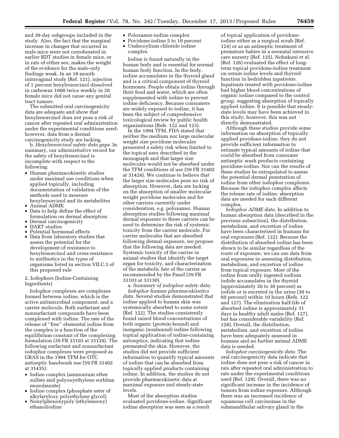and 30-day subgroups included in the study. Also, the fact that the marginal increase in changes that occurred in male mice were not corroborated in earlier RDT studies in female mice, or in rats of either sex, makes the weight of the evidence for the male-only findings weak. In an 18-month intravaginal study (Ref. 121), injection of 1 percent hexylresorcinol dissolved in carbowax 1000 twice weekly in 20 female mice did not cause any genital tract tumors.

The submitted oral carcinogenicity data are adequate and show that hexylresorcinol does not pose a risk of cancer after repeated oral administration under the experimental conditions used; however, data from a dermal carcinogenicity study are lacking.

b. *Hexylresorcinol safety data gaps.* In summary, our administrative record for the safety of hexylresorcinol is incomplete with respect to the following:

- Human pharmacokinetic studies under maximal use conditions when applied topically, including documentation of validation of the methods used to measure hexylresorcinol and its metabolites
- Animal ADME
- Data to help define the effect of formulation on dermal absorption
- Dermal carcinogenicity
- DART studies
- Potential hormonal effects
- Data from laboratory studies that assess the potential for the development of resistance to hexylresorcinol and cross-resistance to antibiotics in the types of organisms listed in section VII.C.3 of this proposed rule

2. Iodophors (Iodine-Containing Ingredients)

Iodophor complexes are complexes formed between iodine, which is the active antimicrobial component, and a carrier molecule. Both surfactant and nonsurfactant compounds have been complexed with iodine. The rate of the release of ''free'' elemental iodine from the complex is a function of the equilibrium constant of the complexing formulation (39 FR 33103 at 33129). The following surfactant and nonsurfactant iodophor complexes were proposed as GRAS in the 1994 TFM for OTC antiseptic handwash use (59 FR 31402 at 31435):

- Iodine complex (ammonium ether sulfate and polyoxyethylene sorbitan monolaurate)
- Iodine complex (phosphate ester of alkylaryloxy polyethylene glycol)
- Nonylphenoxypoly (ethyleneoxy) ethanoliodine
- Poloxamer-iodine complex
- Povidone-iodine 5 to 10 percent • Undecoylium chloride iodine complex

Iodine is found naturally in the human body and is essential for normal human body function. In the body, iodine accumulates in the thyroid gland and is a critical component of thyroid hormones. People obtain iodine through their food and water, which are often supplemented with iodine to prevent iodine deficiency. Because consumers are widely exposed to iodine, it has been the subject of comprehensive toxicological review by public health organizations (Refs. 122 and 123).

In the 1994 TFM, FDA stated that neither the medium nor large molecular weight size povidone molecules presented a safety risk when limited to the topical uses described in the monograph and that larger size molecules would not be absorbed under the TFM conditions of use (59 FR 31402 at 31424). We continue to believe that the larger size molecules pose no risk of absorption. However, data are lacking on the absorption of smaller molecular weight povidone molecules and for other carriers currently under consideration, e.g. poloxamer. Human absorption studies following maximal dermal exposure to these carriers can be used to determine the risk of systemic toxicity from the carrier molecule. For carrier molecules that are absorbed following dermal exposure, we propose that the following data are needed: Systemic toxicity of the carrier in animal studies that identify the target organ for toxicity, and characterization of the metabolic fate of the carrier as recommended by the Panel (39 FR 33103 at 33130).

a. *Summary of iodophor safety data. Iodophor human pharmacokinetics data.* Several studies demonstrated that iodine applied to human skin was systemically absorbed to some extent (Ref. 122). The studies consistently found raised blood concentrations of both organic (protein-bound) and inorganic (nonbound) iodine following topical application of iodine-containing antiseptics, indicating that iodine permeated the skin. However, the studies did not provide sufficient information to quantify typical amounts of iodine that can be absorbed from topically applied products containing iodine. In addition, the studies do not provide pharmacokinetic data at maximal exposure and steady-state levels.

Most of the absorption studies evaluated povidone-iodine. Significant iodine absorption was seen as a result

of topical application of povidoneiodine either as a surgical scrub (Ref. 124) or as an antiseptic treatment of premature babies in a neonatal intensive care nursery (Ref. 125). Nobukuni et al. (Ref. 126) evaluated the effect of longterm topical povidone-iodine treatment on serum iodine levels and thyroid function in bedridden inpatients. Inpatients treated with povidone-iodine had higher blood concentrations of organic iodine compared to the control group, suggesting absorption of topically applied iodine. It is possible that steadystate levels may have been achieved in this study; however, this was not directly demonstrated.

Although these studies provide some information on absorption of topically applied povidone-iodine, they do not provide sufficient information to estimate typical amounts of iodine that could be absorbed from consumer antiseptic wash products containing povidone-iodine. Nor can the results of these studies be extrapolated to assess the potential dermal penetration of iodine from other iodophor complexes. Because the iodophor complex affects the release rate of iodine, absorption data are needed for each different complex.

*Iodophor ADME data.* In addition to human absorption data (described in the previous subsection), the distribution, metabolism, and excretion of iodine have been characterized in humans for oral exposures (Ref. 122). Because the distribution of absorbed iodine has been shown to be similar regardless of the route of exposure, we can use data from oral exposures in assessing distribution, metabolism, and excretion of iodine from topical exposure. Most of the iodine from orally ingested sodium iodide accumulates in the thyroid (approximately 20 to 30 percent) as iodide or is excreted in the urine (30 to 60 percent) within 10 hours (Refs. 122 and 127). The elimination half-life of absorbed iodine is approximately 31 days in healthy adult males (Ref. 127), but has considerable variability (Ref. 128). Overall, the distribution, metabolism, and excretion of iodine have been adequately assessed in humans and no further animal ADME data is needed.

*Iodophor carcinogenicity data.* The oral carcinogenicity data indicate that iodine does not pose a risk of cancer in rats after repeated oral administration to rats under the experimental conditions used (Ref. 129). Overall, there was no significant increase in the incidence of tumors from iodine exposure. Although there was an increased incidence of squamous cell carcinomas in the submandibular salivary gland in the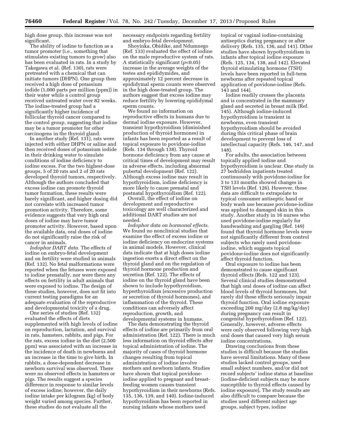high dose group, this increase was not significant.

The ability of iodine to function as a tumor promoter (i.e., something that stimulates existing tumors to grow) also has been evaluated in rats. In a study by Takegawa et al. (Ref. 130), rats were pretreated with a chemical that can initiate tumors (DHPN). One group then received a high dose of potassium iodide (1,000 parts per million (ppm)) in their water while a control group received untreated water over 82 weeks. The iodine-treated group had a significantly higher incidence of follicular thyroid cancer compared to the control group, suggesting that iodine may be a tumor promoter for other carcinogens in the thyroid gland.

In another study (Ref. 131), rats were injected with either DHPN or saline and then received doses of potassium iodide in their drinking water to simulate conditions of iodine deficiency to iodine excess. For the two highest-dose groups, 5 of 20 rats and 2 of 20 rats developed thyroid tumors, respectively. Although the authors concluded that excess iodine can promote thyroid tumor formation, these results were barely significant, and higher dosing did not correlate with increased tumor promotion activity. Therefore, some evidence suggests that very high oral doses of iodine may have tumor promoter activity. However, based upon the available data, oral doses of iodine do not significantly raise the risk of cancer in animals.

*Iodophor DART data.* The effects of iodine on embryo-fetal development and on fertility were studied in animals (Ref. 132). No fetal malformations were reported when the fetuses were exposed to iodine prenatally, nor were there any effects on fertility in adult animals that were exposed to iodine. The design of these studies, however, does not fit into current testing paradigms for an adequate evaluation of the reproductive and developmental toxicity of a drug.

One series of studies (Ref. 132) evaluated the effects of diets supplemented with high levels of iodine on reproduction, lactation, and survival in rats, hamsters, rabbits, and pigs. For the rats, excess iodine in the diet (2,500 ppm) was associated with an increase in the incidence of death in newborns and an increase in the time to give birth. In rabbits, a dose-dependent decrease in newborn survival was observed. There were no observed effects in hamsters or pigs. The results suggest a species difference in response to similar levels of excess iodine; however, the daily iodine intake per kilogram (kg) of body weight varied among species. Further, these studies do not evaluate all the

necessary endpoints regarding fertility and embryo-fetal development.

Shoyinka, Obidike, and Ndumnego (Ref. 133) evaluated the effect of iodine on the male reproductive system of rats. A statistically significant (*p*<0.05) increase in the average weights of the testes and epididymides, and approximately 12 percent decrease in epididymal sperm counts were observed in the high dose-treated group. The authors suggest that excess iodine may reduce fertility by lowering epididymal sperm counts.

We found no information on reproductive effects in humans due to dermal iodine exposure. However, transient hypothyroidism (diminished production of thyroid hormones) in infants has been reported as a result of topical exposure to povidone-iodine (Refs. 134 through 138). Thyroid hormone deficiency from any cause at critical times of development may result in adverse effects, including abnormal pubertal development (Ref. 122). Although excess iodine may result in hypothyroidism, iodine deficiency is more likely to cause prenatal and postnatal hypothyroidism (Ref. 122).

Overall, the effect of iodine on development and reproductive toxicology are well characterized and additional DART studies are not needed.

*Iodophor data on hormonal effects.*  We found no nonclinical studies that examine the effect of excess iodine or iodine deficiency on endocrine systems in animal models. However, clinical data indicate that at high doses iodine ingestion exerts a direct effect on the thyroid gland and on the regulation of thyroid hormone production and secretion (Ref. 122). The effects of iodine on the thyroid gland have been shown to include hypothyroidism, hyperthyroidism (excessive production or secretion of thyroid hormones), and inflammation of the thyroid. These conditions can adversely affect reproduction, growth, and developmental systems in humans.

The data demonstrating the thyroid effects of iodine are primarily from oral administration (Ref. 122). There is much less information on thyroid effects after topical administration of iodine. The majority of cases of thyroid hormone changes resulting from topical administration of iodine involve mothers and newborn infants. Studies have shown that topical povidoneiodine applied to pregnant and breastfeeding women causes transient hypothyroidism in their newborns (Refs. 135, 136, 139, and 140). Iodine-induced hypothyroidism has been reported in nursing infants whose mothers used

topical or vaginal iodine-containing antiseptics during pregnancy or after delivery (Refs. 135, 136, and 141). Other studies have shown hypothyroidism in infants after topical iodine exposure (Refs. 125, 134, 138, and 142). Elevated thyroid stimulating hormone (TSH) levels have been reported in full-term newborns after repeated topical application of povidone-iodine (Refs. 143 and 144).

Iodine readily crosses the placenta and is concentrated in the mammary gland and secreted in breast milk (Ref. 145). Although iodine-induced hypothyroidism is transient in newborns, even transient hypothyroidism should be avoided during this critical phase of brain development to prevent loss of intellectual capacity (Refs. 146, 147, and 148).

For adults, the association between topically applied iodine and hypothyroidism is unclear. One study in 27 bedridden inpatients treated continuously with povidone-iodine for 3 to 133 months showed changes in TSH levels (Ref. 126). However, these data are difficult to extrapolate to typical consumer antiseptic hand or body wash use because povidone-iodine was applied to damaged skin in this study. Another study in 16 nurses who used povidone-iodine regularly for handwashing and gargling (Ref. 149) found that thyroid hormone levels were not significantly different from control subjects who rarely used povidoneiodine, which suggests topical povidone-iodine does not significantly affect thyroid function.

Oral exposure to iodine has been demonstrated to cause significant thyroid effects (Refs. 122 and 123). Several clinical studies demonstrated that high oral doses of iodine can affect blood levels of thyroid hormones, but rarely did these effects seriously impair thyroid function. Oral iodine exposure exceeding 200 mg/day (2.8 mg/kg/day) during pregnancy can result in congenital hypothyroidism (Ref. 122). Generally, however, adverse effects were only observed following very high oral doses that caused very high serum iodine concentrations.

Drawing conclusions from these studies is difficult because the studies have several limitations. Many of these studies lacked control groups, used small subject numbers, and/or did not record subjects' iodine status at baseline (iodine-deficient subjects may be more susceptible to thyroid effects caused by iodine exposure). The study results are also difficult to compare because the studies used different subject age groups, subject types, iodine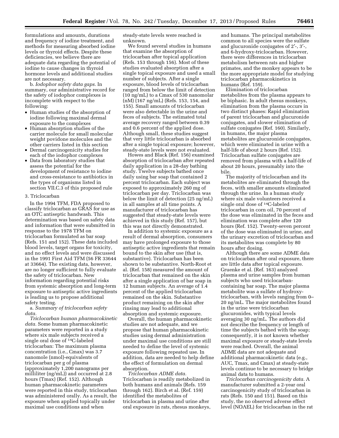formulations and amounts, durations and frequency of iodine treatment, and methods for measuring absorbed iodine levels or thyroid effects. Despite these deficiencies, we believe there are adequate data regarding the potential of iodine to cause changes in thyroid hormone levels and additional studies are not necessary.

b. *Iodophor safety data gaps.* In summary, our administrative record for the safety of iodophor complexes is incomplete with respect to the following:

- Human studies of the absorption of iodine following maximal dermal exposure to the complexes
- Human absorption studies of the carrier molecule for small molecular weight povidone molecules and the other carriers listed in this section
- Dermal carcinogenicity studies for each of the iodophor complexes
- Data from laboratory studies that assess the potential for the development of resistance to iodine and cross-resistance to antibiotics in the types of organisms listed in section VII.C.3 of this proposed rule

#### 3. Triclocarban

In the 1994 TFM, FDA proposed to classify triclocarban as GRAS for use as an OTC antiseptic handwash. This determination was based on safety data and information that were submitted in response to the 1978 TFM on triclocarban formulated as bar soap (Refs. 151 and 152). These data included blood levels, target organs for toxicity, and no effect levels and were discussed in the 1991 First Aid TFM (56 FR 33644 at 33664). The existing data, however, are no longer sufficient to fully evaluate the safety of triclocarban. New information regarding potential risks from systemic absorption and long-term exposure to antiseptic active ingredients is leading us to propose additional safety testing.

a. *Summary of triclocarban safety data.* 

*Triclocarban human pharmacokinetic data.* Some human pharmacokinetic parameters were reported in a study where six male subjects received a single oral dose of <sup>14</sup>C-labeled triclocarban: The maximum plasma concentration (i.e., Cmax) was 3.7 nanomole (nmol)-equivalents of triclocarban per g of plasma (approximately 1,200 nanograms per milliliter (ng/mL)) and occurred at 2.8 hours (Tmax) (Ref. 152). Although human pharmacokinetic parameters were reported in this study, triclocarban was administered orally. As a result, the exposure when applied topically under maximal use conditions and when

steady-state levels were reached is unknown.

We found several studies in humans that examine the absorption of triclocarban after topical application (Refs. 153 through 156). Most of these studies evaluated absorption after a single topical exposure and used a small number of subjects. After a single exposure, blood levels of triclocarban ranged from below the limit of detection (10 ng/mL) to a Cmax of 530 nanomolar (nM) (167 ng/mL) (Refs. 153, 154, and 155). Small amounts of triclocarban were also detectable in the urine and feces of subjects. The estimated total average recovery ranged between 0.39 and 0.6 percent of the applied dose. Although small, these studies suggest that very little triclocarban is absorbed after a single topical exposure; however, steady-state levels were not evaluated.

Howes and Black (Ref. 156) examined absorption of triclocarban after repeated daily application in a 28-day bathing study. Twelve subjects bathed once daily using bar soap that contained 2 percent triclocarban. Each subject was exposed to approximately 260 mg of triclocarban per day. Triclocarban was below the limit of detection (25 ng/mL) in all samples at all time points. A manufacturer of triclocarban has suggested that steady-state levels were achieved in this study (Ref. 157), but this was not directly demonstrated.

In addition to systemic exposure as a result of dermal absorption, consumers may have prolonged exposure to those antiseptic active ingredients that remain bound to the skin after use (that is, substantive). Triclocarban has been shown to be substantive. North-Root et al. (Ref. 158) measured the amount of triclocarban that remained on the skin after a single application of bar soap in 12 human subjects. An average of 1.4 percent of the applied triclocarban remained on the skin. Substantive product remaining on the skin after rinsing may lead to additional absorption and systemic exposure.

Overall, the human pharmacokinetic studies are not adequate, and we propose that human pharmacokinetic studies using dermal administration under maximal use conditions are still needed to define the level of systemic exposure following repeated use. In addition, data are needed to help define the effect of formulation on dermal absorption.

*Triclocarban ADME data.*  Triclocarban is readily metabolized in both humans and animals (Refs. 159 through 162). Birch et al. (Ref. 159) identified the metabolites of triclocarban in plasma and urine after oral exposure in rats, rhesus monkeys, and humans. The principal metabolites common to all species were the sulfate and glucuronide conjugates of 2′-, 3′-, and 6-hydroxy-triclocarban. However, there were differences in triclocarban metabolism between rats and higher primates, and the monkey appears to be the more appropriate model for studying triclocarban pharmacokinetics in humans (Ref. 159).

Elimination of triclocarban metabolites from the plasma appears to be biphasic. In adult rhesus monkeys, elimination from the plasma occurs in two distinct phases: Rapid elimination of parent triclocarban and glucuronide conjugates, and slower elimination of sulfate conjugates (Ref. 160). Similarly, in humans, the major plasma metabolites are glucuronide conjugates, which were eliminated in urine with a half-life of about 2 hours (Ref. 152). Triclocarban sulfate conjugates are removed from plasma with a half-life of about 20 hours, presumably into the bile.

The majority of triclocarban and its metabolites are eliminated through the feces, with smaller amounts eliminated through the urine. In a human study where six male volunteers received a single oral dose of 14C-labeled triclocarban in corn oil, 70 percent of the dose was eliminated in the feces and elimination was complete after 120 hours (Ref. 152). Twenty-seven percent of the dose was eliminated in urine, and the urinary excretion of triclocarban and its metabolites was complete by 80 hours after dosing.

Although there are some ADME data on triclocarban after oral exposure, there are little data after topical exposure. Gruenke et al. (Ref. 163) analyzed plasma and urine samples from human subjects who used triclocarbancontaining bar soap. The major plasma metabolite was a sulfate of hydroxytriclocarban, with levels ranging from 0– 20 ng/mL. The major metabolites found in the urine were triclocarban glucuronides, with typical levels averaging 30 ng/mL. The authors did not describe the frequency or length of time the subjects bathed with the soap; consequently, it is not known whether maximal exposure or steady-state levels were reached. Overall, the animal ADME data are not adequate and additional pharmacokinetic data (e.g., AUC, Tmax, and Cmax) at steady-state levels continue to be necessary to bridge animal data to humans.

*Triclocarban carcinogenicity data.* A manufacturer submitted a 2-year oral carcinogenicity study of triclocarban in rats (Refs. 150 and 151). Based on this study, the no observed adverse effect level (NOAEL) for triclocarban in the rat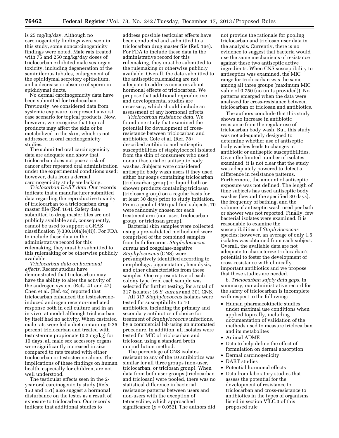is 25 mg/kg/day. Although no carcinogenicity findings were seen in this study, some noncarcinogenicity findings were noted. Male rats treated with 75 and 250 mg/kg/day doses of triclocarban exhibited male sex organ toxicity, including degeneration of the seminiferous tubules, enlargement of the epididymal secretory epithelium, and a decrease or absence of sperm in epididymal ducts.

No dermal carcinogenicity data have been submitted for triclocarban. Previously, we considered data from systemic exposure to represent a worst case scenario for topical products. Now, however, we recognize that topical products may affect the skin or be metabolized in the skin, which is not addressed in oral carcinogenicity studies.

The submitted oral carcinogenicity data are adequate and show that triclocarban does not pose a risk of cancer after repeated oral administration under the experimental conditions used; however, data from a dermal carcinogenicity study are lacking.

*Triclocarban DART data.* Our records indicate that a manufacturer submitted data regarding the reproductive toxicity of triclocarban to a triclocarban drug master file (Ref. 164). Safety data submitted to drug master files are not publicly available and, consequently, cannot be used to support a GRAS classification  $(\S 330.10(a)(4)(i))$ . For FDA to include these data in the administrative record for this rulemaking, they must be submitted to this rulemaking or be otherwise publicly available.

*Triclocarban data on hormonal effects.* Recent studies have demonstrated that triclocarban may have the ability to alter the activity of the androgen system (Refs. 41 and 42). Chen et al. (Ref. 42) reported that triclocarban enhanced the testosteroneinduced androgen receptor-mediated response both in cell culture and in an in vivo rat model although triclocarban by itself had no activity. When castrated male rats were fed a diet containing 0.25 percent triclocarban and treated with testosterone propionate (0.2 mg/kg) for 10 days, all male sex accessory organs were significantly increased in size compared to rats treated with either triclocarban or testosterone alone. The implications of these findings on human health, especially for children, are not well understood.

The testicular effects seen in the 2 year oral carcinogenicity study (Refs. 150 and 151) also suggest a hormonal disturbance on the testes as a result of exposure to triclocarban. Our records indicate that additional studies to

address possible testicular effects have been conducted and submitted to a triclocarban drug master file (Ref. 164). For FDA to include these data in the administrative record for this rulemaking, they must be submitted to the rulemaking or otherwise publicly available. Overall, the data submitted to the antiseptic rulemaking are not adequate to address concerns about hormonal effects of triclocarban. We propose that additional reproductive and developmental studies are necessary, which should include an assessment of any hormonal effects.

*Triclocarban resistance data.* We found one study that examined the potential for development of crossresistance between triclocarban and antibiotics. Cole et al. (Ref. 78) described antibiotic and antiseptic susceptibilities of staphylococci isolated from the skin of consumers who used nonantibacterial or antiseptic body washes. Subjects were considered antiseptic body wash users if they used either bar soaps containing triclocarban (triclocarban group) or liquid bath or shower products containing triclosan (triclosan group) on a regular basis for at least 30 days prior to study initiation. From a pool of 450 qualified subjects, 70 were randomly chosen for each treatment arm (non-user, triclocarban group, or triclosan group).

Bacterial skin samples were collected using a pre-validated method and were comprised of the combined samples from both forearms. *Staphylococcus aureus* and coagulase-negative *Staphylococcus* (CNS) were presumptively identified according to morphology, pigmentation, hemolysis, and other characteristics from these samples. One representative of each colony type from each sample was selected for further testing, for a total of 317 isolates: 16 *S. aureus* and 301 CNS.

All 317 *Staphylococcus* isolates were tested for susceptibility to 10 antibiotics, including the primary and secondary antibiotics of choice for treatment of *Staphylococcus* infections, by a commercial lab using an automated procedure. In addition, all isolates were tested for MIC of triclocarban and triclosan using a standard broth microdilution method.

The percentage of CNS isolates resistant to any of the 10 antibiotics was similar for all three groups (non-user, triclocarban, or triclosan group). When data from both user groups (triclocarban and triclosan) were pooled, there was no statistical difference in bacterial resistance patterns between users and non-users with the exception of tetracycline, which approached significance  $(p = 0.052)$ . The authors did not provide the rationale for pooling triclocarban and triclosan user data in the analysis. Currently, there is no evidence to suggest that bacteria would use the same mechanisms of resistance against these two antiseptic active ingredients. When CNS susceptibility to antiseptics was examined, the MIC range for triclocarban was the same among all three groups (maximum MIC value of 0.750 (no units provided)). No patterns emerged when the data were analyzed for cross-resistance between triclocarban or triclosan and antibiotics.

The authors conclude that this study shows no increase in antibiotic resistance from the regular use of triclocarban body wash. But, this study was not adequately designed to determine whether use of antiseptic body washes leads to changes in antibiotic or antiseptic susceptibilities. Given the limited number of isolates examined, it is not clear that the study was adequately powered to detect a difference in resistance patterns. Furthermore, the amount of antiseptic exposure was not defined. The length of time subjects has used antiseptic body washes (beyond the specified 30 days), the frequency of bathing, and the volume of antiseptic wash used per bath or shower was not reported. Finally, few bacterial isolates were examined. It is reasonable to examine the susceptibilities of *Staphylococcus*  species; however, an average of only 1.5 isolates was obtained from each subject. Overall, the available data are not adequate to characterize triclocarban's potential to foster the development of cross-resistance with clinically important antibiotics and we propose that these studies are needed.

b. *Triclocarban safety data gaps.* In summary, our administrative record for the safety of triclocarban is incomplete with respect to the following:

- Human pharmacokinetic studies under maximal use conditions when applied topically, including documentation of validation of the methods used to measure triclocarban and its metabolites
- Animal ADME
- Data to help define the effect of formulation on dermal absorption
- Dermal carcinogenicity
- DART studies
- Potential hormonal effects
- Data from laboratory studies that assess the potential for the development of resistance to triclocarban and cross-resistance to antibiotics in the types of organisms listed in section VII.C.3 of this proposed rule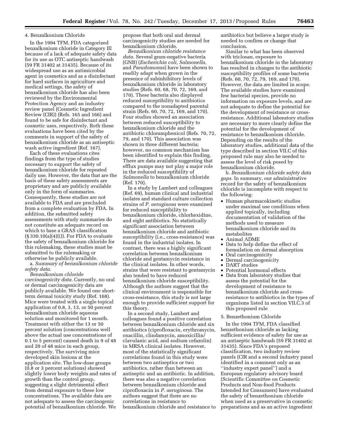#### 4. Benzalkonium Chloride

In the 1994 TFM, FDA categorized benzalkonium chloride in Category III because of a lack of adequate safety data for its use as OTC antiseptic handwash (59 FR 31402 at 31435). Because of its widespread use as an antimicrobial agent in cosmetics and as a disinfectant for hard surfaces in agriculture and medical settings, the safety of benzalkonium chloride has also been reviewed by the Environmental Protection Agency and an industry review panel (Cosmetic Ingredient Review (CIR)) (Refs. 165 and 166) and found to be safe for disinfectant and cosmetic uses, respectively. Both these evaluations have been cited by the comments in support of the safety of benzalkonium chloride as an antiseptic wash active ingredient (Ref. 167).

Each of these evaluations cites findings from the type of studies necessary to support the safety of benzalkonium chloride for repeated daily use. However, the data that are the basis of these safety assessments are proprietary and are publicly available only in the form of summaries. Consequently, these studies are not available to FDA and are precluded from a complete evaluation by FDA. In addition, the submitted safety assessments with study summaries do not constitute an adequate record on which to base a GRAS classification  $(\S 330.10(a)(4)(i))$ . For FDA to evaluate the safety of benzalkonium chloride for this rulemaking, these studies must be submitted to the rulemaking or otherwise be publicly available.

a. *Summary of benzalkonium chloride safety data.* 

*Benzalkonium chloride carcinogenicity data.* Currently, no oral or dermal carcinogenicity data are publicly available. We found one shortterm dermal toxicity study (Ref. 168). Mice were treated with a single topical application of 0.8, 3, 13, or 50 percent benzalkonium chloride aqueous solution and monitored for 1 month. Treatment with either the 13 or 50 percent solution (concentrations well above the actual use concentrations of 0.1 to 5 percent) caused death in 9 of 48 and 20 of 48 mice in each group, respectively. The surviving mice developed skin lesions at the application site. The low-dose groups (0.8 or 3 percent solutions) showed slightly lower body weights and rates of growth than the control group, suggesting a slight detrimental effect from dermal exposure to these low concentrations. The available data are not adequate to assess the carcinogenic potential of benzalkonium chloride. We

propose that both oral and dermal carcinogenicity studies are needed for benzalkonium chloride.

*Benzalkonium chloride resistance data.* Several gram-negative bacteria (GNB) (*Escherichia coli, Salmonella,*  and *Pseudomonas*) have been shown to readily adapt when grown in the presence of subinhibitory levels of benzalkonium chloride in laboratory studies (Refs. 60, 68, 70, 72, 169, and 170). These bacteria also displayed reduced susceptibility to antibiotics compared to the nonadapted parental strain (Refs. 60, 70, 72, 169, and 170). Four studies showed an association between reduced susceptibility to benzalkonium chloride and the antibiotic chloramphenicol (Refs. 70, 72, 79, and 170). This association was shown in three different bacteria; however, no common mechanism has been identified to explain this finding. There are data available suggesting that efflux pumps may not play a major role in the reduced susceptibility of *Salmonella* to benzalkonium chloride (Ref. 170).

In a study by Lambert and colleagues (Ref. 69), human clinical and industrial isolates and standard culture collection strains of *P. aeruginosa* were examined for reduced susceptibility to benzalkonium chloride, chlorhexidine, and eight antibiotics. No statistically significant association between benzalkonium chloride and antibiotic susceptibility (i.e., cross-resistance) was found in the industrial isolates. In contrast, there was a highly significant correlation between benzalkonium chloride and gentamycin resistance in the clinical isolates. In other words, strains that were resistant to gentamycin also tended to have reduced benzalkonium chloride susceptibility. Although the authors suggest that the clinical environment is responsible for cross-resistance, this study is not large enough to provide sufficient support for this theory.

In a second study, Lambert and colleagues found a positive correlation between benzalkonium chloride and six antibiotics (ciprofloxacin, erythromycin, oxacillin, clindamycin, amoxicillin/ clavulanic acid, and sodium cefazolin) in MRSA clinical isolates. However, most of the statistically significant correlations found in this study were between two antiseptics or two antibiotics, rather than between an antiseptic and an antibiotic. In addition, there was also a negative correlation between benzalkonium chloride and ciprofloxacin in *P. aeruginosa.* The authors suggest that there are no correlations in resistance to benzalkonium chloride and resistance to antibiotics but believe a larger study is needed to confirm or change that conclusion.

Similar to what has been observed with triclosan, exposure to benzalkonium chloride in the laboratory has resulted in changes to the antibiotic susceptibility profiles of some bacteria (Refs. 60, 70, 72, 79, 169, and 170). However, the data are limited in scope. The available studies have examined few bacterial species, provide no information on exposure levels, and are not adequate to define the potential for the development of resistance or crossresistance. Additional laboratory studies are necessary to more clearly define the potential for the development of resistance to benzalkonium chloride. Depending on the results of the laboratory studies, additional data of the type described in section VII.C of this proposed rule may also be needed to assess the level of risk posed by benzalkonium chloride.

b. *Benzalkonium chloride safety data gaps.* In summary, our administrative record for the safety of benzalkonium chloride is incomplete with respect to the following:

- Human pharmacokinetic studies under maximal use conditions when applied topically, including documentation of validation of the methods used to measure benzalkonium chloride and its metabolites
- Animal ADME
- Data to help define the effect of formulation on dermal absorption
- Oral carcinogenicity
- Dermal carcinogenicity
- DART studies<br>• Potential horn
- Potential hormonal effects • Data from laboratory studies that assess the potential for the development of resistance to benzalkonium chloride and crossresistance to antibiotics in the types of organisms listed in section VII.C.3 of this proposed rule
- 5. Benzethonium Chloride

In the 1994 TFM, FDA classified benzethonium chloride as lacking sufficient evidence of safety for use as an antiseptic handwash (59 FR 31402 at 31435). Since FDA's proposed classification, two industry review panels (CIR and a second industry panel identified in a comment only as an ''industry expert panel'') and a European regulatory advisory board (Scientific Committee on Cosmetic Products and Non-food Products Intended for Consumers) have evaluated the safety of benzethonium chloride when used as a preservative in cosmetic preparations and as an active ingredient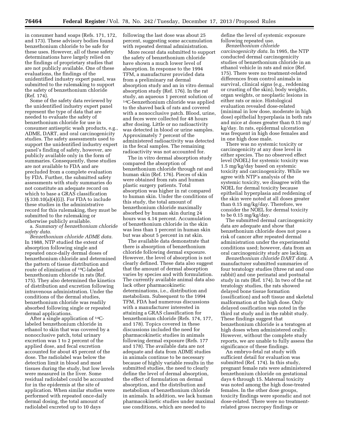in consumer hand soaps (Refs. 171, 172, and 173). These advisory bodies found benzethonium chloride to be safe for these uses. However, all of these safety determinations have largely relied on the findings of proprietary studies that are not publicly available. One of these evaluations, the findings of the unidentified industry expert panel, was submitted to the rulemaking to support the safety of benzethonium chloride (Ref. 174).

Some of the safety data reviewed by the unidentified industry expert panel represent the type of data that are needed to evaluate the safety of benzethonium chloride for use in consumer antiseptic wash products, e.g., ADME, DART, and oral carcinogenicity studies. The safety assessments used to support the unidentified industry expert panel's finding of safety, however, are publicly available only in the form of summaries. Consequently, these studies are not available to FDA and are precluded from a complete evaluation by FDA. Further, the submitted safety assessments with study summaries do not constitute an adequate record on which to base a GRAS classification (§ 330.10(a)(4)(i)). For FDA to include these studies in the administrative record for this rulemaking, they must be submitted to the rulemaking or otherwise publicly available.

a. *Summary of benzethonium chloride safety data.* 

*Benzethonium chloride ADME data.*  In 1988, NTP studied the extent of absorption following single and repeated once-daily dermal doses of benzethonium chloride and determined the pattern of tissue distribution and route of elimination of 14C-labeled benzethonium chloride in rats (Ref. 175). They also determined the kinetics of distribution and excretion following intravenous administration. Under the conditions of the dermal studies, benzethonium chloride was readily absorbed following single or repeated dermal applications.

After a single application of 14Clabeled benzethonium chloride in ethanol to skin that was covered by a nonocclusive patch, total urinary excretion was 1 to 2 percent of the applied dose, and fecal excretion accounted for about 45 percent of the dose. The radiolabel was below the detection limit in blood and most tissues during the study, but low levels were measured in the liver. Some residual radiolabel could be accounted for in the epidermis at the site of application. When similar studies were performed with repeated once-daily dermal dosing, the total amount of radiolabel excreted up to 10 days

following the last dose was about 25 percent, suggesting some accumulation with repeated dermal administration.

More recent data submitted to support the safety of benzethonium chloride have shown a much lower level of absorption. In response to the 1994 TFM, a manufacturer provided data from a preliminary rat dermal absorption study and an in vitro dermal absorption study (Ref. 176). In the rat study, an aqueous 1 percent solution of 14C-benzethonium chloride was applied to the shaved back of rats and covered with a nonocclusive patch. Blood, urine, and feces were collected for 48 hours after dosing. Little or no radioactivity was detected in blood or urine samples. Approximately 7 percent of the administered radioactivity was detected in the fecal samples. The remaining radioactivity was not accounted for.

The in vitro dermal absorption study compared the absorption of benzethonium chloride through rat and human skin (Ref. 176). Pieces of skin were obtained from rats and human plastic surgery patients. Total absorption was higher in rat compared to human skin. Under the conditions of this study, the total amount of benzethonium chloride maximally absorbed by human skin during 24 hours was 4.14 percent. Accumulation of benzethonium chloride in the skin was less than 1 percent in human skin but was about 5 percent in rat skin.

The available data demonstrate that there is absorption of benzethonium chloride following dermal exposure. However, the level of absorption is not clearly defined. These data also suggest that the amount of dermal absorption varies by species and with formulation. The currently available animal data also lack other pharmacokinetic determinations, i.e., distribution and metabolism. Subsequent to the 1994 TFM, FDA had numerous discussions with a manufacturer interested in attaining a GRAS classification for benzethonium chloride (Refs. 174, 177, and 178). Topics covered in these discussions included the need for pharmacokinetic studies in animals following dermal exposure (Refs. 177 and 178). The available data are not adequate and data from ADME studies in animals continue to be necessary because of highly variable results in the submitted studies, the need to clearly define the level of dermal absorption, the effect of formulation on dermal absorption, and the distribution and metabolism of benzethonium chloride in animals. In addition, we lack human pharmacokinetic studies under maximal use conditions, which are needed to

define the level of systemic exposure following repeated use.

*Benzethonium chloride carcinogenicity data.* In 1995, the NTP conducted dermal carcinogenicity studies of benzethonium chloride in an ethanol vehicle in rats and mice (Ref. 175). There were no treatment-related differences from control animals in survival, clinical signs (e.g., reddening or crusting of the skin), body weights, organ weights, or neoplastic lesions in either rats or mice. Histological evaluation revealed dose-related (minimal in low dose, moderate in high dose) epithelial hyperplasia in both rats and mice at doses greater than 0.15 mg/ kg/day. In rats, epidermal ulceration was frequent in high dose females and in one high dose male.

There was no systemic toxicity or carcinogenicity at any dose level in either species. The no observed effect level (NOEL) for systemic toxicity was 1.5 mg/kg/day based on systemic toxicity and carcinogenicity. While we agree with NTP's analysis of the systemic toxicity, we disagree with the NOEL for dermal toxicity because epithelial hyperplasia and reddening of the skin were noted at all doses greater than 0.15 mg/kg/day. Therefore, we consider the NOEL for dermal toxicity to be 0.15 mg/kg/day.

The submitted dermal carcinogenicity data are adequate and show that benzethonium chloride does not pose a risk of cancer after repeated dermal administration under the experimental conditions used; however, data from an oral carcinogenicity study are lacking.

*Benzethonium chloride DART data.* A manufacturer submitted summaries of four teratology studies (three rat and one rabbit) and one perinatal and postnatal study in rats (Ref. 174). In two of the rat teratology studies, the rats showed delayed bone tissue formation (ossification) and soft tissue and skeletal malformation at the high dose. Only delayed ossification was noted in the third rat study and in the rabbit study. These findings suggest that benzethonium chloride is a teratogen at high doses when administered orally. However, without the complete study reports, we are unable to fully assess the significance of these findings.

An embryo-fetal rat study with sufficient detail for evaluation was submitted (Ref. 174). In this study, pregnant female rats were administered benzethonium chloride on gestational days 6 through 15. Maternal toxicity was noted among the high dose-treated females. In the other dose groups, toxicity findings were sporadic and not dose-related. There were no treatmentrelated gross necropsy findings or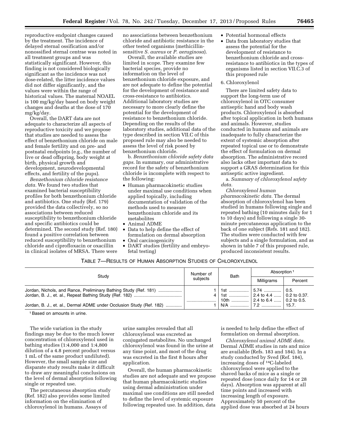reproductive endpoint changes caused by the treatment. The incidence of delayed sternal ossification and/or nonossified sternal centrae was noted in all treatment groups and was statistically significant. However, this finding is not considered biologically significant as the incidence was not dose-related, the litter incidence values did not differ significantly, and the values were within the range of historical values. The maternal NOAEL is 100 mg/kg/day based on body weight changes and deaths at the dose of 170 mg/kg/day.

Overall, the DART data are not adequate to characterize all aspects of reproductive toxicity and we propose that studies are needed to assess the effect of benzethonium chloride on male and female fertility and on pre- and postnatal endpoints (e.g., the number of live or dead offspring, body weight at birth, physical growth and development, neurodevelopmental effects, and fertility of the pups).

*Benzethonium chloride resistance data.* We found two studies that examined bacterial susceptibility profiles for both benzethonium chloride and antibiotics. One study (Ref. 179) provided the data collectively, so no associations between reduced susceptibility to benzethonium chloride and specific antibiotics could be determined. The second study (Ref. 180) found a positive correlation between reduced susceptibility to benzethonium chloride and ciprofloxacin or oxacillin in clinical isolates of MRSA. There were

no associations between benzethonium chloride and antibiotic resistance in the other tested organisms (methicillinsensitive *S. aureus* or *P. aeruginosa*).

Overall, the available studies are limited in scope. They examine few bacterial species, provide no information on the level of benzethonium chloride exposure, and are not adequate to define the potential for the development of resistance and cross-resistance to antibiotics. Additional laboratory studies are necessary to more clearly define the potential for the development of resistance to benzethonium chloride. Depending on the results of the laboratory studies, additional data of the type described in section VII.C of this proposed rule may also be needed to assess the level of risk posed by benzethonium chloride.

b. *Benzethonium chloride safety data gaps.* In summary, our administrative record for the safety of benzethonium chloride is incomplete with respect to the following:

- Human pharmacokinetic studies under maximal use conditions when applied topically, including documentation of validation of the methods used to measure benzethonium chloride and its metabolites
- Animal ADME
- Data to help define the effect of formulation on dermal absorption
- Oral carcinogenicity
- DART studies (fertility and embryofetal testing)
- Potential hormonal effects
- Data from laboratory studies that assess the potential for the development of resistance to benzethonium chloride and crossresistance to antibiotics in the types of organisms listed in section VII.C.3 of this proposed rule

#### 6. Chloroxylenol

There are limited safety data to support the long-term use of chloroxylenol in OTC consumer antiseptic hand and body wash products. Chloroxylenol is absorbed after topical application in both humans and animals. However, studies conducted in humans and animals are inadequate to fully characterize the extent of systemic absorption after repeated topical use or to demonstrate the effect of formulation on dermal absorption. The administrative record also lacks other important data to support a GRAS determination for this antiseptic active ingredient.

a. *Summary of chloroxylenol safety data.* 

*Chloroxylenol human pharmacokinetic data.* The dermal absorption of chloroxylenol has been studied in humans following single and repeated bathing (10 minutes daily for 1 to 10 days) and following a single 30 minute percutaneous application to the back of one subject (Refs. 181 and 182). The studies were conducted with few subjects and a single formulation, and as shown in table 7 of this proposed rule, produced inconsistent results.

# TABLE 7—RESULTS OF HUMAN ABSORPTION STUDIES OF CHLOROXYLENOL

| Study                                                                | Number of | <b>Bath</b>                                                    | Absorption 1              |         |
|----------------------------------------------------------------------|-----------|----------------------------------------------------------------|---------------------------|---------|
|                                                                      | subiects  |                                                                | Milligrams                | Percent |
| Jordan, Nichols, and Rance, Preliminary Bathing Study (Ref. 181)     |           | 1   1st    5.74    0.5.<br>  1st    2.4 to 4.4    0.2 to 0.37. |                           |         |
| Jordan, B. J., et. al., Dermal ADME under Occlusion Study (Ref. 182) |           | 10th                                                           | 2.4 to 6.4    0.2 to 0.5. |         |

1Based on amounts in urine.

The wide variation in the study findings may be due to the much lower concentration of chloroxylenol used in bathing studies (1:4,000 and 1:4,800 dilution of a 4.8 percent product versus 1 mL of the same product undiluted). However, the small sample size and disparate study results make it difficult to draw any meaningful conclusions on the level of dermal absorption following single or repeated use.

The percutaneous absorption study (Ref. 182) also provides some limited information on the elimination of chloroxylenol in humans. Assays of

urine samples revealed that all chloroxylenol was excreted as conjugated metabolites. No unchanged chloroxylenol was found in the urine at any time point, and most of the drug was excreted in the first 8 hours after application.

Overall, the human pharmacokinetic studies are not adequate and we propose that human pharmacokinetic studies using dermal administration under maximal use conditions are still needed to define the level of systemic exposure following repeated use. In addition, data

is needed to help define the effect of formulation on dermal absorption.

*Chloroxylenol animal ADME data.*  Dermal ADME studies in rats and mice are available (Refs. 183 and 184). In a study conducted by Sved (Ref. 184), increasing doses of 14C-labeled chloroxylenol were applied to the shaved backs of mice as a single or repeated dose (once daily for 14 or 28 days). Absorption was apparent at all time points and increased with increasing length of exposure. Approximately 50 percent of the applied dose was absorbed at 24 hours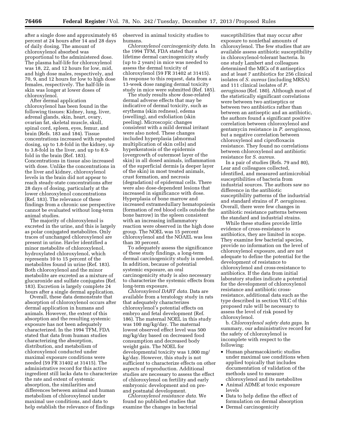after a single dose and approximately 65 percent at 24 hours after 14 and 28 days of daily dosing. The amount of chloroxylenol absorbed was proportional to the administered dose. The plasma half-life for chloroxylenol was 18, 22, and 12 hours for low, mid, and high dose males, respectively, and 70, 9, and 12 hours for low to high dose females, respectively. The half-life in skin was longer at lower doses of chloroxylenol.

After dermal application chloroxylenol has been found in the following tissues: Kidney, lung, liver, adrenal glands, skin, heart, ovary, ovarian fat, skeletal muscle, skull, spinal cord, spleen, eyes, femur, and brain (Refs. 183 and 184). Tissue concentrations increased with repeated dosing, up to 1.8-fold in the kidney, up to 3.8-fold in the liver, and up to 8.9 fold in the brain (Ref. 183). Concentrations in tissue also increased with dose. Unlike the concentrations in the liver and kidney, chloroxylenol levels in the brain did not appear to reach steady-state concentrations after 28 days of dosing, particularly at the lower chloroxylenol concentrations (Ref. 183). The relevance of these findings from a chronic use perspective cannot be evaluated without long-term animal studies.

The majority of chloroxylenol is excreted in the urine, and this is largely as polar conjugated metabolites. Only traces of unchanged chloroxylenol are present in urine. Havler identified a minor metabolite of chloroxylenol, hydroxylated chloroxylenol, which represents 10 to 15 percent of the metabolites found in urine (Ref. 183). Both chloroxylenol and the minor metabolite are excreted as a mixture of glucuronide and sulfate conjugates (Ref. 183). Excretion is largely complete 24 hours after a single dermal application.

Overall, these data demonstrate that absorption of chloroxylenol occurs after dermal application in humans and animals. However, the extent of this absorption and the resulting systemic exposure has not been adequately characterized. In the 1994 TFM, FDA stated that data from human studies characterizing the absorption, distribution, and metabolism of chloroxylenol conducted under maximal exposure conditions were needed (59 FR 31402 at 31415). The administrative record for this active ingredient still lacks data to characterize the rate and extent of systemic absorption, the similarities and differences between animal and human metabolism of chloroxylenol under maximal use conditions, and data to help establish the relevance of findings

observed in animal toxicity studies to humans.

*Chloroxylenol carcinogenicity data.* In the 1994 TFM, FDA stated that a lifetime dermal carcinogenicity study (up to 2 years) in mice was needed to assess the dermal toxicity of chloroxylenol (59 FR 31402 at 31415). In response to this request, data from a 13-week dose ranging dermal toxicity study in mice were submitted (Ref. 185).

The study results show dose-related dermal adverse effects that may be indicative of dermal toxicity, such as erythema (skin redness), edema (swelling), and exfoliation (skin peeling). Microscopic changes consistent with a mild dermal irritant were also noted. These changes included hyperplasia (abnormal multiplication of skin cells) and hyperkeratosis of the epidermis (overgrowth of outermost layer of the skin) in all dosed animals, inflammation of the superficial dermis (a deeper layer of the skin) in most treated animals, crust formation, and necrosis (degradation) of epidermal cells. There were also dose-dependent lesions that increased in significance with dose. Hyperplasia of bone marrow and increased extramedullary hematopoiesis (formation of red blood cells outside the bone barrow) in the spleen consistent with an increasing inflammatory reaction were observed in the high dose group. The NOEL was 15 percent chloroxylenol and the NOAEL was less than 30 percent.

To adequately assess the significance of these study findings, a long-term dermal carcinogenicity study is needed. In addition, because of potential systemic exposure, an oral carcinogenicity study is also necessary to characterize the systemic effects from long-term exposure.

*Chloroxylenol DART data.* Data are available from a teratology study in rats that adequately characterizes chloroxylenol's potential effects on embryo and fetal development (Ref. 186). The maternal NOEL in this study was 100 mg/kg/day. The maternal lowest observed effect level was 500 mg/kg/day based on decreased food consumption and decreased body weight gain. The NOEL for developmental toxicity was 1,000 mg/ kg/day. However, this study is not sufficient to characterize effects on other aspects of reproduction. Additional studies are necessary to assess the effect of chloroxylenol on fertility and early embryonic development and on preand postnatal development.

*Chloroxylenol resistance data.* We found no published studies that examine the changes in bacterial

susceptibilities that may occur after exposure to nonlethal amounts of chloroxylenol. The few studies that are available assess antibiotic susceptibility in chloroxylenol-tolerant bacteria. In one study Lambert and colleagues determined the MICs of 8 antiseptics and at least 7 antibiotics for 256 clinical isolates of *S. aureus* (including MRSA) and 111 clinical isolates of *P. aeruginosa* (Ref. 180). Although most of the statistically significant correlations were between two antiseptics or between two antibiotics rather than between an antiseptic and an antibiotic, the authors found a significant positive correlation between chloroxylenol and gentamycin resistance in *P. aeruginosa,*  but a negative correlation between chloroxylenol and ciprofloxacin resistance. They found no correlations between chloroxylenol and antibiotic resistance for *S. aureus.* 

In a pair of studies (Refs. 79 and 80), Lear and colleagues collected, identified, and measured antimicrobial susceptibilities of bacteria from industrial sources. The authors saw no difference in the antibiotic susceptibility patterns of the industrial and standard strains of *P. aeruginosa.*  Overall, there were few changes in antibiotic resistance patterns between the standard and industrial strains.

While these studies provide little evidence of cross-resistance to antibiotics, they are limited in scope. They examine few bacterial species, provide no information on the level of chloroxylenol exposure, and are not adequate to define the potential for the development of resistance to chloroxylenol and cross-resistance to antibiotics. If the data from initial laboratory studies indicate a potential for the development of chloroxylenol resistance and antibiotic crossresistance, additional data such as the type described in section VII.C of this proposed rule will be necessary to assess the level of risk posed by chloroxylenol.

b. *Chloroxylenol safety data gaps.* In summary, our administrative record for the safety of chloroxylenol is incomplete with respect to the following:

- Human pharmacokinetic studies under maximal use conditions when applied topically that includes documentation of validation of the methods used to measure chloroxylenol and its metabolites
- Animal ADME at toxic exposure levels
- Data to help define the effect of formulation on dermal absorption
- Dermal carcinogenicity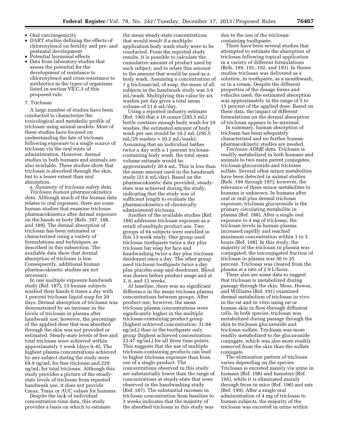- Oral carcinogenicity
- DART studies defining the effects of chloroxylenol on fertility and pre- and postnatal development
- Potential hormonal effects
- Data from laboratory studies that assess the potential for the development of resistance to chloroxylenol and cross-resistance to antibiotics in the types of organisms listed in section VII.C.3 of this proposed rule.

#### 7. Triclosan

A large number of studies have been conducted to characterize the toxicological and metabolic profile of triclosan using animal models. Most of these studies have focused on understanding the fate of triclosan following exposure to a single source of triclosan via the oral route of administration. However, dermal studies in both humans and animals are also available. These studies show that triclosan is absorbed through the skin, but to a lesser extent than oral absorption.

a. *Summary of triclosan safety data. Triclosan human pharmacokinetics data.* Although much of the human data relates to oral exposure, there are some human studies that examine triclosan pharmacokinetics after dermal exposure on the hands or body (Refs. 187, 188, and 189). The dermal absorption of triclosan has been estimated or characterized using a variety of formulations and techniques, as described in this subsection. The available data show that dermal absorption of triclosan is low. Consequently, additional human pharmacokinetic studies are not necessary.

In one multiple exposure handwash study (Ref. 187), 13 human subjects washed their hands 6 times a day with 1 percent triclosan liquid soap for 20 days. Dermal absorption of triclosan was demonstrated by an increase in the levels of triclosan in plasma after handwash use; however, the percentage of the applied dose that was absorbed through the skin was not provided or estimated. Steady-state levels of free and total triclosan were achieved within approximately 1 week (days 6–8). The highest plasma concentrations achieved by any subject during the study were 69.9 ng/mL for free triclosan and 229 ng/mL for total triclosan. Although this study provides a picture of the steadystate levels of triclosan from repeated handwash use, it does not provide Cmax, Tmax or AUC values for humans.

Despite the lack of individual concentration-time data, this study provides a basis on which to estimate

the mean steady-state concentrations that would result if a multipleapplication body wash study were to be conducted. From the reported study results, it is possible to calculate the cumulative amount of product used by each subject, and to relate this amount to the amount that would be used as a body wash. Assuming a concentration of 1 g triclosan/mL of soap, the mean of all subjects in the handwash study was 3.6 mL/wash. Multiplying this value by six washes per day gives a total mean volume of 21.6 mL/day.

Using a reported industry estimate (Ref. 190) that a 10 ounce (295.5 mL) bottle contains enough body wash for 29 washes, the estimated amount of body wash per use would be 10.2 mL (295.5  $mL/29$  washes = 10.2 mL/wash). Assuming that an individual bathes twice a day with a 1 percent triclosancontaining body wash, the total mean volume estimate would be approximately 20.4 mL. This is less than the mean amount used in the handwash study (21.6 mL/day). Based on the pharmacokinetic data provided, steadystate was achieved during the study, indicating that the study was of sufficient length to evaluate the pharmacokinetics of chronically administered triclosan.

Another of the available studies (Ref. 188) addresses triclosan exposure as a result of multiple product use. Two groups of 84 subjects were enrolled in this 13-week study. One group used triclosan toothpaste twice a day plus triclosan bar soap for face and handwashing twice a day plus triclosan deodorant once a day. The other group used triclosan toothpaste twice a day plus placebo soap and deodorant. Blood was drawn before product usage and at 3, 6, and 13 weeks.

At baseline, there was no significant difference in the mean triclosan plasma concentrations between groups. After product use, however, the mean triclosan plasma concentrations were significantly higher in the multiple triclosan-containing product group (highest achieved concentration: 31.04 ng/mL) than in the toothpaste only group (highest achieved concentration: 22.47 ng/mL) for all three time points. This suggests that the use of multiple triclosan-containing products can lead to higher triclosan exposure than from use of a single product. The concentrations observed in this study are substantially lower than the range of concentrations at steady-state that were observed in the handwashing study (Ref. 187). The substantial increase in triclosan concentration from baseline to 3 weeks indicates that the majority of the absorbed triclosan in this study was

due to the use of the triclosancontaining toothpaste.

There have been several studies that attempted to estimate the absorption of triclosan following topical application in a variety of different formulations (Refs. 189, 191, 192, and 193). In theses studies triclosan was delivered as a solution, in toothpaste, as a mouthwash, or in a cream. Despite the different properties of the dosage forms and vehicles used, the estimated absorption was approximately in the range of 5 to 15 percent of the applied dose. Based on these data, the impact of different formulations on the dermal absorption of triclosan appears to be minimal.

In summary, human absorption of triclosan has been adequately characterized and no further human pharmacokinetic studies are needed.

*Triclosan ADME data.* Triclosan is readily metabolized in both humans and animals to two main parent conjugates, triclosan glucuronide and triclosan sulfate. Several other minor metabolites have been detected in animal studies (Refs. 194 through 197); however, the relevance of these minor metabolites to humans is unknown. In humans after oral or oral plus dermal triclosan exposure, triclosan glucuronide is the primary circulating metabolite in plasma (Ref. 188). After a single oral exposure to 4 mg of triclosan, the triclosan levels in human plasma increased rapidly and reached maximum concentration within 1 to 3 hours (Ref. 198). In this study, the majority of the triclosan in plasma was conjugated; the unconjugated fraction of triclosan in plasma was 30 to 35 percent. Triclosan was cleared from the plasma at a rate of 2.9 L/hour.

There also are some data to suggest that triclosan is metabolized during passage through the skin. Moss, Howes, and Williams (Ref. 191) examined dermal metabolism of triclosan in vivo in the rat and in vitro using rat or human skin in flow-through diffusion cells. In both species, triclosan was metabolized during passage through the skin to triclosan glucuronide and triclosan sulfate. Triclosan was more readily metabolized to the glucuronide conjugate, which was also more readily removed from the skin than the sulfate conjugate.

The elimination pattern of triclosan varies depending on the species. Triclosan is excreted mainly via urine in humans (Ref. 198) and hamsters (Ref. 195), while it is eliminated mainly through feces in mice (Ref. 196) and rats (Ref. 199). After a single oral administration of 4 mg of triclosan to human subjects, the majority of the triclosan was excreted in urine within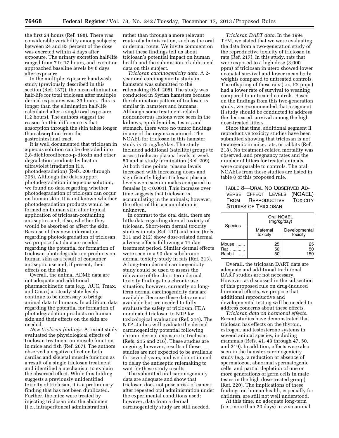the first 24 hours (Ref. 198). There was considerable variability among subjects; between 24 and 83 percent of the dose was excreted within 4 days after exposure. The urinary excretion half-life ranged from 7 to 17 hours, and excretion approached baseline levels by 8 days after exposure.

In the multiple exposure handwash study (previously described in this section (Ref. 187)), the mean elimination half-life for total triclosan after multiple dermal exposures was 33 hours. This is longer than the elimination half-life calculated after a single oral exposure (12 hours). The authors suggest the reason for this difference is that absorption through the skin takes longer than absorption from the gastrointestinal tract.

It is well documented that triclosan in aqueous solution can be degraded into 2,8-dichlorodibenzo-p-dioxin and other degradation products by heat or ultraviolet irradiation (i.e., photodegradation) (Refs. 200 through 206). Although the data support photodegradation in aqueous solution, we found no data regarding whether photodegradation of triclosan can occur on human skin. It is not known whether photodegradation products would be formed on human skin after topical application of triclosan-containing antiseptics and, if so, whether they would be absorbed or affect the skin. Because of this new information regarding photodegradation of triclosan, we propose that data are needed regarding the potential for formation of triclosan photodegradation products on human skin as a result of consumer antiseptic use and, if present, their effects on the skin.

Overall, the animal ADME data are not adequate and additional pharmacokinetic data (e.g., AUC, Tmax, and Cmax) at steady-state levels continue to be necessary to bridge animal data to humans. In addition, data regarding the potential for formation of photodegradation products on human skin and their effects on the skin are needed.

*New triclosan findings.* A recent study evaluated the physiological effects of triclosan treatment on muscle function in mice and fish (Ref. 207). The authors observed a negative effect on both cardiac and skeletal muscle function as a result of a single triclosan treatment and identified a mechanism to explain the observed effect. While this finding suggests a previously unidentified toxicity of triclosan, it is a preliminary finding that has not been duplicated. Further, the mice were treated by injecting triclosan into the abdomen (i.e., intraperitoneal administration),

rather than through a more relevant route of administration, such as the oral or dermal route. We invite comment on what these findings tell us about triclosan's potential impact on human health and the submission of additional data on this subject.

*Triclosan carcinogenicity data.* A 2 year oral carcinogenicity study in hamsters was submitted to the rulemaking (Ref. 208). The study was conducted in Syrian hamsters because the elimination pattern of triclosan is similar in hamsters and humans. Although some treatment-related noncancerous lesions were seen in the kidneys, epididymides, testes, and stomach, there were no tumor findings in any of the organs examined. The NOAEL for triclosan in this hamster study is 75 mg/kg/day. The study included additional (satellite) groups to assess triclosan plasma levels at week 53 and at study termination (Ref. 209). At both time points, plasma levels increased with increasing doses and significantly higher triclosan plasma levels were seen in males compared to females (*p* < 0.001). This increase over time suggests that triclosan is accumulating in the animals; however, the effect of this accumulation is unknown.

In contrast to the oral data, there are little data regarding dermal toxicity of triclosan. Short-term dermal toxicity studies in rats (Ref. 210) and mice (Refs. 211 and 212) show dose-related dermal adverse effects following a 14-day treatment period. Similar dermal effects were seen in a 90-day subchronic dermal toxicity study in rats (Ref. 213). A long-term dermal carcinogenicity study could be used to assess the relevance of the short-term dermal toxicity findings to a chronic use situation; however, currently no longterm dermal carcinogenicity data are available. Because these data are not available but are needed to fully evaluate the safety of triclosan, FDA nominated triclosan to NTP for toxicological evaluation (Ref. 214). The NTP studies will evaluate the dermal carcinogenicity potential following chronic dermal exposure to triclosan (Refs. 215 and 216). These studies are ongoing; however, results of these studies are not expected to be available for several years, and we do not intend to delay the antiseptic rulemaking to wait for these study results.

The submitted oral carcinogenicity data are adequate and show that triclosan does not pose a risk of cancer after repeated oral administration under the experimental conditions used; however, data from a dermal carcinogenicity study are still needed.

*Triclosan DART data.* In the 1994 TFM, we stated that we were evaluating the data from a two-generation study of the reproductive toxicity of triclosan in rats (Ref. 217). In this study, rats that were exposed to a high dose (3,000 ppm) of triclosan in utero showed lower neonatal survival and lower mean body weights compared to untreated controls. The offspring of these rats (i.e., F2 pups) had a lower rate of survival to weaning compared to untreated controls. Based on the findings from this two-generation study, we recommended that a segment II study should be conducted to address the decreased survival among the high dose-treated litters.

Since that time, additional segment II reproductive toxicity studies have been submitted showing that triclosan is not teratogenic in mice, rats, or rabbits (Ref. 218). No treatment-related mortality was observed, and pregnancy rates and the number of litters for treated animals were comparable to controls. The oral NOAELs from these studies are listed in table 8 of this proposed rule.

# TABLE 8—ORAL NO OBSERVED AD-VERSE EFFECT LEVELS (NOAEL) FROM REPRODUCTIVE TOXICITY STUDIES OF TRICLOSAN

| <b>Species</b>         | Oral NOAEL<br>(mg/kg/day) |                           |  |  |
|------------------------|---------------------------|---------------------------|--|--|
|                        | Maternal<br>toxicity      | Developmental<br>toxicity |  |  |
| Mouse<br>Rat<br>Rabbit | 25<br>50<br>50            | 25<br>50<br>150           |  |  |

Overall, the triclosan DART data are adequate and additional traditional DART studies are not necessary. However, as discussed in the subsection of this proposed rule on drug-induced hormonal effects, we propose that additional reproductive and developmental testing will be needed to address concerns about these effects.

*Triclosan data on hormonal effects.*  Recent studies have demonstrated that triclosan has effects on the thyroid, estrogen, and testosterone systems in several animal species, including mammals (Refs. 41, 43 through 47, 50, and 219). In addition, effects were also seen in the hamster carcinogenicity study (e.g., a reduction or absence of spermatozoa, abnormal spermatogenic cells, and partial depletion of one or more generations of germ cells in male testes in the high dose-treated group) (Ref. 220). The implications of these findings on human health, especially for children, are still not well understood.

At this time, no adequate long-term (i.e., more than 30 days) in vivo animal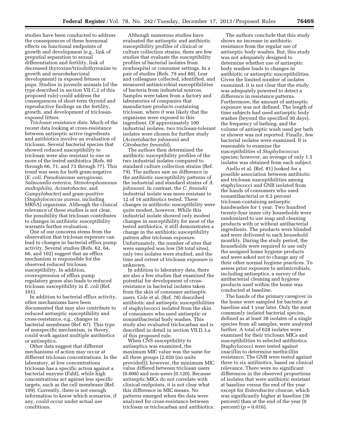studies have been conducted to address the consequences of these hormonal effects on functional endpoints of growth and development (e.g., link of preputial separation to sexual differentiation and fertility, link of decreased thyroxine/triiodothyronine to growth and neurobehavioral development) in exposed fetuses or pups. Studies in juvenile animals (of the type described in section VII.C.2 of this proposed rule) could address the consequences of short-term thyroid and reproductive findings on the fertility, growth, and development of triclosanexposed litters.

*Triclosan resistance data.* Much of the recent data looking at cross-resistance between antiseptic active ingredients and antibiotics involve an evaluation of triclosan. Several bacterial species that showed reduced susceptibility to triclosan were also resistant to one or more of the tested antibiotics (Refs. 60 through 66, 71, and 73 through 77). This trend was seen for both gram-negative (*E. coli, Pseudomonas aeruginosa, Salmonella enterica, Stenotrophomonas maltophilia, Acinetobacter,* and *Campylobacter*) and gram-positive (*Staphylococcus aureus,* including MRSA) organisms. Although the clinical relevance of these studies is not clear, the possibility that triclosan contributes to changes in antibiotic susceptibility warrants further evaluation.

One of our concerns stems from the observation that triclosan exposure can lead to changes in bacterial efflux pump activity. Several studies (Refs. 62, 64, 66, and 102) suggest that an efflux mechanism is responsible for the observed reduced triclosan susceptibility. In addition, overexpression of efflux pump regulatory genes also leads to reduced triclosan susceptibility in *E. coli* (Ref. 101).

In addition to bacterial efflux activity, other mechanisms have been documented that may also contribute to reduced antiseptic susceptibility and cross-resistance, e.g., changes in bacterial membrane (Ref. 67). This type of nonspecific mechanism, in theory, could work against multiple antibiotics or antiseptics.

Other data suggest that different mechanisms of action may occur at different triclosan concentrations. In the laboratory, at low concentrations triclosan has a specific action against a bacterial enzyme (FabI), while high concentrations act against less specific targets, such as the cell membrane (Ref. 109). Currently, there is not enough information to know which scenarios, if any, could occur under actual use conditions.

Although numerous studies have evaluated the antiseptic and antibiotic susceptibility profiles of clinical or culture collection strains, there are few studies that evaluate the susceptibility profiles of bacterial isolates from nonhospital or consumer settings. In a pair of studies (Refs. 79 and 80), Lear and colleagues collected, identified, and measured antimicrobial susceptibilities of bacteria from industrial sources. Samples were taken from a factory and laboratories of companies that manufacture products containing triclosan, where it was likely that the organisms were exposed to this ingredient. Of approximately 100 industrial isolates, two triclosan-tolerant isolates were chosen for further study (*Acinetobacter johnsonii* and *Citrobacter freundii*).

The authors then determined the antibiotic susceptibility profiles of the two industrial isolates compared to standard culture collection strains (Ref. 79). The authors saw no difference in the antibiotic susceptibility patterns of the industrial and standard strains of *A. johnsonii.* In contrast, the *C. freundii*  industrial isolate was more resistant to 12 of 14 antibiotics tested. These changes in antibiotic susceptibility were quite modest, however. While this industrial isolate showed only modest changes in susceptibility for most of the tested antibiotics, it still demonstrates a change in the antibiotic susceptibility pattern after triclosan exposure. Unfortunately, the number of sites that were sampled was low (50 total sites), only two isolates were studied, and the time and extent of triclosan exposure is unknown.

In addition to laboratory data, there are also a few studies that examined the potential for development of crossresistance in bacterial isolates taken from the skin of consumer antiseptic users. Cole et al. (Ref. 78) described antibiotic and antiseptic susceptibilities of staphylococci isolated from the skin of consumers who used antiseptic or nonantibacterial body washes. This study also evaluated triclocarban and is described in detail in section VII.D.3.a of this proposed rule.

When CNS susceptibility to antiseptics was examined, the maximum MIC value was the same for all three groups (2.020 (no units provided)); however, the minimum MIC value differed between triclosan users (0.008) and non-users (0.120). Because antiseptic MICs do not correlate with clinical endpoints, it is not clear what this difference in MIC means. No patterns emerged when the data were analyzed for cross-resistance between triclosan or triclocarban and antibiotics.

The authors conclude that this study shows no increase in antibiotic resistance from the regular use of antiseptic body washes. But, this study was not adequately designed to determine whether use of antiseptic body washes leads to changes in antibiotic or antiseptic susceptibilities. Given the limited number of isolates examined, it is not clear that the study was adequately powered to detect a difference in resistance patterns. Furthermore, the amount of antiseptic exposure was not defined. The length of time subjects had used antiseptic body washes (beyond the specified 30 days), the frequency of bathing, and the volume of antiseptic wash used per bath or shower was not reported. Finally, few bacterial isolates were examined. It is reasonable to examine the susceptibilities of *Staphylococcus*  species; however, an average of only 1.5 isolates was obtained from each subject.

Aiello et al. (Ref. 81) looked for a possible association between antibiotic and triclosan susceptibilities among staphylococci and GNB isolated from the hands of consumers who used nonantibacterial or 0.2 percent triclosan-containing antiseptic handwashes for 1 year. Two hundred twenty-four inner city households were randomized to use soap and cleaning products with or without antibacterial ingredients. The products were blinded and were delivered to each household monthly. During the study period, the households were required to use only the assigned home hygiene products and were asked not to change any of their other normal hygiene practices. To assess prior exposure to antimicrobials, including antiseptics, a survey of the antibacterial cleaning and hygiene products used within the home was conducted at baseline.

The hands of the primary caregiver in the home were sampled for bacteria at baseline and 1 year later. Only the most commonly isolated bacterial species, defined as at least 38 isolates of a single species from all samples, were analyzed further. A total of 628 isolates were examined for their triclosan MICs and susceptibilities to selected antibiotics. Staphylococci were tested against oxacillin to determine methicillin resistance. The GNB were tested against three to six antibiotics, based on clinical relevance. There were no significant differences in the observed proportions of isolates that were antibiotic resistant at baseline versus the end of the year except for *Enterobacter cloacae,* which was significantly higher at baseline (36 percent) than at the end of the year (0  $percent) (p = 0.016).$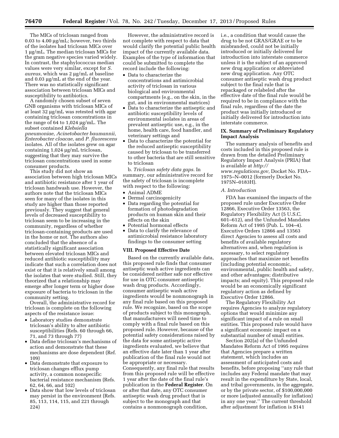The MICs of triclosan ranged from 0.03 to 4.00  $\mu$ g/mL; however, two thirds of the isolates had triclosan MICs over 1 μg/mL. The median triclosan MICs for the gram negative species varied widely. In contrast, the staphylococcus median values were very similar, except for *S. aureus,* which was 2 µg/mL at baseline and 0.03 µg/mL at the end of the year. There was no statistically significant association between triclosan MICs and susceptibility to antibiotics.

A randomly chosen subset of seven GNB organisms with triclosan MICs of at least 32 μg/mL was retested with agar containing triclosan concentrations in the range of 64 to  $1,024 \mu$ g/mL. The subset contained *Klebsiella pneumoniae, Acinetobacter baumannii, Enterobacter cloacae,* and *P. fluorescens*  isolates. All of the isolates grew on agar containing  $1,024 \mu$ g/mL triclosan, suggesting that they may survive the triclosan concentrations used in some consumer products.

This study did not show an association between high triclosan MICs and antibiotic resistance after 1 year of triclosan handwash use. However, the authors note that the triclosan MICs seen for many of the isolates in this study are higher than those reported previously. They suggest that general levels of decreased susceptibility to triclosan seem to be increasing in the community, regardless of whether triclosan-containing products are used in the home or not. The authors also concluded that the absence of a statistically significant association between elevated triclosan MICs and reduced antibiotic susceptibility may indicate that such a correlation does not exist or that it is relatively small among the isolates that were studied. Still, they theorized that a relationship may emerge after longer term or higher dose exposure of bacteria to triclosan in the community setting.

Overall, the administrative record for triclosan is complete on the following aspects of the resistance issue:

- Laboratory studies demonstrate triclosan's ability to alter antibiotic susceptibilities (Refs. 60 through 66, 71, and 73 through 77)
- Data define triclosan's mechanisms of action and demonstrate that these mechanisms are dose dependent (Ref. 109)
- Data demonstrate that exposure to triclosan changes efflux pump activity, a common nonspecific bacterial resistance mechanism (Refs. 62, 64, 66, and 102)
- Data show that low levels of triclosan may persist in the environment (Refs. 85, 113, 114, 115, and 221 through 224)

However, the administrative record is not complete with respect to data that would clarify the potential public health impact of the currently available data. Examples of the type of information that could be submitted to complete the record include the following:

- Data to characterize the concentrations and antimicrobial activity of triclosan in various biological and environmental compartments (e.g., on the skin, in the gut, and in environmental matrices)
- Data to characterize the antiseptic and antibiotic susceptibility levels of environmental isolates in areas of prevalent antiseptic use, e.g., in the home, health care, food handler, and veterinary settings and
- Data to characterize the potential for the reduced antiseptic susceptibility caused by triclosan to be transferred to other bacteria that are still sensitive to triclosan

b. *Triclosan safety data gaps.* In summary, our administrative record for the safety of triclosan is incomplete with respect to the following:

- Animal ADME
- Dermal carcinogenicity
- Data regarding the potential for formation of photodegradation products on human skin and their effects on the skin
- Potential hormonal effects
- Data to clarify the relevance of antimicrobial resistance laboratory findings to the consumer setting

#### **VIII. Proposed Effective Date**

Based on the currently available data, this proposed rule finds that consumer antiseptic wash active ingredients can be considered neither safe nor effective for use in OTC consumer antiseptic wash drug products. Accordingly, consumer antiseptic wash active ingredients would be nonmonograph in any final rule based on this proposed rule. We recognize, based on the scope of products subject to this monograph, that manufacturers will need time to comply with a final rule based on this proposed rule. However, because of the potential safety considerations raised by the data for some antiseptic active ingredients evaluated, we believe that an effective date later than 1 year after publication of the final rule would not be appropriate or necessary. Consequently, any final rule that results from this proposed rule will be effective 1 year after the date of the final rule's publication in the **Federal Register**. On or after that date, any OTC consumer antiseptic wash drug product that is subject to the monograph and that contains a nonmonograph condition,

i.e., a condition that would cause the drug to be not GRAS/GRAE or to be misbranded, could not be initially introduced or initially delivered for introduction into interstate commerce unless it is the subject of an approved new drug application or abbreviated new drug application. Any OTC consumer antiseptic wash drug product subject to the final rule that is repackaged or relabeled after the effective date of the final rule would be required to be in compliance with the final rule, regardless of the date the product was initially introduced or initially delivered for introduction into interstate commerce.

#### **IX. Summary of Preliminary Regulatory Impact Analysis**

The summary analysis of benefits and costs included in this proposed rule is drawn from the detailed Preliminary Regulatory Impact Analysis (PRIA) that is available at *[http://](http://www.regulations.gov) [www.regulations.gov,](http://www.regulations.gov)* Docket No. FDA– 1975–N–0012 (formerly Docket No. 1975N–0183H).

#### *A. Introduction*

FDA has examined the impacts of the proposed rule under Executive Order 12866, Executive Order 13563, the Regulatory Flexibility Act (5 U.S.C. 601–612), and the Unfunded Mandates Reform Act of 1995 (Pub. L. 104–4). Executive Orders 12866 and 13563 direct Agencies to assess all costs and benefits of available regulatory alternatives and, when regulation is necessary, to select regulatory approaches that maximize net benefits (including potential economic, environmental, public health and safety, and other advantages; distributive impacts; and equity). This proposed rule would be an economically significant regulatory action as defined by Executive Order 12866.

The Regulatory Flexibility Act requires Agencies to analyze regulatory options that would minimize any significant impact of a rule on small entities. This proposed rule would have a significant economic impact on a substantial number of small entities.

Section 202(a) of the Unfunded Mandates Reform Act of 1995 requires that Agencies prepare a written statement, which includes an assessment of anticipated costs and benefits, before proposing ''any rule that includes any Federal mandate that may result in the expenditure by State, local, and tribal governments, in the aggregate, or by the private sector, of \$100,000,000 or more (adjusted annually for inflation) in any one year.'' The current threshold after adjustment for inflation is \$141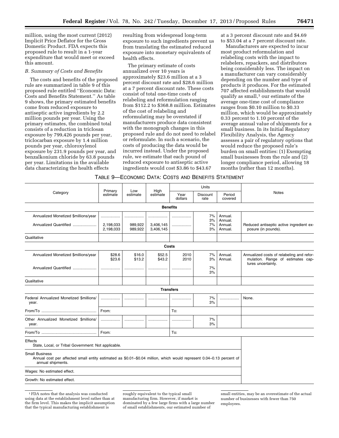million, using the most current (2012) Implicit Price Deflator for the Gross Domestic Product. FDA expects this proposed rule to result in a 1-year expenditure that would meet or exceed this amount.

#### *B. Summary of Costs and Benefits*

The costs and benefits of the proposed rule are summarized in table 9 of this proposed rule entitled ''Economic Data: Costs and Benefits Statement.'' As table 9 shows, the primary estimated benefits come from reduced exposure to antiseptic active ingredients by 2.2 million pounds per year. Using the primary estimates, the combined total consists of a reduction in triclosan exposure by 799,426 pounds per year, triclocarban exposure by 1.4 million pounds per year, chloroxylenol exposure by 231.9 pounds per year, and benzalkonium chloride by 63.8 pounds per year. Limitations in the available data characterizing the health effects

resulting from widespread long-term exposure to such ingredients prevent us from translating the estimated reduced exposure into monetary equivalents of health effects.

The primary estimate of costs annualized over 10 years is approximately \$23.6 million at a 3 percent discount rate and \$28.6 million at a 7 percent discount rate. These costs consist of total one-time costs of relabeling and reformulation ranging from \$112.2 to \$368.8 million. Estimates of the cost of relabeling and reformulating may be overstated if manufacturers produce data consistent with the monograph changes in this proposed rule and do not need to relabel or reformulate. In such a scenario, the costs of producing the data would be incurred instead. Under the proposed rule, we estimate that each pound of reduced exposure to antiseptic active ingredients would cost \$3.86 to \$43.67

at a 3 percent discount rate and \$4.69 to \$53.04 at a 7 percent discount rate.

Manufacturers are expected to incur most product reformulation and relabeling costs with the impact to relabelers, repackers, and distributors being considerably less. The impact on a manufacturer can vary considerably depending on the number and type of products it produces. For the estimated 707 affected establishments that would qualify as small, $1$  our estimate of the average one-time cost of compliance ranges from \$0.10 million to \$0.33 million, which would be approximately 0.33 percent to 1.10 percent of the average annual value of shipments for a small business. In its Initial Regulatory Flexibility Analysis, the Agency assesses a pair of regulatory options that would reduce the proposed rule's burden on small entities: (1) Exempting small businesses from the rule and (2) longer compliance period, allowing 18 months (rather than 12 months).

#### TABLE 9—ECONOMIC DATA: COSTS AND BENEFITS STATEMENT

|                                                                                                                                                                    |                        |                         |                        |                 | Units                   |                    |                                                                                                      |
|--------------------------------------------------------------------------------------------------------------------------------------------------------------------|------------------------|-------------------------|------------------------|-----------------|-------------------------|--------------------|------------------------------------------------------------------------------------------------------|
| Category                                                                                                                                                           | Primary<br>estimate    | High<br>Low<br>estimate | estimate               | Year<br>dollars | <b>Discount</b><br>rate | Period<br>covered  | <b>Notes</b>                                                                                         |
|                                                                                                                                                                    |                        |                         | <b>Benefits</b>        |                 |                         |                    |                                                                                                      |
| Annualized Monetized \$millions/year                                                                                                                               | .                      |                         |                        |                 | 7%<br>3%                | Annual.<br>Annual. |                                                                                                      |
| Annualized Quantified                                                                                                                                              | 2,198,033<br>2,198,033 | 989,922<br>989,922      | 3,406,145<br>3,406,145 | .               | 7%<br>3%                | Annual.<br>Annual. | Reduced antiseptic active ingredient ex-<br>posure (in pounds).                                      |
| Qualitative                                                                                                                                                        |                        |                         |                        |                 |                         |                    |                                                                                                      |
|                                                                                                                                                                    |                        |                         |                        | Costs           |                         |                    |                                                                                                      |
| Annualized Monetized \$millions/year                                                                                                                               | \$28.6<br>\$23.6       | \$16.0<br>\$13.2        | \$52.5<br>\$43.2       | 2010<br>2010    | 7%<br>3%                | Annual.<br>Annual. | Annualized costs of relabeling and refor-<br>mulation. Range of estimates cap-<br>tures uncertainty. |
| Annualized Quantified                                                                                                                                              | .                      |                         | .                      | .               | 7%<br>3%                |                    |                                                                                                      |
| Qualitative                                                                                                                                                        |                        |                         |                        |                 |                         |                    |                                                                                                      |
|                                                                                                                                                                    |                        |                         | <b>Transfers</b>       |                 |                         |                    |                                                                                                      |
| Federal Annualized Monetized \$millions/<br>year.                                                                                                                  |                        |                         |                        |                 | 7%<br>3%                |                    | None.                                                                                                |
|                                                                                                                                                                    | From:                  |                         |                        | To:             |                         |                    |                                                                                                      |
| Other Annualized Monetized \$millions/<br>year.                                                                                                                    | .                      |                         |                        |                 | 7%<br>3%                |                    |                                                                                                      |
|                                                                                                                                                                    | From:                  |                         |                        | To:             |                         |                    |                                                                                                      |
| Effects<br>State, Local, or Tribal Government: Not applicable.                                                                                                     |                        |                         |                        |                 |                         |                    |                                                                                                      |
| <b>Small Business</b><br>Annual cost per affected small entity estimated as \$0.01-\$0.04 million, which would represent 0.04-0.13 percent of<br>annual shipments. |                        |                         |                        |                 |                         |                    |                                                                                                      |
| Wages: No estimated effect.                                                                                                                                        |                        |                         |                        |                 |                         |                    |                                                                                                      |
| Growth: No estimated effect.                                                                                                                                       |                        |                         |                        |                 |                         |                    |                                                                                                      |
|                                                                                                                                                                    |                        |                         |                        |                 |                         |                    |                                                                                                      |

1FDA notes that the analysis was conducted using data at the establishment level rather than at the firm level. This makes the implicit assumption that the typical manufacturing establishment is

roughly equivalent to the typical small manufacturing firm. However, if market is dominated by a few large firms with a large number of small establishments, our estimated number of

small entities, may be an overestimate of the actual number of businesses with fewer than 750 employees.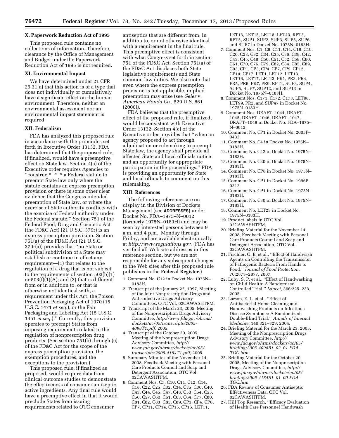# **X. Paperwork Reduction Act of 1995**

This proposed rule contains no collections of information. Therefore, clearance by the Office of Management and Budget under the Paperwork Reduction Act of 1995 is not required.

#### **XI. Environmental Impact**

We have determined under 21 CFR 25.31(a) that this action is of a type that does not individually or cumulatively have a significant effect on the human environment. Therefore, neither an environmental assessment nor an environmental impact statement is required.

#### **XII. Federalism**

FDA has analyzed this proposed rule in accordance with the principles set forth in Executive Order 13132. FDA has determined that the proposed rule, if finalized, would have a preemptive effect on State law. Section 4(a) of the Executive order requires Agencies to ''construe \* \* \* a Federal statute to preempt State law only where the statute contains an express preemption provision or there is some other clear evidence that the Congress intended preemption of State law, or where the exercise of State authority conflicts with the exercise of Federal authority under the Federal statute.'' Section 751 of the Federal Food, Drug and Cosmetic Act (the FD&C Act) (21 U.S.C. 379r) is an express preemption provision. Section 751(a) of the FD&C Act (21 U.S.C. 379r(a)) provides that ''no State or political subdivision of a State may establish or continue in effect any requirement—(1) that relates to the regulation of a drug that is not subject to the requirements of section 503(b)(1) or  $503(f)(1)(A)$ ; and (2) that is different from or in addition to, or that is otherwise not identical with, a requirement under this Act, the Poison Prevention Packaging Act of 1970 (15 U.S.C. 1471 *et seq.*), or the Fair Packaging and Labeling Act (15 U.S.C. 1451 *et seq.*).'' Currently, this provision operates to preempt States from imposing requirements related to the regulation of nonprescription drug products. (See section 751(b) through (e) of the FD&C Act for the scope of the express preemption provision, the exemption procedures, and the exceptions to the provision.)

This proposed rule, if finalized as proposed, would require data from clinical outcome studies to demonstrate the effectiveness of consumer antiseptic active ingredients. Any final rule would have a preemptive effect in that it would preclude States from issuing requirements related to OTC consumer

antiseptics that are different from, in addition to, or not otherwise identical with a requirement in the final rule. This preemptive effect is consistent with what Congress set forth in section 751 of the FD&C Act. Section 751(a) of the FD&C Act displaces both State legislative requirements and State common law duties. We also note that even where the express preemption provision is not applicable, implied preemption may arise (see *Geier* v. *American Honda Co.,* 529 U.S. 861 (2000)).

FDA believes that the preemptive effect of the proposed rule, if finalized, would be consistent with Executive Order 13132. Section 4(e) of the Executive order provides that ''when an agency proposed to act through adjudication or rulemaking to preempt State law, the agency shall provide all affected State and local officials notice and an opportunity for appropriate participation in the proceedings.'' FDA is providing an opportunity for State and local officials to comment on this rulemaking.

#### **XIII. References**

The following references are on display in the Division of Dockets Management (see **ADDRESSES**) under Docket No. FDA–1975–N–0012 (formerly 1975N–0183H) and may be seen by interested persons between 9 a.m. and 4 p.m., Monday through Friday, and are available electronically at *<http://www.regulations.gov>*. (FDA has verified all Web site addresses in this reference section, but we are not responsible for any subsequent changes to the Web sites after this proposed rule publishes in the **Federal Register**.)

- 1. Comment No. C12 in Docket No. 1975N– 0183H.
- 2. Transcript of the January 22, 1997, Meeting of the Joint Nonprescription Drugs and Anti-Infective Drugs Advisory Committees, OTC Vol. 02CAWASHTFM.
- 3. Transcript of the March 23, 2005, Meeting of the Nonprescription Drugs Advisory Committee, *[http://www.fda.gov/ohrms/](http://www.fda.gov/ohrms/dockets/ac/05/transcripts/2005-4098T1.pdf) [dockets/ac/05/transcripts/2005-](http://www.fda.gov/ohrms/dockets/ac/05/transcripts/2005-4098T1.pdf)  [4098T1.pdf,](http://www.fda.gov/ohrms/dockets/ac/05/transcripts/2005-4098T1.pdf)* 2005.
- 4. Transcript of the October 20, 2005, Meeting of the Nonprescription Drugs Advisory Committee, *[http://](http://www.fda.gov/ohrms/dockets/ac/05/transcripts/2005-4184T1.pdf) [www.fda.gov/ohrms/dockets/ac/05/](http://www.fda.gov/ohrms/dockets/ac/05/transcripts/2005-4184T1.pdf) [transcripts/2005-4184T1.pdf,](http://www.fda.gov/ohrms/dockets/ac/05/transcripts/2005-4184T1.pdf)* 2005.
- 5. Summary Minutes of the November 14, 2008, Feedback Meeting with Personal Care Products Council and Soap and Detergent Association, OTC Vol. 02CAWASHTFM.
- 6. Comment Nos. C7, C10, C11, C12, C14, C18, C22, C25, C32, C34, C35, C36, C40, C43, C44, C45, C47, C48, C53, C54, C55, C56, C57, C60, C61, C63, C64, C77, C80, C81, C82, C83, C85, C89, CP3, CP4, CP6, CP7, CP11, CP14, CP15, CP16, LET11,

LET13, LET15, LET18, LET43, RPT3, RPT5, SUP1, SUP2, SUP3, SUP5, SUP6, and SUP7 in Docket No. 1975N–0183H.

- 7. Comment Nos. C1, C8, C11, C14, C18, C19, C20, C23, C32, C34, C35, C36, C38, C42, C43, C45, C48, C50, C51, C52, C58, C60, C61, C70, C76, C79, C82, C84, C85, C89, C93, CP1, CP3, CP4, CP7, CP9, CP12, CP14, CP17, LET1, LET12, LET13, LET16, LET17, LET43, PR1, PR3, PR4, PR5, PR6, PR7, PR9, RPT4, SUP3, SUP4, SUP5, SUP7, SUP12, and SUP13 in Docket No. 1975N–0183H.
- 8. Comment Nos. C171, C172, C173, LET98, LET99, PR2, and SUP47 in Docket No. 1975N–0183H.
- 9. Comment Nos. DRAFT–1044, DRAFT– 1045, DRAFT–1046, DRAFT–1047, DRAFT–1048 in Docket No. FDA–1975– N–0012.
- 10. Comment No. CP1 in Docket No. 2005P– 0432.
- 11. Comment No. C4 in Docket No. 1975N– 0183H.
- 12. Comment No. C42 in Docket No. 1975N– 0183H.
- 13. Comment No. C20 in Docket No. 1975N– 0183H.
- 14. Comment No. CP8 in Docket No. 1975N– 0183H.
- 15. Comment No. CP1 in Docket No. 1996P– 0312.
- 16. Comment No. CP1 in Docket No. 1975N– 0183H.
- 17. Comment No. C30 in Docket No. 1975N– 0183H.
- 18. Comment No. LET23 in Docket No. 1975N–0183H.
- 19. Product labels in OTC Vol. 02CAWASHTFM.
- 20. Briefing Material for the November 14, 2008, Feedback Meeting with Personal Care Products Council and Soap and Detergent Association, OTC Vol. 02CAWASHTFM.
- 21. Fischler, G. E. et al., ''Effect of Handwash Agents on Controlling the Transmission of Pathogenic Bacteria From Hands to Food,'' *Journal of Food Protection,*  70:2873–2877, 2007.
- 22. Luby, S. P. et al., ''Effect of Handwashing on Child Health: A Randomised Controlled Trial,'' *Lancet,* 366:225–233, 2005.
- 23. Larson, E. L. et al., ''Effect of Antibacterial Home Cleaning and Handwashing Products on Infectious Disease Symptoms: A Randomized, Double-Blind Trial,'' *Annals of Internal Medicine,* 140:321–329, 2004.
- 24. Briefing Material for the March 23, 2005, Meeting of the Nonprescription Drugs Advisory Committee, *[http://](http://www.fda.gov/ohrms/dockets/ac/05/briefing/2005-4098B1_02_01-FDA-TOC.htm) [www.fda.gov/ohrms/dockets/ac/05/](http://www.fda.gov/ohrms/dockets/ac/05/briefing/2005-4098B1_02_01-FDA-TOC.htm) [briefing/2005-4098B1](http://www.fda.gov/ohrms/dockets/ac/05/briefing/2005-4098B1_02_01-FDA-TOC.htm)*\_*02*\_*01-FDA-[TOC.htm](http://www.fda.gov/ohrms/dockets/ac/05/briefing/2005-4098B1_02_01-FDA-TOC.htm)*.
- 25. Briefing Material for the October 20, 2005, Meeting of the Nonprescription Drugs Advisory Committee, *[http://](http://www.fda.gov/ohrms/dockets/ac/05/briefing/2005-4184B1_01_00-FDA-TOC.htm) [www.fda.gov/ohrms/dockets/ac/05/](http://www.fda.gov/ohrms/dockets/ac/05/briefing/2005-4184B1_01_00-FDA-TOC.htm) [briefing/2005-4184B1](http://www.fda.gov/ohrms/dockets/ac/05/briefing/2005-4184B1_01_00-FDA-TOC.htm)*\_*01*\_*00-FDA-[TOC.htm](http://www.fda.gov/ohrms/dockets/ac/05/briefing/2005-4184B1_01_00-FDA-TOC.htm)*.
- 26. FDA Review of Consumer Antiseptic Effectiveness Data, OTC Vol. 02CAWASHTFM.
- 27. Hill Top Research, ''Efficacy Evaluation of Health Care Personnel Handwash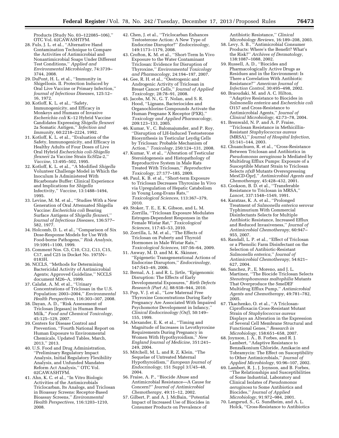Products (Study No. 03–122085–106),'' OTC Vol. 02CAWASHTFM.

- 28. Fuls, J. L. et al., ''Alternative Hand Contamination Technique to Compare the Activities of Antimicrobial and Nonantimicrobial Soaps Under Different Test Conditions,'' *Applied and Environmental Microbiology,* 74:3739– 3744, 2008.
- 29. DuPont, H. L. et al., ''Immunity in Shigellosis. II. Protection Induced by Oral Live Vaccine or Primary Infection,'' *Journal of Infectious Diseases,* 125:12– 16, 1972.
- 30. Kotloff, K. L. et al., ''Safety, Immunogenicity, and Efficacy in Monkeys and Humans of Invasive *Escherichia coli* K–12 Hybrid Vaccine Candidates Expressing *Shigella flexneri*  2a Somatic Antigen,'' *Infection and Immunity,* 60:2218–2224, 1992.
- 31. Kotloff, K. L. et al., ''Evaluation of the Safety, Immunogenicity, and Efficacy in Healthy Adults of Four Doses of Live Oral Hybrid *Escherichia coli-Shigella flexneri* 2a Vaccine Strain EcSf2a-2,'' *Vaccine,* 13:495–502, 1995.
- 32. Kotloff, K. L. et al., ''A Modified *Shigella*  Volunteer Challenge Model in Which the Inoculum Is Administered With Bicarbonate Buffer: Clinical Experience and Implications for *Shigella*  Infectivity,'' *Vaccine,* 13:1488–1494, 1995.
- 33. Levine, M. M. et al., ''Studies With a New Generation of Oral Attenuated Shigella Vaccine: *Escherichia coli* Bearing Surface Antigens of *Shigella flexneri,*'' *Journal of Infectious Diseases,* 136:577– 582, 1977.
- 34. Holcomb, D. L. et al., ''Comparison of Six Dose-Response Models for Use With Food-borne Pathogens,'' *Risk Analysis,*  19:1091–1100, 1999.
- 35. Comment Nos. C5, C10, C12, C13, C15, C17, and C25 in Docket No. 1975N– 0183H.
- 36. NCCLS, ''Methods for Determining Bactericidal Activity of Antimicrobial Agents; Approved Guideline,'' NCCLS document M26–A, 1999.
- 37. Calafat, A. M. et al., ''Urinary Concentrations of Triclosan in the U.S. Population: 2003–2004,'' *Environmental Health Perspectives,* 116:303–307, 2008.
- 38. Dayan, A. D., ''Risk Assessment of Triclosan [Irgasan] in Human Breast Milk,'' *Food and Chemical Toxicology,*  45:125–129, 2007.
- 39. Centers for Disease Control and Prevention, ''Fourth National Report on Human Exposure to Environmental Chemicals, Updated Tables, March, 2013,'' 2013.
- 40. U.S. Food and Drug Administration, ''Preliminary Regulatory Impact Analysis, Initial Regulatory Flexibility Analysis, and Unfunded Mandates Reform Act Analysis,'' OTC Vol. 02CAWASHTFM.
- 41. Ahn, K. C. et al., ''In Vitro Biologic Activities of the Antimicrobials Triclocarban, Its Analogs, and Triclosan in Bioassay Screens: Receptor-Based Bioassay Screens,'' *Environmental Health Perspectives,* 116:1203–1210, 2008.
- 42. Chen, J. et al., ''Triclocarban Enhances Testosterone Action: A New Type of Endocrine Disruptor?'' *Endocrinology,*  149:1173–1179, 2008.
- 43. Crofton, K. M. et al., ''Short-Term In Vivo Exposure to the Water Contaminant Triclosan: Evidence for Disruption of Thyroxine,'' *Environmental Toxicology and Pharmacology,* 24:194–197, 2007.
- 44. Gee, R. H. et al., ''Oestrogenic and Androgenic Activity of Triclosan in Breast Cancer Cells,'' *Journal of Applied Toxicology,* 28:78–91, 2008.
- 45. Jacobs, M. N., G. T. Nolan, and S. R. Hood, ''Lignans, Bacteriocides and Organochlorine Compounds Activate the Human Pregnane X Receptor (PXR),'' *Toxicology and Applied Pharmacology,*  209:123–133, 2005.
- 46. Kumar, V., C. Balomajumder, and P. Roy, ''Disruption of LH-Induced Testosterone Biosynthesis in Testicular Leydig Cells by Triclosan: Probable Mechanism of Action,'' *Toxicology,* 250:124–131, 2008.
- 47. Kumar, V. et al., ''Alteration of Testicular Steroidogenesis and Histopathology of Reproductive System in Male Rats Treated With Triclosan,'' *Reproductive Toxicology,* 27:177–185, 2009.
- 48. Paul, K. B. et al., ''Short-term Exposure to Triclosan Decreases Thyroxine In Vivo via Upregulation of Hepatic Catabolism in Young Long-Evans Rats,'' *Toxicological Sciences,* 113:367–379, 2010.
- 49. Stoker, T. E., E. K. Gibson, and L. M. Zorrilla, ''Triclosan Exposure Modulates Estrogen-Dependent Responses in the Female Wistar Rat,'' *Toxicological Sciences,* 117:45–53, 2010.
- 50. Zorrilla, L. M. et al., ''The Effects of Triclosan on Puberty and Thyroid Hormones in Male Wistar Rats,'' *Toxicological Sciences,* 107:56–64, 2009.
- 51. Anway, M. D. and M. K. Skinner, ''Epigenetic Transgenerational Actions of Endocrine Disruptors,'' *Endocrinology,*  147:S43–49, 2006.
- 52. Bernal, A. J. and R. L. Jirtle, ''Epigenomic Disruption: The Effects of Early Developmental Exposures,'' *Birth Defects Research (Part A),* 88:938–944, 2010.
- 53. Pop, V. J. et al., ''Low Maternal Free Thyroxine Concentrations During Early Pregnancy Are Associated With Impaired Psychomotor Development in Infancy,'' *Clinical Endocrinology (Oxf),* 50:149– 155, 1999.
- 54. Alexander, E. K. et al., ''Timing and Magnitude of Increases in Levothyroxine Requirements During Pregnancy in Women With Hypothyroidism,'' *New England Journal of Medicine,* 351:241– 249, 2004.
- 55. Mitchell, M. L. and R. Z. Klein, ''The Sequelae of Untreated Maternal Hypothyroidism,'' *European Journal of Endocrinology,* 151 Suppl 3:U45–48, 2004.
- 56. Fraise, A. P., ''Biocide Abuse and Antimicrobial Resistance—A Cause for Concern?'' *Journal of Antimicrobial Chemotherapy,* 49:11–12, 2002.
- 57. Gilbert, P. and A. J. McBain, ''Potential Impact of Increased Use of Biocides in Consumer Products on Prevalence of

Antibiotic Resistance,'' *Clinical Microbiology Reviews,* 16:189–208, 2003.

- 58. Levy, S. B., ''Antimicrobial Consumer Products: Where's the Benefit? What's the Risk?'' *Archives of Dermatology,*  138:1087–1088, 2002.
- 59. Russell, A. D., ''Biocides and Pharmacologically Active Drugs as Residues and in the Environment: Is There a Correlation With Antibiotic Resistance?'' *American Journal of Infection Control,* 30:495–498, 2002.
- 60. Braoudaki, M. and A. C. Hilton, ''Adaptive Resistance to Biocides in *Salmonella enterica* and *Escherichia coli*  O157 and Cross-Resistance to Antimicrobial Agents,'' *Journal of Clinical Microbiology,* 42:73–78, 2004.
- 61. Brenwald, N. P. and A. P. Fraise, ''Triclosan Resistance in Methicillin-Resistant *Staphylococcus aureus*  (MRSA),'' *Journal of Hospital Infection,*  55:141–144, 2003.
- 62. Chuanchuen, R. et al., ''Cross-Resistance Between Triclosan and Antibiotics in *Pseudomonas aeruginosa* Is Mediated by Multidrug Efflux Pumps: Exposure of a Susceptible Mutant Strain to Triclosan Selects *nfxB* Mutants Overexpressing MexCD-OprJ,'' *Antimicrobial Agents and Chemotherapy,* 45:428–432, 2001.
- 63. Cookson, B. D. et al., ''Transferable Resistance to Triclosan in MRSA,'' *Lancet,* 337:1548–1549, 1991.
- 64. Karatzas, K. A. et al., ''Prolonged Treatment of *Salmonella enterica* serovar Typhimurium With Commercial Disinfectants Selects for Multiple Antibiotic Resistance, Increased Efflux and Reduced Invasiveness,'' *Journal of Antimicrobial Chemotherapy,* 60:947– 955, 2007.
- 65. Randall, L. P. et al., ''Effect of Triclosan or a Phenolic Farm Disinfectant on the Selection of Antibiotic-Resistant *Salmonella enterica,*'' *Journal of Antimicrobial Chemotherapy,* 54:621– 627, 2004.
- 66. Sanchez, P., E. Moreno, and J. L. Martinez, ''The Biocide Triclosan Selects *Stenotrophomonas maltophilia* Mutants That Overproduce the SmeDEF Multidrug Efflux Pump,'' *Antimicrobial Agents and Chemotherapy,* 49:781–782, 2005.
- 67. Tkachenko, O. et al., ''A Triclosan-Ciprofloxacin Cross-Resistant Mutant Strain of *Staphylococcus aureus*  Displays an Alteration in the Expression of Several Cell Membrane Structural and Functional Genes,'' *Research in Microbiology,* 158:651–658, 2007.
- 68. Joynson, J. A., B. Forbes, and R. J. Lambert, ''Adaptive Resistance to Benzalkonium Chloride, Amikacin and Tobramycin: The Effect on Susceptibility to Other Antimicrobials,'' *Journal of Applied Microbiology,* 93:96–107, 2002.
- 69. Lambert, R. J., J. Joynson, and B. Forbes, ''The Relationships and Susceptibilities of Some Industrial, Laboratory and Clinical Isolates of *Pseudomonas aeruginosa* to Some Antibiotics and Biocides,'' *Journal of Applied Microbiology,* 91:972–984, 2001.
- 70. Langsrud, S., G. Sundheim, and A. L. Holck, ''Cross-Resistance to Antibiotics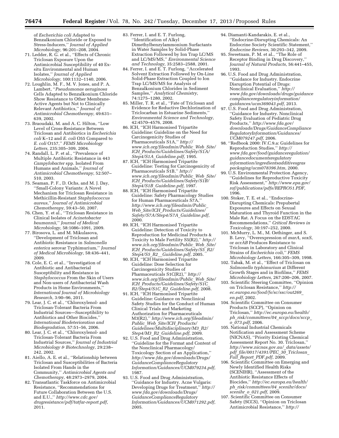of *Escherichia coli* Adapted to Benzalkonium Chloride or Exposed to Stress-Inducers,'' *Journal of Applied Microbiology,* 96:201–208, 2004.

- 71. Ledder, R. G. et al., ''Effects of Chronic Triclosan Exposure Upon the Antimicrobial Susceptibility of 40 Exsitu Environmental and Human Isolates,'' *Journal of Applied Microbiology,* 100:1132–1140, 2006.
- 72. Loughlin, M. F., M. V. Jones, and P. A. Lambert, ''*Pseudomonas aeruginosa*  Cells Adapted to Benzalkonium Chloride Show Resistance to Other Membrane-Active Agents but Not to Clinically Relevant Antibiotics,'' *Journal of Antimicrobial Chemotherapy,* 49:631– 639, 2002.
- 73. Braoudaki, M. and A. C. Hilton, ''Low Level of Cross-Resistance Between Triclosan and Antibiotics in *Escherichia coli* K–12 and *E. coli* O55 Compared to *E. coli* O157,'' *FEMS Microbiology Letters,* 235:305–309, 2004.
- 74. Randall, L. P. et al., ''Prevalence of Multiple Antibiotic Resistance in 443 *Campylobacter* spp. Isolated From Humans and Animals,'' *Journal of Antimicrobial Chemotherapy,* 52:507– 510, 2003.
- 75. Seaman, P. F., D. Ochs, and M. J. Day, ''Small-Colony Variants: A Novel Mechanism for Triclosan Resistance in Methicillin-Resistant *Staphylococcus aureus,*'' *Journal of Antimicrobial Chemotherapy,* 59:43–50, 2007.
- 76. Chen, Y. et al., ''Triclosan Resistance in Clinical Isolates of *Acinetobacter baumannii,*'' *Journal of Medical Microbiology,* 58:1086–1091, 2009.
- 77. Birosova, L. and M. Mikulasova, ''Development of Triclosan and Antibiotic Resistance in *Salmonella enterica* serovar Typhimurium,'' *Journal of Medical Microbiology,* 58:436–441, 2009.
- 78. Cole, E. C. et al., ''Investigation of Antibiotic and Antibacterial Susceptibility and Resistance in *Staphylococcus* From the Skin of Users and Non-users of Antibacterial Wash Products in Home Environments,'' *International Journal of Microbiology Research,* 3:90–96, 2011.
- 79. Lear, J. C. et al., ''Chloroxylenol- and Triclosan-Tolerant Bacteria From Industrial Sources—Susceptibility to Antibiotics and Other Biocides,'' *International Biodeterioration and Biodegradation,* 57:51–56, 2006.
- 80. Lear, J. C. et al., ''Chloroxylenol- and Triclosan-Tolerant Bacteria From Industrial Sources,'' *Journal of Industrial Microbiology & Biotechnology,* 29:238– 242, 2002.
- 81. Aiello, A. E. et al., ''Relationship between Triclosan and Susceptibilities of Bacteria Isolated From Hands in the Community,'' *Antimicrobial Agents and Chemotherapy,* 48:2973–2979, 2004.
- 82. Transatlantic Taskforce on Antimicrobial Resistance, ''Recommendations for Future Collaboration Between the U.S. and E.U.,'' *[http://www.cdc.gov/](http://www.cdc.gov/drugresistance/pdf/tatfar-report.pdf) [drugresistance/pdf/tatfar-report.pdf,](http://www.cdc.gov/drugresistance/pdf/tatfar-report.pdf)*  2011.
- 83. Ferrer, I. and E. T. Furlong, ''Identification of Alkyl Dimethylbenzylammonium Surfactants in Water Samples by Solid-Phase Extraction Followed by Ion Trap LC/MS and LC/MS/MS,'' *Environmental Science and Technology,* 35:2583–2588, 2001.
- 84. Ferrer, I. and E. T. Furlong, ''Accelerated Solvent Extraction Followed by On-Line Solid-Phase Extraction Coupled to Ion Trap LC/MS/MS for Analysis of Benzalkonium Chlorides in Sediment Samples,'' *Analytical Chemistry,*  74:1275–1280, 2002.
- 85. Miller, T. R. et al., ''Fate of Triclosan and Evidence for Reductive Dechlorination of Triclocarban in Estuarine Sediments,'' *Environmental Science and Technology,*  42:4570–4576, 2008.
- 86. ICH, ''ICH Harmonised Tripartite Guideline: Guideline on the Need for Carcinogenicity Studies of Pharmaceuticals S1A,'' *[http://](http://www.ich.org/fileadmin/Public_Web_Site/ICH_Products/Guidelines/Safety/S1A/Step4/S1A_Guideline.pdf) [www.ich.org/fileadmin/Public](http://www.ich.org/fileadmin/Public_Web_Site/ICH_Products/Guidelines/Safety/S1A/Step4/S1A_Guideline.pdf)*\_*Web*\_*Site/ ICH*\_*[Products/Guidelines/Safety/S1A/](http://www.ich.org/fileadmin/Public_Web_Site/ICH_Products/Guidelines/Safety/S1A/Step4/S1A_Guideline.pdf) Step4/S1A*\_*[Guideline.pdf,](http://www.ich.org/fileadmin/Public_Web_Site/ICH_Products/Guidelines/Safety/S1A/Step4/S1A_Guideline.pdf)* 1995.
- 87. ICH, ''ICH Harmonised Tripartite Guideline: Testing for Carcinogenicity of Pharmaceuticals S1B,'' *[http://](http://www.ich.org/fileadmin/Public_Web_Site/ICH_Products/Guidelines/Safety/S1B/Step4/S1B_Guideline.pdf) [www.ich.org/fileadmin/Public](http://www.ich.org/fileadmin/Public_Web_Site/ICH_Products/Guidelines/Safety/S1B/Step4/S1B_Guideline.pdf)*\_*Web*\_*Site/ ICH*\_*[Products/Guidelines/Safety/S1B/](http://www.ich.org/fileadmin/Public_Web_Site/ICH_Products/Guidelines/Safety/S1B/Step4/S1B_Guideline.pdf) Step4/S1B*\_*[Guideline.pdf,](http://www.ich.org/fileadmin/Public_Web_Site/ICH_Products/Guidelines/Safety/S1B/Step4/S1B_Guideline.pdf)* 1997.
- 88. ICH, ''ICH Harmonised Tripartite Guideline: Safety Pharmacology Studies for Human Pharmaceuticals S7A,'' *[http://www.ich.org/fileadmin/Public](http://www.ich.org/fileadmin/Public_Web_Site/ICH_Products/Guidelines/Safety/S7A/Step4/S7A_Guideline.pdf)*\_ *Web*\_*Site/ICH*\_*[Products/Guidelines/](http://www.ich.org/fileadmin/Public_Web_Site/ICH_Products/Guidelines/Safety/S7A/Step4/S7A_Guideline.pdf) [Safety/S7A/Step4/S7A](http://www.ich.org/fileadmin/Public_Web_Site/ICH_Products/Guidelines/Safety/S7A/Step4/S7A_Guideline.pdf)*\_*Guideline.pdf,*  2000.
- 89. ICH, ''ICH Harmonised Tripartite Guideline: Detection of Toxicity to Reproduction for Medicinal Products & Toxicity to Male Fertility S5(R2),'' *[http://](http://www.ich.org/fileadmin/Public_Web_Site/ICH_Products/Guidelines/Safety/S5_R2/Step4/S5_R2__Guideline.pdf) [www.ich.org/fileadmin/Public](http://www.ich.org/fileadmin/Public_Web_Site/ICH_Products/Guidelines/Safety/S5_R2/Step4/S5_R2__Guideline.pdf)*\_*Web*\_*Site/ ICH*\_*[Products/Guidelines/Safety/S5](http://www.ich.org/fileadmin/Public_Web_Site/ICH_Products/Guidelines/Safety/S5_R2/Step4/S5_R2__Guideline.pdf)*\_*R2/ Step4/S5*\_*R2*\_\_*[Guideline.pdf,](http://www.ich.org/fileadmin/Public_Web_Site/ICH_Products/Guidelines/Safety/S5_R2/Step4/S5_R2__Guideline.pdf)* 2005.
- 90. ICH, "ICH Harmonised Tripartite Guideline: Dose Selection for Carcinogenicity Studies of Pharmaceuticals S1C(R2),'' *[http://](http://www.ich.org/fileadmin/Public_Web_Site/ICH_Products/Guidelines/Safety/S1C_R2/Step4/S1C_R2_Guideline.pdf) [www.ich.org/fileadmin/Public](http://www.ich.org/fileadmin/Public_Web_Site/ICH_Products/Guidelines/Safety/S1C_R2/Step4/S1C_R2_Guideline.pdf)*\_*Web*\_*Site/ ICH*\_*[Products/Guidelines/Safety/S1C](http://www.ich.org/fileadmin/Public_Web_Site/ICH_Products/Guidelines/Safety/S1C_R2/Step4/S1C_R2_Guideline.pdf)*\_ *R2/Step4/S1C*\_*R2*\_*[Guideline.pdf,](http://www.ich.org/fileadmin/Public_Web_Site/ICH_Products/Guidelines/Safety/S1C_R2/Step4/S1C_R2_Guideline.pdf)* 2008.
- 91. ICH, ''ICH Harmonised Tripartite Guideline: Guidance on Nonclinical Safety Studies for the Conduct of Human Clinical Trials and Marketing Authorization for Pharmaceuticals M3(R2),'' *[http://www.ich.org/fileadmin/](http://www.ich.org/fileadmin/Public_Web_Site/ICH_Products/Guidelines/Multidisciplinary/M3_R2/Step4/M3_R2_Guideline.pdf) Public*\_*Web*\_*Site/ICH*\_*[Products/](http://www.ich.org/fileadmin/Public_Web_Site/ICH_Products/Guidelines/Multidisciplinary/M3_R2/Step4/M3_R2_Guideline.pdf) [Guidelines/Multidisciplinary/M3](http://www.ich.org/fileadmin/Public_Web_Site/ICH_Products/Guidelines/Multidisciplinary/M3_R2/Step4/M3_R2_Guideline.pdf)*\_*R2/ Step4/M3*\_*R2*\_*[Guideline.pdf,](http://www.ich.org/fileadmin/Public_Web_Site/ICH_Products/Guidelines/Multidisciplinary/M3_R2/Step4/M3_R2_Guideline.pdf)* 2009.
- 92. U.S. Food and Drug Administration, ''Guideline for the Format and Content of the Nonclinical Pharmacology/ Toxicology Section of an Application,'' *[http://www.fda.gov/downloads/Drugs/](http://www.fda.gov/downloads/Drugs/GuidanceComplianceRegulatoryInformation/Guidances/UCM079234.pdf) [GuidanceComplianceRegulatory](http://www.fda.gov/downloads/Drugs/GuidanceComplianceRegulatoryInformation/Guidances/UCM079234.pdf) [Information/Guidances/UCM079234.pdf,](http://www.fda.gov/downloads/Drugs/GuidanceComplianceRegulatoryInformation/Guidances/UCM079234.pdf)*  1987.
- 93. U.S. Food and Drug Administration, ''Guidance for Industry. Acne Vulgaris: Developing Drugs for Treatment,'' *[http://](http://www.fda.gov/downloads/Drugs/GuidanceComplianceRegulatoryInformation/Guidances/UCM071292.pdf) [www.fda.gov/downloads/Drugs/](http://www.fda.gov/downloads/Drugs/GuidanceComplianceRegulatoryInformation/Guidances/UCM071292.pdf) [GuidanceComplianceRegulatory](http://www.fda.gov/downloads/Drugs/GuidanceComplianceRegulatoryInformation/Guidances/UCM071292.pdf) [Information/Guidances/UCM071292.pdf,](http://www.fda.gov/downloads/Drugs/GuidanceComplianceRegulatoryInformation/Guidances/UCM071292.pdf)*  2005.
- 94. Diamanti-Kandarakis, E. et al., ''Endocrine-Disrupting Chemicals: An Endocrine Society Scientific Statement,'' *Endocrine Reviews,* 30:293–342, 2009.
- 95. Sweetnam, P. M. et al., ''The Role of Receptor Binding in Drug Discovery,'' *Journal of Natural Products,* 56:441–455, 1993.
- 96. U.S. Food and Drug Administration, ''Guidance for Industry. Endocrine Disruption Potential of Drugs: Nonclinical Evaluation,'' *[http://](http://www.fda.gov/downloads/drugs/guidancecomplianceregulatoryinformation/guidances/ucm369043.pdf) [www.fda.gov/downloads/drugs/guidance](http://www.fda.gov/downloads/drugs/guidancecomplianceregulatoryinformation/guidances/ucm369043.pdf) [complianceregulatoryinformation/](http://www.fda.gov/downloads/drugs/guidancecomplianceregulatoryinformation/guidances/ucm369043.pdf) [guidances/ucm369043.pdf,](http://www.fda.gov/downloads/drugs/guidancecomplianceregulatoryinformation/guidances/ucm369043.pdf)* 2013.
- 97. U.S. Food and Drug Administration, ''Guidance for Industry. Nonclinical Safety Evaluation of Pediatric Drug Products,'' *[http://www.fda.gov/](http://www.fda.gov/downloads/Drugs/GuidanceComplianceRegulatoryInformation/Guidances/UCM079247.pdf) [downloads/Drugs/GuidanceCompliance](http://www.fda.gov/downloads/Drugs/GuidanceComplianceRegulatoryInformation/Guidances/UCM079247.pdf) [RegulatoryInformation/Guidances/](http://www.fda.gov/downloads/Drugs/GuidanceComplianceRegulatoryInformation/Guidances/UCM079247.pdf) [UCM079247.pdf,](http://www.fda.gov/downloads/Drugs/GuidanceComplianceRegulatoryInformation/Guidances/UCM079247.pdf)* 2006.
- 98. ''Redbook 2000: IV.C.9.a: Guidelines for Reproduction Studies,'' *[http://](http://www.fda.gov/food/guidanceregulation/guidancedocumentsregulatoryinformation/ingredientsadditivesgraspackaging/ucm078396.htm) [www.fda.gov/food/guidanceregulation/](http://www.fda.gov/food/guidanceregulation/guidancedocumentsregulatoryinformation/ingredientsadditivesgraspackaging/ucm078396.htm) [guidancedocumentsregulatory](http://www.fda.gov/food/guidanceregulation/guidancedocumentsregulatoryinformation/ingredientsadditivesgraspackaging/ucm078396.htm) [information/ingredientsadditivesgras](http://www.fda.gov/food/guidanceregulation/guidancedocumentsregulatoryinformation/ingredientsadditivesgraspackaging/ucm078396.htm) [packaging/ucm078396.htm,](http://www.fda.gov/food/guidanceregulation/guidancedocumentsregulatoryinformation/ingredientsadditivesgraspackaging/ucm078396.htm)* 2000.
- 99. U.S. Environmental Protection Agency, ''Guidelines for Reproductive Toxicity Risk Assessment,'' *[http://www.epa.gov/](http://www.epa.gov/raf/publications/pdfs/REPRO51.PDF) [raf/publications/pdfs/REPRO51.PDF,](http://www.epa.gov/raf/publications/pdfs/REPRO51.PDF)*  1996.
- 100. Stoker, T. E. et al., ''Endocrine-Disrupting Chemicals: Prepubertal Exposures and Effects on Sexual Maturation and Thyroid Function in the Male Rat. A Focus on the EDSTAC Recommendations,'' *Critical Reviews in Toxicology,* 30:197–252, 2000.
- 101. McMurry, L. M., M. Oethinger, and S. B. Levy, ''Overexpression of *marA, soxS,*  or *acrAB* Produces Resistance to Triclosan in Laboratory and Clinical Strains of *Escherichia coli,*'' *FEMS Microbiology Letters,* 166:305–309, 1998.
- 102. Tabak, M. et al., ''Effect of Triclosan on *Salmonella typhimurium* at Different Growth Stages and in Biofilms,'' *FEMS Microbiology Letters,* 267:200–206, 2007.
- 103. Scientific Steering Committee, ''Opinion on Triclosan Resistance,'' *[http://](http://ec.europa.eu/food/fs/sc/ssc/out269_en.pdf) [ec.europa.eu/food/fs/sc/ssc/out269](http://ec.europa.eu/food/fs/sc/ssc/out269_en.pdf)*\_ *[en.pdf,](http://ec.europa.eu/food/fs/sc/ssc/out269_en.pdf)* 2002.
- 104. Scientific Committee on Consumer Products (SCCP), ''Opinion on Triclosan,'' *[http://ec.europa.eu/health/](http://ec.europa.eu/health/ph_risk/committees/04_sccp/docs/sccp_o_073.pdf) ph*\_*[risk/committees/04](http://ec.europa.eu/health/ph_risk/committees/04_sccp/docs/sccp_o_073.pdf)*\_*sccp/docs/sccp*\_ *o*\_*[073.pdf,](http://ec.europa.eu/health/ph_risk/committees/04_sccp/docs/sccp_o_073.pdf)* 2006.
- 105. National Industrial Chemicals Notification and Assessment Scheme (NICNAS), ''Priority Existing Chemical Assessment Report No. 30. Triclosan,'' *[http://www.nicnas.gov.au/](http://www.nicnas.gov.au/_data/assets/pdf_file/0017/4391/PEC_30_Triclosan_Full_Report_PDF.pdf)*\_*data/assets/ pdf*\_*[file/0017/4391/PEC](http://www.nicnas.gov.au/_data/assets/pdf_file/0017/4391/PEC_30_Triclosan_Full_Report_PDF.pdf)*\_*30*\_*Triclosan*\_ *Full*\_*Report*\_*[PDF.pdf,](http://www.nicnas.gov.au/_data/assets/pdf_file/0017/4391/PEC_30_Triclosan_Full_Report_PDF.pdf)* 2009.
- 106. Scientific Committee on Emerging and Newly Identified Health Risks (SCENIHR), ''Assessment of the Antibiotic Resistance Effects of Biocides,'' *[http://ec.europa.eu/health/](http://ec.europa.eu/health/ph_risk/committees/04_scenihr/docs/scenihr_o_021.pdf) ph*\_*[risk/committees/04](http://ec.europa.eu/health/ph_risk/committees/04_scenihr/docs/scenihr_o_021.pdf)*\_*scenihr/docs/ scenihr*\_*o*\_*[021.pdf,](http://ec.europa.eu/health/ph_risk/committees/04_scenihr/docs/scenihr_o_021.pdf)* 2009.
- 107. Scientific Committee on Consumer Safety (SCCS), ''Opinion on Triclosan Antimicrobial Resistance,'' *http://*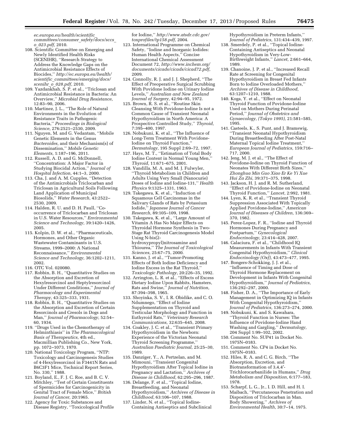*ec.europa.eu/health/scientific*\_ *committees/consumer*\_*safety/docs/sccs*\_ *o*\_*023.pdf,* 2010.

- 108. Scientific Committee on Emerging and Newly Identified Health Risks (SCENIHR), ''Research Strategy to Address the Knowledge Gaps on the Antimicrobial Resistance Effects of Biocides,'' *[http://ec.europa.eu/health/](http://ec.europa.eu/health/scientific_committees/emerging/docs/scenihr_o_028.pdf) scientific*\_*[committees/emerging/docs/](http://ec.europa.eu/health/scientific_committees/emerging/docs/scenihr_o_028.pdf) scenihr*\_*o*\_*[028.pdf,](http://ec.europa.eu/health/scientific_committees/emerging/docs/scenihr_o_028.pdf)* 2010.
- 109. Yazdankhah, S. P. et al., ''Triclosan and Antimicrobial Resistance in Bacteria: An Overview,'' *Microbial Drug Resistance,*  12:83–90, 2006.
- 110. Martinez, J. L., ''The Role of Natural Environments in the Evolution of Resistance Traits in Pathogenic Bacteria,'' *Proceedings in Biological Science,* 276:2521–2530, 2009.
- 111. Nguyen, M. and G. Vedantam, ''Mobile Genetic Elements in the Genus *Bacteroides,* and their Mechanism(s) of Dissemination,'' *Mobile Genetic Elements,* 1:187–196, 2011.
- 112. Russell, A. D. and G. McDonnell, ''Concentration: A Major Factor in Studying Biocidal Action,'' *Journal of Hospital Infection,* 44:1–3, 2000.
- 113. Cha, J. and A. M. Cupples, ''Detection of the Antimicrobials Triclocarban and Triclosan in Agricultural Soils Following Land Application of Municipal Biosolids,'' *Water Research,* 43:2522– 2530, 2009.
- 114. Halden, R. U. and D. H. Paull, ''Cooccurrence of Triclocarban and Triclosan in U.S. Water Resources,'' *Environmental Science and Technology,* 39:1420–1426, 2005.
- 115. Kolpin, D. W. et al., ''Pharmaceuticals, Hormones, and Other Organic Wastewater Contaminants in U.S. Streams, 1999–2000: A National Reconnaissance,'' *Environmental Science and Technology,* 36:1202–1211, 2002.
- 116. OTC Vol. 020080.
- 117. Robbin, B. H., ''Quantitative Studies on the Absorption and Excretion of Hexylresorcinol and Heptylresorcinol Under Different Conditions,'' *Journal of Pharmacology and Experimental Therapy,* 43:325–333, 1931.
- 118. Robbin, B. H., ''Quantitative Studies on the Absorption and Excretion of Certain Resorcinols and Cresols in Dogs and Man,'' *Journal of Pharmacology,* 52:54– 60, 1934.
- 119. ''Drugs Used in the Chemotherapy of Helminthiasis'' in *The Pharmacological Basis of Therapeutics,* 4th ed., Macmillian Publishing Co., New York, pp. 1072–1073, 1970.
- 120. National Toxicology Program, ''NTP: Toxicology and Carcinogenesis Studies of 4-Hexylresorcinol in F3441N Rats and B6C3F1 Mice, Technical Report Series, No. 330,'' 1988.
- 121. Boyland, E., F. J. C. Roe, and B. C. V. Mitchley, ''Test of Certain Constituents of Spermicides for Carcinogenicity in Genital Tract of Female Mice,'' *British Journal of Cancer,* 20:1965.
- 122. Agency for Toxic Substances and Disease Registry, ''Toxicological Profile

for Iodine,'' *[http://www.atsdr.cdc.gov/](http://www.atsdr.cdc.gov/toxprofiles/tp158.pdf) [toxprofiles/tp158.pdf,](http://www.atsdr.cdc.gov/toxprofiles/tp158.pdf)* 2004.

- 123. International Programme on Chemical Safety, ''Iodine and Inorganic Iodides: Human Health Aspects,'' Concise International Chemical Assessment Document 72, *[http://www.inchem.org/](http://www.inchem.org/documents/cicads/cicads/cicad72.pdf) [documents/cicads/cicads/cicad72.pdf,](http://www.inchem.org/documents/cicads/cicads/cicad72.pdf)*  2009.
- 124. Connolly, R. J. and J. J. Shepherd, ''The Effect of Preoperative Surgical Scrubbing With Povidone Iodine on Urinary Iodine Levels,'' *Australian and New Zealand Journal of Surgery,* 42:94–95, 1972.
- 125. Brown, R. S. et al., ''Routine Skin Cleansing With Povidone-Iodine Is not a Common Cause of Transient Neonatal Hypothyroidism in North America: A Prospective Controlled Study,'' *Thyroid,*  7:395–400, 1997.
- 126. Nobukuni, K. et al., ''The Influence of Long-Term Treatment With Povidone-Iodine on Thyroid Function,'' *Dermatology,* 195 Suppl 2:69–72, 1997.
- 127. Hays, M. T., ''Estimation of Total Body Iodine Content in Normal Young Men,'' *Thyroid,* 11:671–675, 2001.
- 128. Vandilla, M. A. and M. J. Fulwyler, ''Thyroid Metabolism in Children and Adults Using Very Small (Nanocurie) Doses of Iodine and Iodine-131,'' *Health Physics* 9:1325–1331, 1963.
- 129. Takegawa, K. et al., ''Induction of Squamous Cell Carcinomas in the Salivary Glands of Rats by Potassium Iodide,'' *Japanese Journal of Cancer Research,* 89:105–109, 1998.
- 130. Takegawa, K. et al., ''Large Amount of Vitamin A Has No Major Effects on Thyroidal Hormone Synthesis in Two-Stage Rat Thyroid Carcinogenesis Model Using N-bis(2 hydroxypropyl)nitrosamine and Thiourea,'' *The Journal of Toxicological Sciences,* 25:67–75, 2000.
- 131. Kanno, J. et al., ''Tumor-Promoting Effects of Both Iodine Deficiency and Iodine Excess in the Rat Thyroid,'' *Toxicologic Pathology,* 20:226–35, 1992.
- 132. Arrington, L. R. et al., ''Effects of Excess Dietary Iodine Upon Rabbits, Hamsters, Rats and Swine,'' *Journal of Nutrition,*  87:394–398, 1965.
- 133. Shoyinka, S. V., I. R. Obidike, and C. O. Ndumnego, ''Effect of Iodine Supplementation on Thyroid and Testicular Morphology and Function in Euthyroid Rats,'' *Veterinary Research Communications,* 32:635–645, 2008.
- 134. Coakley, J. C. et al., ''Transient Primary Hypothyroidism in the Newborn: Experience of the Victorian Neonatal Thyroid Screening Programme,'' *Australian Paediatric Journal,* 25:25–30, 1989.
- 135. Danziger, Y., A. Pertzelan, and M. Mimouni, ''Transient Congenital Hypothyroidism After Topical Iodine in Pregnancy and Lactation,'' *Archives of Disease in Childhood,* 62:295–296, 1987.
- 136. Delange, F. et al., ''Topical Iodine, Breastfeeding, and Neonatal Hypothyroidism,'' *Archives of Disease in Childhood,* 63:106–107, 1988.
- 137. Linder, N. et al., ''Topical Iodine-Containing Antiseptics and Subclinical

Hypothyroidism in Preterm Infants,'' *Journal of Pediatrics,* 131:434–439, 1997.

- 138. Smerdely, P. et al., ''Topical Iodine-Containing Antiseptics and Neonatal Hypothyroidism in Very-Low-Birthweight Infants,'' *Lancet,* 2:661–664, 1989.
- 139. Chanoine, J. P. et al., ''Increased Recall Rate at Screening for Congenital Hypothyroidism in Breast Fed Infants Born to Iodine Overloaded Mothers,'' *Archives of Disease in Childhood,*  63:1207–1210, 1988.
- 140. Koga, Y. et al., ''Effect on Neonatal Thyroid Function of Povidone-Iodine Used on Mothers During Perinatal Period,'' *Journal of Obstetrics and Gynaecology, (Tokyo 1995),* 21:581–585, 1995.
- 141. Casteels, K., S. Punt, and J. Bramswig, ''Transient Neonatal Hypothyroidism During Breastfeeding After Post-Natal Maternal Topical Iodine Treatment,'' *European Journal of Pediatrics,* 159:716– 717, 2000.
- 142. Jeng, M. J. et al., ''The Effect of Povidone-Iodine on Thyroid Function of Neonates With Different Birth Sizes,'' *Zhonghua Min Guo Xiao Er Ke Yi Xue Hui Za Zhi,* 39:371–375, 1998.
- 143. Jackson, H. J. and R. M. Sutherland, ''Effect of Povidone-Iodine on Neonatal Thyroid Function,'' *Lancet,* 2:992, 1981.
- 144. Lyen, K. R. et al., ''Transient Thyroid Suppression Associated With Topically Applied Povidone-Iodine,'' *American Journal of Diseases of Children,* 136:369– 370, 1982.
- 145. Perez-Lopez, F. R., ''Iodine and Thyroid Hormones During Pregnancy and Postpartum,'' *Gynecological Endocrinology,* 23:414–428, 2007.
- 146. Calaciura, F. et al., ''Childhood IQ Measurements in Infants With Transient Congenital Hypothyroidism,'' *Clinical Endocrinology (Oxf),* 43:473–477, 1995.
- 147. Bongers-Schokking, J. J. et al., ''Influence of Timing and Dose of Thyroid Hormone Replacement on Development in Infants With Congenital Hypothyroidism,'' *Journal of Pediatrics,*  136:292–297, 2000.
- 148. Fisher, D. A., ''The Importance of Early Management in Optimizing IQ in Infants With Congenital Hypothyroidism,'' *Journal of Pediatrics,* 136:273–274, 2000.
- 149. Nobukuni, K. and S. Kawahara, ''Thyroid Function in Nurses: The Influence of Povidone-Iodine Hand Washing and Gargling,'' *Dermatology,*  204 Suppl 1:99–102, 2002.
- 150. Comment No. SUP41 in Docket No. 1975N–0183.
- 151. Comment No. CP4 in Docket No. 1975N–0183.
- 152. Hiles, R. A. and C. G. Birch, ''The Absorption, Excretion, and Biotransformation of 3,4,4′- Trichlorocarbanilide in Humans,'' *Drug Metabolism and Disposition,* 6:177–183, 1978.
- 153. Scharpf, L. G., Jr., I. D. Hill, and H. I. Maibach, ''Percutaneous Penetration and Disposition of Triclocarban in Man. Body Showering,'' *Archives of Environmental Health,* 30:7–14, 1975.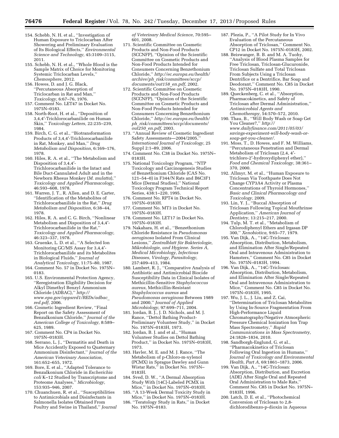- 154. Schebb, N. H. et al., ''Investigation of Human Exposure to Triclocarban After Showering and Preliminary Evaluation of Its Biological Effects,'' *Environmental Science and Technology,* 45:3109–3115, 2011.
- 155. Schebb, N. H. et al., ''Whole Blood is the Sample Matrix of Choice for Monitoring Systemic Triclocarban Levels,'' *Chemosphere,* 2012.
- 156. Howes, D. and J. G. Black, ''Percutaneous Absorption of Triclocarban in Rat and Man,'' *Toxicology,* 6:67–76, 1976.
- 157. Comment No. LET47 in Docket No. 1975N–0183.
- 158. North-Root, H. et al., ''Deposition of 3,4,4′-Trichlorocarbanilide on Human Skin,'' *Toxicology Letters,* 22:235–239, 1984.
- 159. Birch, C. G. et al., ''Biotransformation Products of 3,4,4′-Trichlorocarbanilide in Rat, Monkey, and Man,'' *Drug Metabolism and Disposition,* 6:169–176, 1978.
- 160. Hiles, R. A. et al., ''The Metabolism and Disposition of 3,4,4′- Trichlorocarbanilide in the Intact and Bile Duct-Cannulated Adult and in the Newborn Rhesus Monkey (*M. mulatta*),'' *Toxicology and Applied Pharmacology,*  46:593–608, 1978.
- 161. Warren, J. T., R. Allen, and D. E. Carter, ''Identification of the Metabolites of Trichlorocarbanilide in the Rat,'' *Drug Metabolism and Disposition,* 6:38–44, 1978.
- 162. Hiles, R. A. and C. G. Birch, ''Nonlinear Metabolism and Disposition of 3,4,4′- Trichlorocarbanilide in the Rat,'' *Toxicology and Applied Pharmacology,*  46:323–337, 1978.
- 163. Gruenke, L. D. et al., ''A Selected Ion Monitoring GC/MS Assay for 3,4,4′- Trichlorocarbanilide and its Metabolites in Biological Fluids,'' *Journal of Analytical Toxicology,* 11:75–80, 1987.
- 164. Comment No. 57 in Docket No. 1975N– 0183.
- 165. U.S. Environmental Protection Agency, ''Reregistration Eligibility Decision for Alkyl Dimethyl Benzyl Ammonium Chloride (ADBAC),'' *[http://](http://www.epa.gov/oppsrrd1/REDs/adbac_red.pdf) [www.epa.gov/oppsrrd1/REDs/adbac](http://www.epa.gov/oppsrrd1/REDs/adbac_red.pdf)*\_ *[red.pdf,](http://www.epa.gov/oppsrrd1/REDs/adbac_red.pdf)* 2006.
- 166. Cosmetic Ingredient Review, ''Final Report on the Safety Assessment of Benzalkonium Chloride,'' *Journal of the American College of Toxicology,* 8:589– 625, 1989.
- 167. Comment No. CP4 in Docket No. 1975N–0183H.
- 168. Serrano, L. J., ''Dermatitis and Death in Mice Accidently Exposed to Quaternary Ammonium Disinfectant,'' *Journal of the American Veterinary Association,*  161:652–655, 1972.
- 169. Bore, E. et al., ''Adapted Tolerance to Benzalkonium Chloride in *Escherichia coli* K–12 Studied by Transcriptome and Proteome Analyses,'' *Microbiology,*  153:935–946, 2007.
- 170. Chuanchuen, R. et al., ''Susceptibilities to Antimicrobials and Disinfectants in Salmonella Isolates Obtained From Poultry and Swine in Thailand,'' *Journal*

*of Veterinary Medical Science,* 70:595– 601, 2008.

- 171. Scientific Committee on Cosmetic Products and Non-Food Products (SCCNFP), ''Opinion of the Scientific Committee on Cosmetic Products and Non-Food Products Intended for Consumers Concerning Benzethonium Chloride,'' *[http://ec.europa.eu/health/](http://ec.europa.eu/health/archive/ph_risk/committees/sccp/documents/out158_en.pdf) archive/ph*\_*[risk/committees/sccp/](http://ec.europa.eu/health/archive/ph_risk/committees/sccp/documents/out158_en.pdf) [documents/out158](http://ec.europa.eu/health/archive/ph_risk/committees/sccp/documents/out158_en.pdf)*\_*en.pdf,* 2002.
- 172. Scientific Committee on Cosmetic Products and Non-Food Products (SCCNFP), ''Opinion of the Scientific Committee on Cosmetic Products and Non-Food Products Intended for Consumers Concerning Benzethonium Chloride,'' *[http://ec.europa.eu/health/](http://ec.europa.eu/health/ph_risk/committees/sccp/documents/out250_en.pdf) ph*\_*[risk/committees/sccp/documents/](http://ec.europa.eu/health/ph_risk/committees/sccp/documents/out250_en.pdf) out250*\_*[en.pdf,](http://ec.europa.eu/health/ph_risk/committees/sccp/documents/out250_en.pdf)* 2003.
- 173. ''Annual Review of Cosmetic Ingredient Safety Assessments—2004/2005,'' *International Journal of Toxicology,* 25 Suppl 2:1–89, 2006.
- 174. Comment No. C38 in Docket No. 1975N– 0183H.
- 175. National Toxicology Program, ''NTP Toxicology and Carcinogenesis Studies of Benzethonium Chloride (CAS No. 121–54–0) in F344/N Rats and B6C3F1 Mice (Dermal Studies),'' National Toxicology Program Technical Report Series, 438:1–220, 1995.
- 176. Comment No. RPT4 in Docket No. 1975N–0183H.
- 177. Comment No. MT3 in Docket No. 1975N–0183H.
- 178. Comment No. LET17 in Docket No. 1975N–0183H.
- 179. Nakahara, H. et al., ''Benzethonium Chloride Resistance in *Pseudomonas aeruginosa* Isolated From Clinical Lesions,'' *Zentralblatt fu¨r Bakteriologie, Mikrobiologie, und Hygiene. Series A, Medical Microbiology, Infectious Diseases, Virology, Parasitology,*  257:409–413, 1984.
- 180. Lambert, R. J., ''Comparative Analysis of Antibiotic and Antimicrobial Biocide Susceptibility Data in Clinical Isolates of Methicillin-Sensitive *Staphylococcus aureus,* Methicillin-Resistant *Staphylococcus aureus* and *Pseudomonas aeruginosa* Between 1989 and 2000,'' *Journal of Applied Microbiology,* 97:699–711, 2004.
- 181. Jordan, B. J., J. D. Nichols, and M. J. Rance, ''Dettol Bathing Product-Preliminary Volunteer Study,'' in Docket No. 1975N–0183H, 1973.
- 182. Jordan, B. J. and et al., ''Human Volunteer Studies on Dettol Bathing Product,'' in Docket No. 1975N–0183H, 1973.
- 183. Havler, M. E. and M. J. Rance, ''The Metabolism of p-Chloro-m-xylenol (PCMX) in Sprague Dawley and Gunn Wistar Rats,'' in Docket No. 1975N– 0183H.
- 184. Sved, D. W., ''A Dermal Absorption Study With [14C]-Labeled PCMX in Mice,'' in Docket No. 1975N–0183H.
- 185. ''A 13-Week Dermal Toxicity Study in Mice,'' in Docket No. 1975N–0183H. 186. ''Teratology Study in Rats,'' in Docket
- No. 1975N–0183.
- 187. Plezia, P., ''A Pilot Study for In Vivo Evaluation of the Percutaneous Absorption of Triclosan,'' Comment No. CP12 in Docket No. 1975N–0183H, 2002.
- 188. Beiswanger, B. B. and M. A. Tuohy, ''Analysis of Blood Plasma Samples for Free Triclosan, Triclosan-Glucuronide, Triclosan Sulfate and Total Triclosan From Subjects Using a Triclosan Dentrifice or a Dentrifice, Bar Soap and Deodorant,'' Comment No. C85 in Docket No. 1975N–0183H, 1990.
- 189. Queckenberg, C. et al., ''Absorption, Pharmacokinetics, and Safety of Triclosan after Dermal Administration,'' *Antimicrobial Agents and Chemotherapy,* 54:570–572, 2010.
- 190. Thau, B., ''Will Body Wash or Soap Get You Cleaner?,'' *[http://](http://www.dailyfinance.com/2011/05/03/savings-experiment-will-body-wash-or-soap-get-you-cleaner/) [www.dailyfinance.com/2011/05/03/](http://www.dailyfinance.com/2011/05/03/savings-experiment-will-body-wash-or-soap-get-you-cleaner/) [savings-experiment-will-body-wash-or](http://www.dailyfinance.com/2011/05/03/savings-experiment-will-body-wash-or-soap-get-you-cleaner/)[soap-get-you-cleaner/.](http://www.dailyfinance.com/2011/05/03/savings-experiment-will-body-wash-or-soap-get-you-cleaner/)*
- 191. Moss, T., D. Howes, and F. M. Williams, ''Percutaneous Penetration and Dermal Metabolism of Triclosan (2,4, 4′ trichloro-2′-hydroxydiphenyl ether),'' *Food and Chemical Toxicology,* 38:361– 370, 2000.
- 192. Allmyr, M. et al., ''Human Exposure to Triclosan Via Toothpaste Does Not Change CYP3A4 Activity or Plasma Concentrations of Thyroid Hormones,'' *Basic and Clinical Pharmacology and Toxicology,* 2009.
- 193. Lin, Y. J., ''Buccal Absorption of Triclosan Following Topical Mouthrinse Application,'' *American Journal of Dentistry,* 13:215–217, 2000.
- 194. Tulp, M. T. et al., ''Metabolism of Chlorodiphenyl Ethers and Irgasan DP 300,'' *Xenobiotica,* 9:65–77, 1979.
- 195. Van Dijk, A., ''14C-Triclosan: Absorption, Distribution, Metabolism, and Elimination After Single/Repeated Oral and Intravenous Administration to Hamsters,'' Comment No. C85 in Docket No. 1975N–0183H, 1994.
- 196. Van Dijk, A., ''14C-Triclosan: Absorption, Distribution, Metabolism, and Elimination After Single/Repeated Oral and Intravenous Administration to Mice,'' Comment No. C85 in Docket No. 1975N–0183H, 1995.
- 197. Wu, J. L., J. Liu, and Z. Cai, ''Determination of Triclosan Metabolites by Using In-Source Fragmentation From High-Performance Liquid Chromatography/Negative Atmospheric Pressure Chemical Ionization Ion Trap Mass Spectrometry,'' *Rapid Communications in Mass Spectrometry,*  24:1828–1834, 2010.
- 198. Sandborgh-Englund, G. et al., ''Pharmacokinetics of Triclosan Following Oral Ingestion in Humans,'' *Journal of Toxicology and Environmental Health, Part A,* 69:1861–1873, 2006.
- 199. Van Dijk, A., ''14C-Triclosan: Absorption, Distribution, and Excretion (ADE) After Single Oral and Repeated Oral Administration to Male Rats,'' Comment No. C85 in Docket No. 1975N– 0183H, 1996.
- 200. Latch, D. E. et al., ''Photochemical Conversion of Triclosan to 2,8 dichlorodibenzo-p-dioxin in Aqueous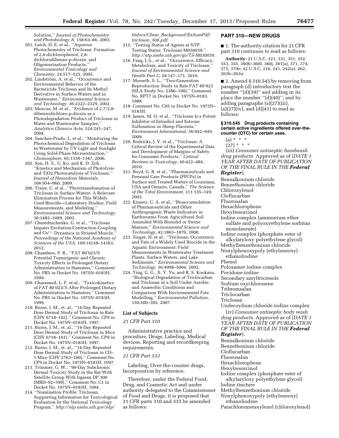Solution,'' *Journal of Photochemistry and Photobiology A,* 158:63–66, 2003.

- 201. Latch, D. E. et al., ''Aqueous Photochemistry of Triclosan: Formation of 2,4-dichlorophenol, 2,8 dichlorodibenzo-p-dioxin, and Oligomerization Products,'' *Environmental Toxicology and Chemistry,* 24:517–525, 2005.
- 202. Lindström, A. et al., "Occurrence and Environmental Behavior of the Bactericide Triclosan and Its Methyl Derivative in Surface Waters and in Wastewater,'' *Environmental Science and Technology,* 36:2322–2329, 2002.
- 203. Mezcua, M. et al., ''Evidence of 2,7/2,8 dibenzodichloro-p-dioxin as a Photodegradation Product of Triclosan in Water and Wastewater Samples,'' *Analytica Chimica Acta,* 524:241–247, 2004.
- 204. Sanchez-Prado, L. et al., ''Monitoring the Photochemical Degradation of Triclosan in Wastewater by UV Light and Sunlight Using Solid-Phase Microextraction,'' *Chemosphere,* 65:1338–1347, 2006.
- 205. Son, H. S., G. Ko, and K. D. Zoh, ''Kinetics and Mechanism of Photolysis and TiO2 Photocatalysis of Triclosan,'' *Journal of Hazardous Materials,*  166:954–960, 2009.
- 206. Tixier, C. et al., ''Phototransfomation of Triclosan in Surface Waters: A Relevant Elimination Process for This Widely Used Biocide—Laboratory Studies, Field Measurements, and Modeling,'' *Environmental Science and Technology,*  36:3482–3489, 2002.
- 207. Cherednichenko, G. et al., ''Triclosan Impairs Excitation-Contraction Coupling and Ca<sup>2+</sup> Dynamics in Striated Muscle, *Proceedings of the National Academy of Sciences of the USA,* 109:14158–14163, 2012.
- 208. Chambers, P. R., ''FAT 80'023/S Potential Tumorigenic and Chronic Toxicity Effects in Prolonged Dietary Administration to Hamsters,'' Comment No. PR5 in Docket No. 1975N–0183H, 1999.
- 209. Chasseaud, L. F. et al., ''Toxicokinetics of FAT 80'023/S After Prolonged Dietary Administration to Hamsters,'' Comment No. PR5 in Docket No. 1975N–0183H, 1999.
- 210. Burns, J. M., et. al., ''14-Day Repeated Dose Dermal Study of Triclosan in Rats (CHV 6718–102),'' Comment No. CP9 in Docket No. 1975N–0183H, 1997.
- 211. Burns, J. M., et. al., ''14-Day Repeated Dose Dermal Study of Triclosan in Mice (CHV 6718–101),'' Comment No. CP9 in Docket No. 1975N–0183H, 1997.
- 212. Burns, J. M., et. al., ''14-Day Repeated Dose Dermal Study of Triclosan in CD– 1 Mice (CHV 2763–100),'' Comment No. CP9 in Docket No. 1975N–0183H, 1997.
- 213. Trimmer, G. W., ''90-Day Subchronic Dermal Toxicity Study in the Rat With Satellite Group With Irgasan DP 300 (MRD–92–399),'' Comment No. C1 in Docket No. 1975N–0183H, 1994.
- 214. ''Nomination Profile: Triclosan. Supporting Information for Toxicological Evaluation by the National Toxicology Program,'' *[http://ntp.niehs.nih.gov/ntp/](http://ntp.niehs.nih.gov/ntp/htdocs/Chem_Background/ExSumPdf/triclosan_508.pdf)*

*htdocs/Chem*\_*[Background/ExSumPdf/](http://ntp.niehs.nih.gov/ntp/htdocs/Chem_Background/ExSumPdf/triclosan_508.pdf) [triclosan](http://ntp.niehs.nih.gov/ntp/htdocs/Chem_Background/ExSumPdf/triclosan_508.pdf)*\_*508.pdf*.

- 215. ''Testing Status of Agents at NTP. Testing Status: Triclosan M030039,'' *[http://ntp.niehs.nih.gov/go/TS-M030039.](http://ntp.niehs.nih.gov/go/TS-M030039)*
- 216. Fang, J.-L., et al., ''Occurrence, Efficacy, Metabolism, and Toxicity of Triclosan,'' *Journal of Environmental Science and Health Part C,* 28:147–171, 2010.
- 217. Morseth, S. L., ''Two-Generation Reproduction Study in Rats FAT 80'023 (HLA Study No. 2386–100),'' Comment No. RPT7 in Docket No. 1975N–0183, 1988.
- 218. Comment No. C85 in Docket No. 1975N– 0183H.
- 219. James, M. O. et al., ''Triclosan Is a Potent Inhibitor of Estradiol and Estrone Sulfonation in Sheep Placenta,'' *Environment International,* 36:942–949, 2009.
- 220. Rodricks, J. V. et al., ''Triclosan: A Critical Review of the Experimental Data and Development of Margins of Safety for Consumer Products,'' *Critical Reviews in Toxicology,* 40:422–484, 2010.
- 221. Boyd, G. R. et al., ''Pharmaceuticals and Personal Care Products (PPCPs) in Surface and Treated Waters of Louisiana, USA and Ontario, Canada,'' *The Science of the Total Environment,* 311:135–149, 2003.
- 222. Kinney, C. A. et al., ''Bioaccumulation of Pharmaceuticals and Other Anthropogenic Waste Indicators in Earthworms From Agricultural Soil Amended With Biosolid or Swine Manure,'' *Environmental Science and Technology,* 42:1863–1870, 2008.
- 223. Singer, H. et al., ''Triclosan: Occurrence and Fate of a Widely Used Biocide in the Aquatic Environment: Field Measurements in Wastewater Treatment Plants, Surface Waters, and Lake Sediments,'' *Environmental Science and Technology,* 36:4998–5004, 2002.
- 224. Ying, G. G., X. Y. Yu, and R. S. Kookana, ''Biological Degradation of Triclocarban and Triclosan in a Soil Under Aerobic and Anaerobic Conditions and Comparison With Environmental Fate Modelling,'' *Environmental Pollution,*  150:300–305, 2007.

#### **List of Subjects**

#### *21 CFR Part 310*

Administrative practice and procedure, Drugs, Labeling, Medical devices, Reporting and recordkeeping requirements.

#### *21 CFR Part 333*

Labeling, Over-the-counter drugs, Incorporation by reference.

Therefore, under the Federal Food, Drug, and Cosmetic Act and under authority delegated to the Commissioner of Food and Drugs, it is proposed that 21 CFR parts 310 and 333 be amended as follows:

#### **PART 310—NEW DRUGS**

■ 1. The authority citation for 21 CFR part 310 continues to read as follows:

**Authority:** 21 U.S.C. 321, 331, 351, 352, 353, 355, 360b–360f, 360j, 361(a), 371, 374, 375, 379e; 42 U.S.C. 216, 241, 242(a), 262, 263b–263n.

■ 2. Amend § 310.545 by removing from paragraph (d) introductory text the number "(d)(39)" and adding in its place the number "(d)(40)"; and by adding paragraphs (a)(27)(iii),  $(a)(27)(iv)$ , and  $(d)(41)$  to read as follows:

#### **§ 310.545 Drug products containing certain active ingredients offered over-thecounter (OTC) for certain uses.**

- $(a) * * * *$
- $(27) * * * *$

(iii) *Consumer antiseptic handwash drug products.* Approved as of [*DATE 1 YEAR AFTER DATE OF PUBLICATION OF THE FINAL RULE IN THE Federal Register*].

Benzalkonium chloride Benzethonium chloride Chloroxylenol Cloflucarban Fluorosalan Hexachlorophene Hexylresorcinol Iodine complex (ammonium ether sulfate and polyoxyethylene sorbitan monolaurate) Iodine complex (phosphate ester of alkylaryloxy polyethylene glycol) Methylbenzethonium chloride Nonylphenoxypoly (ethyleneoxy) ethanoliodine Phenol Poloxamer iodine complex Povidone-iodine Secondary amyltricresols Sodium oxychlorosene

- 
- Tribromsalan

Triclocarban

Triclosan

Undecoylium chloride iodine complex

(iv) *Consumer antiseptic body wash drug products.* Approved as of [*DATE 1 YEAR AFTER DATE OF PUBLICATION OF THE FINAL RULE IN THE Federal Register*].

Benzalkonium chloride

- Benzethonium chloride
- Cloflucarban
- Fluorosalan

Hexachlorophene

Hexylresorcinol

Iodine complex (phosphate ester of alkylaryloxy polyethylene glycol) Iodine tincture

Methylbenzethonium chloride

Nonylphenoxypoly (ethyleneoxy) ethanoliodine

Parachlorometaxylenol (chloroxylenol)